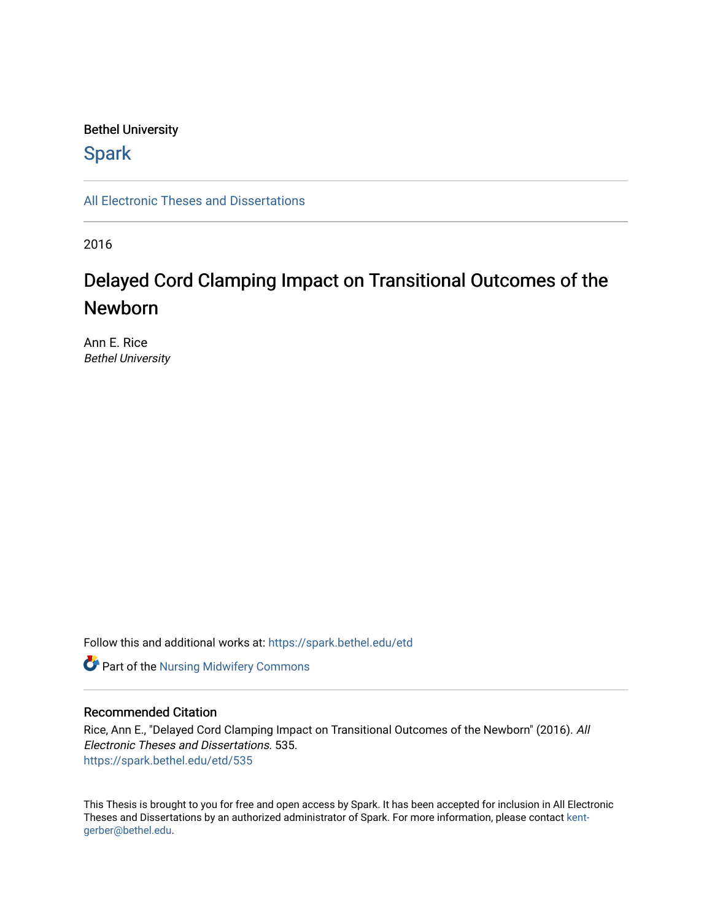#### Bethel University

## **Spark**

[All Electronic Theses and Dissertations](https://spark.bethel.edu/etd) 

2016

# Delayed Cord Clamping Impact on Transitional Outcomes of the Newborn

Ann E. Rice Bethel University

Follow this and additional works at: [https://spark.bethel.edu/etd](https://spark.bethel.edu/etd?utm_source=spark.bethel.edu%2Fetd%2F535&utm_medium=PDF&utm_campaign=PDFCoverPages)



#### Recommended Citation

Rice, Ann E., "Delayed Cord Clamping Impact on Transitional Outcomes of the Newborn" (2016). All Electronic Theses and Dissertations. 535. [https://spark.bethel.edu/etd/535](https://spark.bethel.edu/etd/535?utm_source=spark.bethel.edu%2Fetd%2F535&utm_medium=PDF&utm_campaign=PDFCoverPages)

This Thesis is brought to you for free and open access by Spark. It has been accepted for inclusion in All Electronic Theses and Dissertations by an authorized administrator of Spark. For more information, please contact [kent](mailto:kent-gerber@bethel.edu)[gerber@bethel.edu.](mailto:kent-gerber@bethel.edu)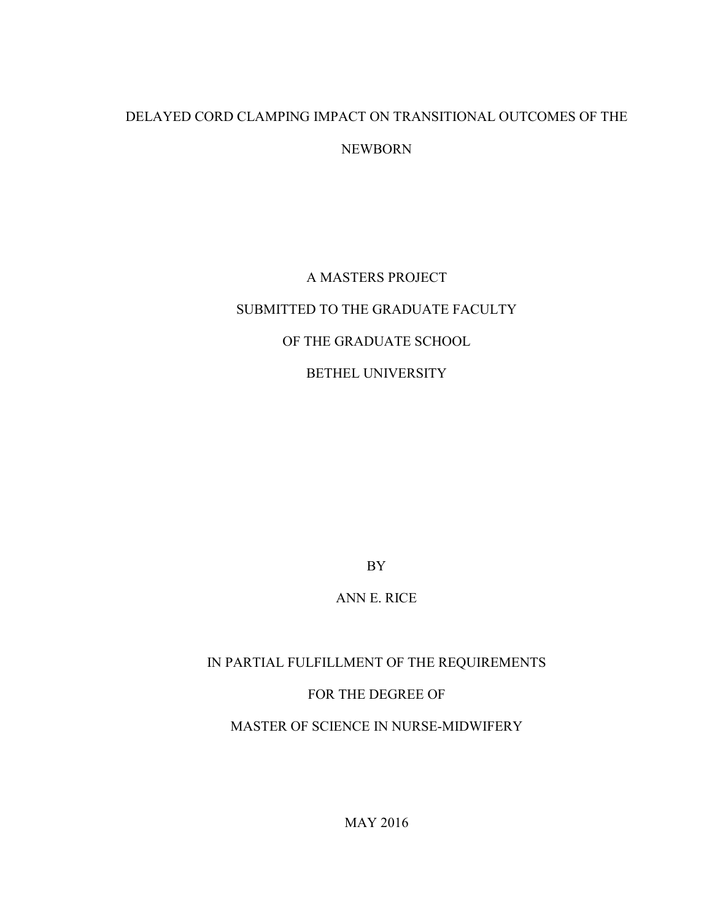## DELAYED CORD CLAMPING IMPACT ON TRANSITIONAL OUTCOMES OF THE NEWBORN

# A MASTERS PROJECT SUBMITTED TO THE GRADUATE FACULTY OF THE GRADUATE SCHOOL BETHEL UNIVERSITY

BY

ANN E. RICE

IN PARTIAL FULFILLMENT OF THE REQUIREMENTS FOR THE DEGREE OF MASTER OF SCIENCE IN NURSE-MIDWIFERY

MAY 2016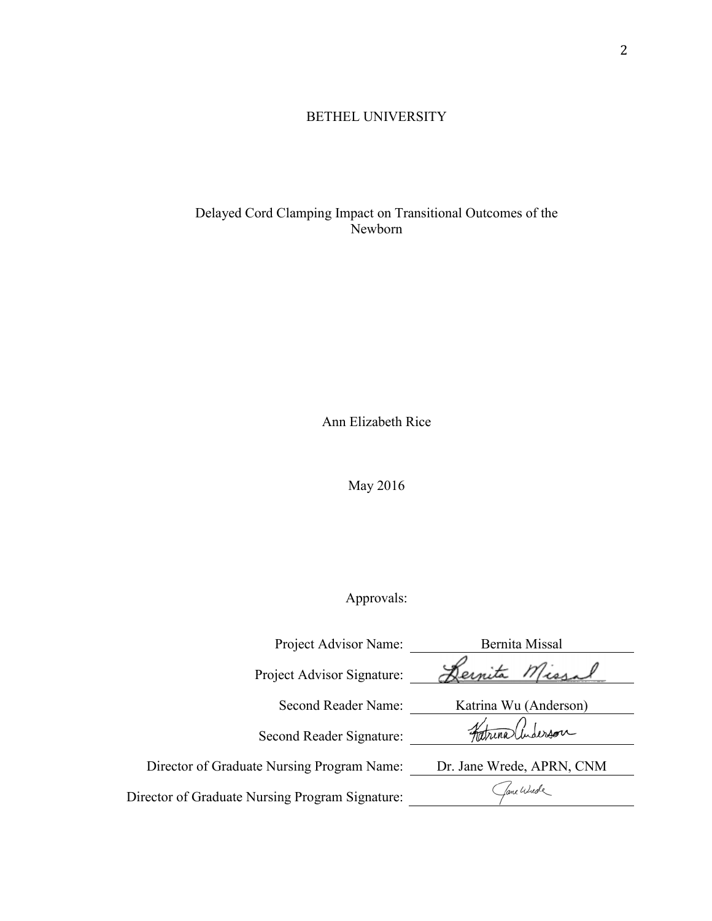### BETHEL UNIVERSITY

Delayed Cord Clamping Impact on Transitional Outcomes of the Newborn

Ann Elizabeth Rice

May 2016

## Approvals:

| Project Advisor Name:                           | Bernita Missal            |
|-------------------------------------------------|---------------------------|
| Project Advisor Signature:                      | Dernita Missal            |
| Second Reader Name:                             | Katrina Wu (Anderson)     |
| Second Reader Signature:                        | Faturalinderson           |
| Director of Graduate Nursing Program Name:      | Dr. Jane Wrede, APRN, CNM |
| Director of Graduate Nursing Program Signature: | fame Wurde                |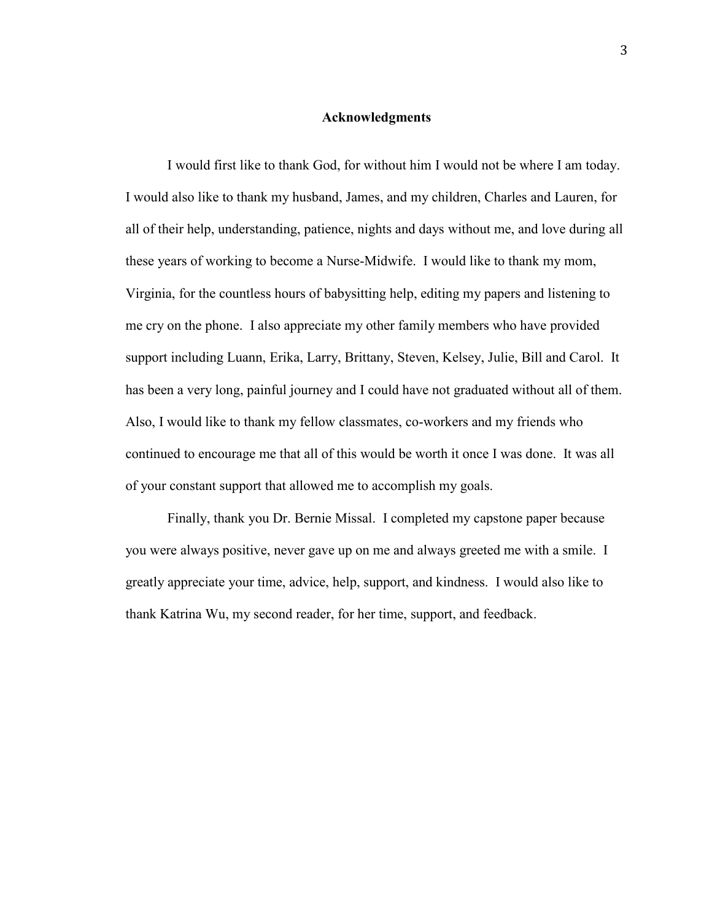#### **Acknowledgments**

 I would first like to thank God, for without him I would not be where I am today. I would also like to thank my husband, James, and my children, Charles and Lauren, for all of their help, understanding, patience, nights and days without me, and love during all these years of working to become a Nurse-Midwife. I would like to thank my mom, Virginia, for the countless hours of babysitting help, editing my papers and listening to me cry on the phone. I also appreciate my other family members who have provided support including Luann, Erika, Larry, Brittany, Steven, Kelsey, Julie, Bill and Carol. It has been a very long, painful journey and I could have not graduated without all of them. Also, I would like to thank my fellow classmates, co-workers and my friends who continued to encourage me that all of this would be worth it once I was done. It was all of your constant support that allowed me to accomplish my goals.

 Finally, thank you Dr. Bernie Missal. I completed my capstone paper because you were always positive, never gave up on me and always greeted me with a smile. I greatly appreciate your time, advice, help, support, and kindness. I would also like to thank Katrina Wu, my second reader, for her time, support, and feedback.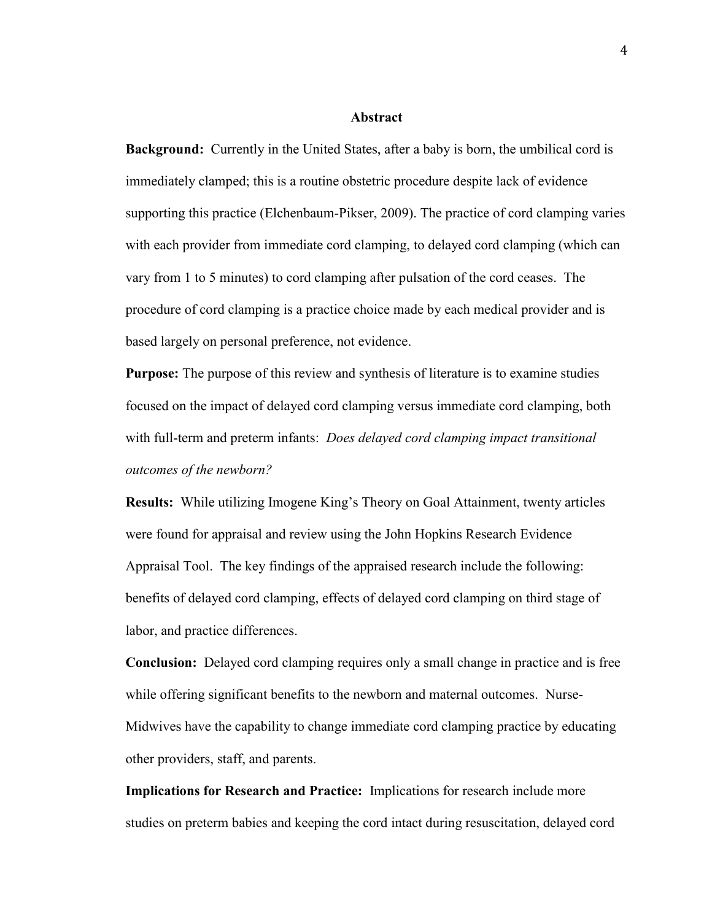#### **Abstract**

**Background:** Currently in the United States, after a baby is born, the umbilical cord is immediately clamped; this is a routine obstetric procedure despite lack of evidence supporting this practice (Elchenbaum-Pikser, 2009). The practice of cord clamping varies with each provider from immediate cord clamping, to delayed cord clamping (which can vary from 1 to 5 minutes) to cord clamping after pulsation of the cord ceases. The procedure of cord clamping is a practice choice made by each medical provider and is based largely on personal preference, not evidence.

**Purpose:** The purpose of this review and synthesis of literature is to examine studies focused on the impact of delayed cord clamping versus immediate cord clamping, both with full-term and preterm infants: *Does delayed cord clamping impact transitional outcomes of the newborn?* 

**Results:** While utilizing Imogene King's Theory on Goal Attainment, twenty articles were found for appraisal and review using the John Hopkins Research Evidence Appraisal Tool. The key findings of the appraised research include the following: benefits of delayed cord clamping, effects of delayed cord clamping on third stage of labor, and practice differences.

**Conclusion:** Delayed cord clamping requires only a small change in practice and is free while offering significant benefits to the newborn and maternal outcomes. Nurse-Midwives have the capability to change immediate cord clamping practice by educating other providers, staff, and parents.

**Implications for Research and Practice:** Implications for research include more studies on preterm babies and keeping the cord intact during resuscitation, delayed cord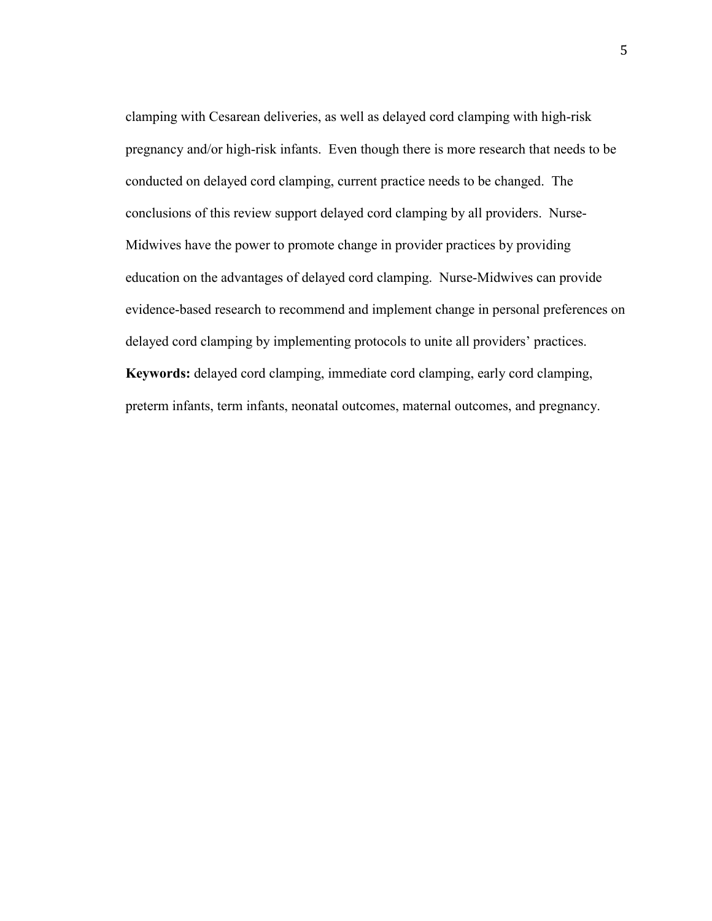clamping with Cesarean deliveries, as well as delayed cord clamping with high-risk pregnancy and/or high-risk infants. Even though there is more research that needs to be conducted on delayed cord clamping, current practice needs to be changed. The conclusions of this review support delayed cord clamping by all providers. Nurse-Midwives have the power to promote change in provider practices by providing education on the advantages of delayed cord clamping. Nurse-Midwives can provide evidence-based research to recommend and implement change in personal preferences on delayed cord clamping by implementing protocols to unite all providers' practices. **Keywords:** delayed cord clamping, immediate cord clamping, early cord clamping, preterm infants, term infants, neonatal outcomes, maternal outcomes, and pregnancy.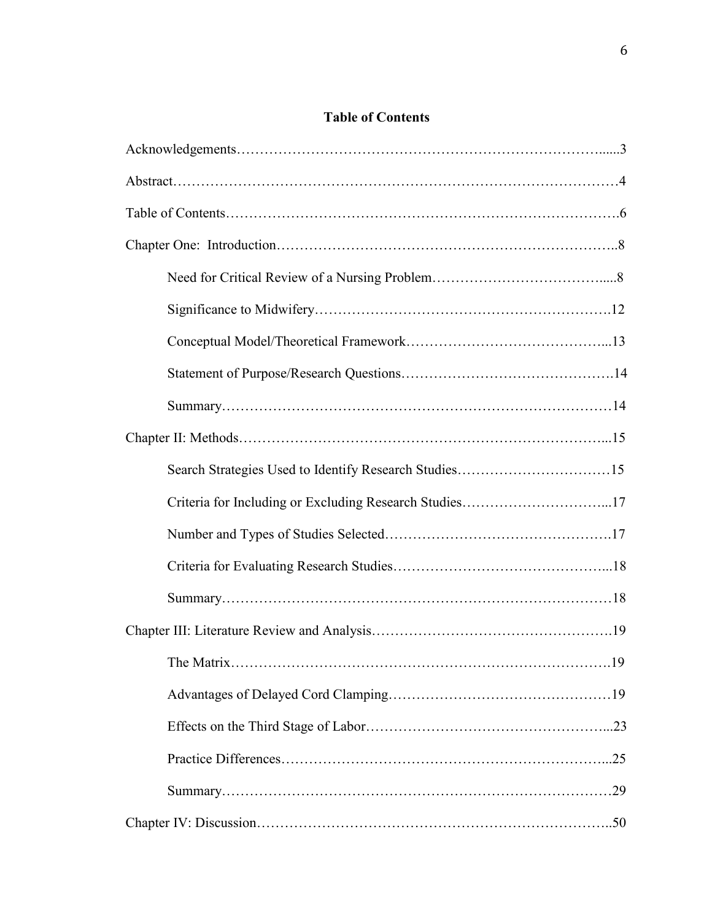## **Table of Contents**

| Criteria for Including or Excluding Research Studies17 |
|--------------------------------------------------------|
|                                                        |
|                                                        |
|                                                        |
|                                                        |
| .19                                                    |
|                                                        |
|                                                        |
|                                                        |
|                                                        |
|                                                        |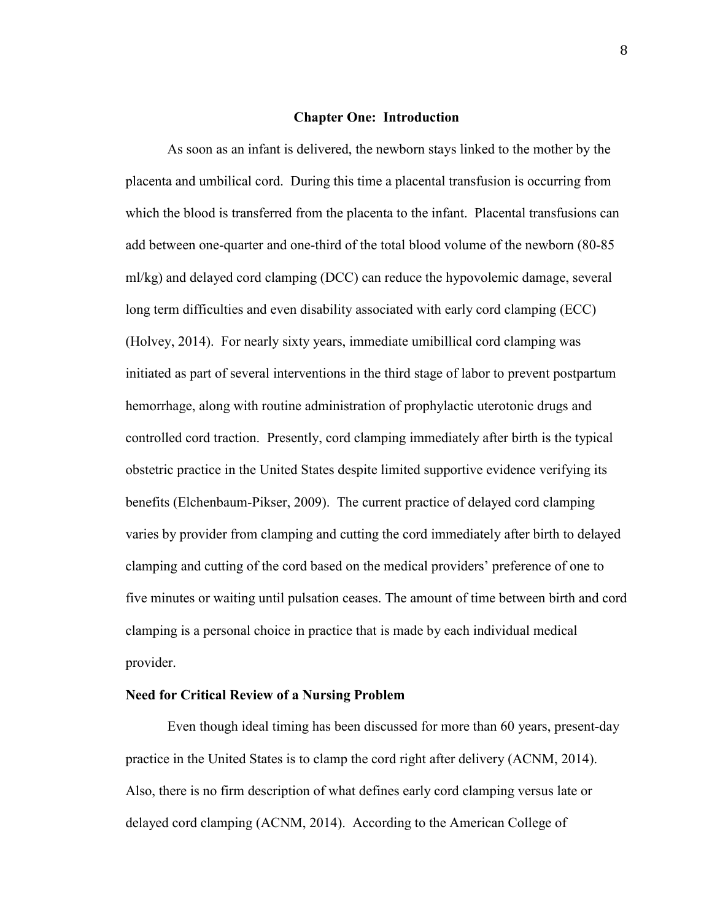#### **Chapter One: Introduction**

As soon as an infant is delivered, the newborn stays linked to the mother by the placenta and umbilical cord. During this time a placental transfusion is occurring from which the blood is transferred from the placenta to the infant. Placental transfusions can add between one-quarter and one-third of the total blood volume of the newborn (80-85 ml/kg) and delayed cord clamping (DCC) can reduce the hypovolemic damage, several long term difficulties and even disability associated with early cord clamping (ECC) (Holvey, 2014). For nearly sixty years, immediate umibillical cord clamping was initiated as part of several interventions in the third stage of labor to prevent postpartum hemorrhage, along with routine administration of prophylactic uterotonic drugs and controlled cord traction. Presently, cord clamping immediately after birth is the typical obstetric practice in the United States despite limited supportive evidence verifying its benefits (Elchenbaum-Pikser, 2009). The current practice of delayed cord clamping varies by provider from clamping and cutting the cord immediately after birth to delayed clamping and cutting of the cord based on the medical providers' preference of one to five minutes or waiting until pulsation ceases. The amount of time between birth and cord clamping is a personal choice in practice that is made by each individual medical provider.

#### **Need for Critical Review of a Nursing Problem**

 Even though ideal timing has been discussed for more than 60 years, present-day practice in the United States is to clamp the cord right after delivery (ACNM, 2014). Also, there is no firm description of what defines early cord clamping versus late or delayed cord clamping (ACNM, 2014). According to the American College of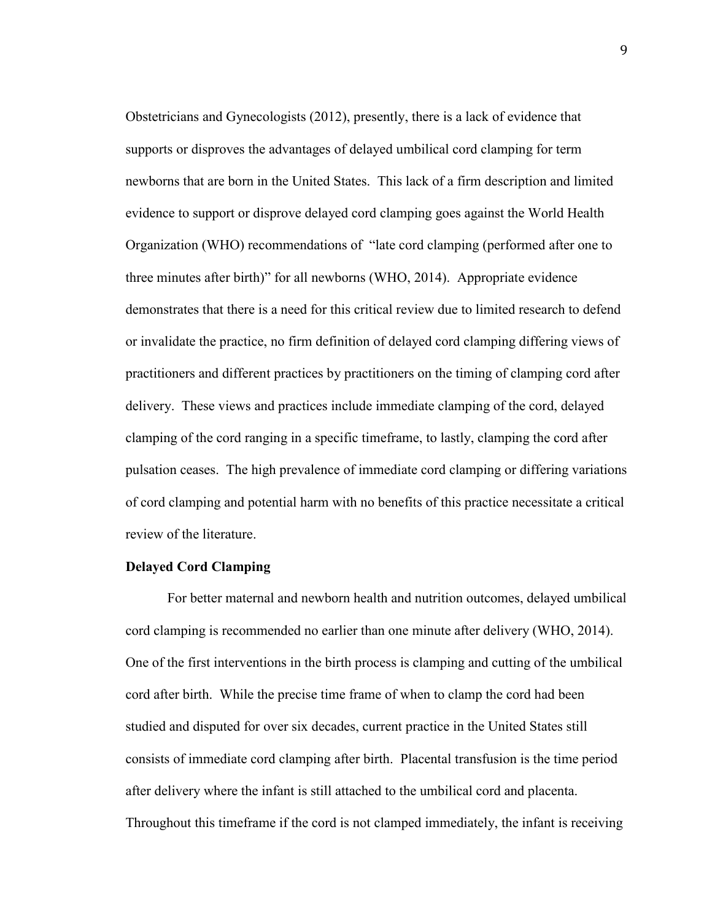Obstetricians and Gynecologists (2012), presently, there is a lack of evidence that supports or disproves the advantages of delayed umbilical cord clamping for term newborns that are born in the United States. This lack of a firm description and limited evidence to support or disprove delayed cord clamping goes against the World Health Organization (WHO) recommendations of "late cord clamping (performed after one to three minutes after birth)" for all newborns (WHO, 2014). Appropriate evidence demonstrates that there is a need for this critical review due to limited research to defend or invalidate the practice, no firm definition of delayed cord clamping differing views of practitioners and different practices by practitioners on the timing of clamping cord after delivery. These views and practices include immediate clamping of the cord, delayed clamping of the cord ranging in a specific timeframe, to lastly, clamping the cord after pulsation ceases. The high prevalence of immediate cord clamping or differing variations of cord clamping and potential harm with no benefits of this practice necessitate a critical review of the literature.

#### **Delayed Cord Clamping**

For better maternal and newborn health and nutrition outcomes, delayed umbilical cord clamping is recommended no earlier than one minute after delivery (WHO, 2014). One of the first interventions in the birth process is clamping and cutting of the umbilical cord after birth. While the precise time frame of when to clamp the cord had been studied and disputed for over six decades, current practice in the United States still consists of immediate cord clamping after birth. Placental transfusion is the time period after delivery where the infant is still attached to the umbilical cord and placenta. Throughout this timeframe if the cord is not clamped immediately, the infant is receiving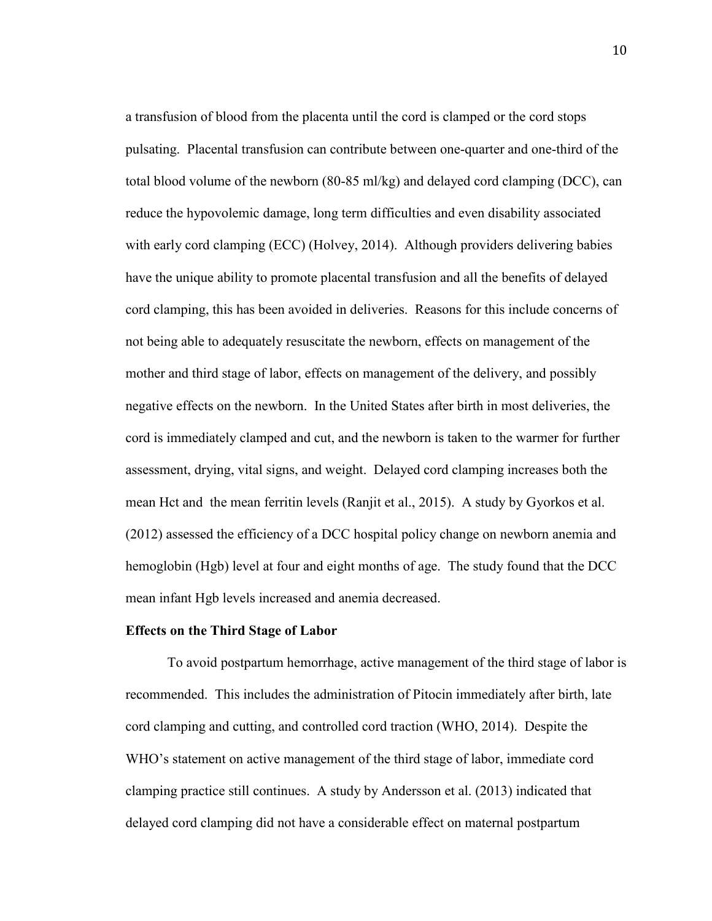a transfusion of blood from the placenta until the cord is clamped or the cord stops pulsating. Placental transfusion can contribute between one-quarter and one-third of the total blood volume of the newborn (80-85 ml/kg) and delayed cord clamping (DCC), can reduce the hypovolemic damage, long term difficulties and even disability associated with early cord clamping (ECC) (Holvey, 2014). Although providers delivering babies have the unique ability to promote placental transfusion and all the benefits of delayed cord clamping, this has been avoided in deliveries. Reasons for this include concerns of not being able to adequately resuscitate the newborn, effects on management of the mother and third stage of labor, effects on management of the delivery, and possibly negative effects on the newborn. In the United States after birth in most deliveries, the cord is immediately clamped and cut, and the newborn is taken to the warmer for further assessment, drying, vital signs, and weight. Delayed cord clamping increases both the mean Hct and the mean ferritin levels (Ranjit et al., 2015). A study by Gyorkos et al. (2012) assessed the efficiency of a DCC hospital policy change on newborn anemia and hemoglobin (Hgb) level at four and eight months of age. The study found that the DCC mean infant Hgb levels increased and anemia decreased.

#### **Effects on the Third Stage of Labor**

To avoid postpartum hemorrhage, active management of the third stage of labor is recommended. This includes the administration of Pitocin immediately after birth, late cord clamping and cutting, and controlled cord traction (WHO, 2014). Despite the WHO's statement on active management of the third stage of labor, immediate cord clamping practice still continues. A study by Andersson et al. (2013) indicated that delayed cord clamping did not have a considerable effect on maternal postpartum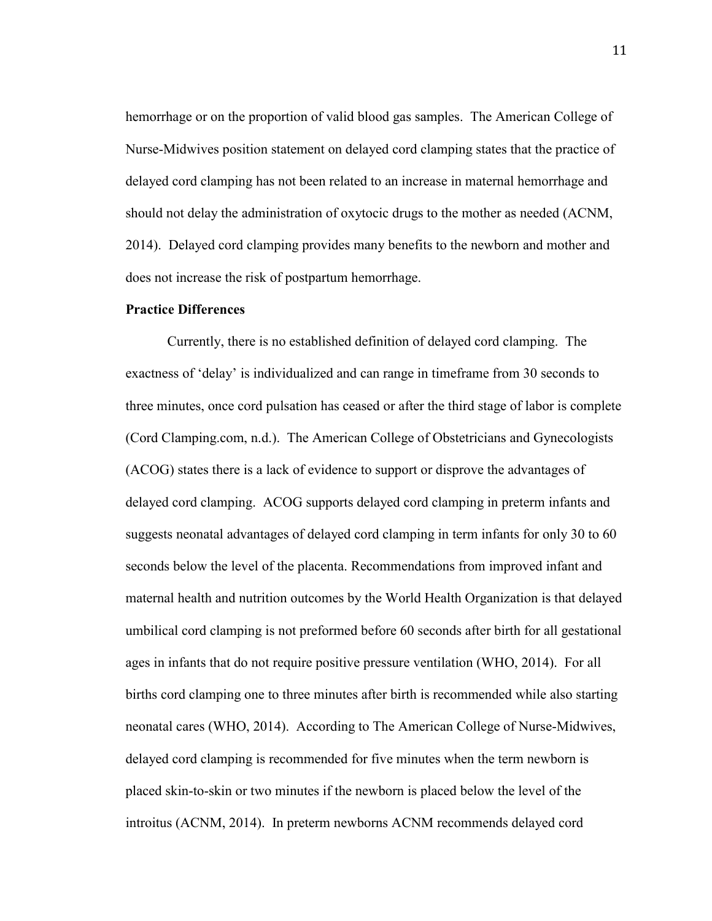hemorrhage or on the proportion of valid blood gas samples. The American College of Nurse-Midwives position statement on delayed cord clamping states that the practice of delayed cord clamping has not been related to an increase in maternal hemorrhage and should not delay the administration of oxytocic drugs to the mother as needed (ACNM, 2014). Delayed cord clamping provides many benefits to the newborn and mother and does not increase the risk of postpartum hemorrhage.

#### **Practice Differences**

Currently, there is no established definition of delayed cord clamping. The exactness of 'delay' is individualized and can range in timeframe from 30 seconds to three minutes, once cord pulsation has ceased or after the third stage of labor is complete (Cord Clamping.com, n.d.). The American College of Obstetricians and Gynecologists (ACOG) states there is a lack of evidence to support or disprove the advantages of delayed cord clamping. ACOG supports delayed cord clamping in preterm infants and suggests neonatal advantages of delayed cord clamping in term infants for only 30 to 60 seconds below the level of the placenta. Recommendations from improved infant and maternal health and nutrition outcomes by the World Health Organization is that delayed umbilical cord clamping is not preformed before 60 seconds after birth for all gestational ages in infants that do not require positive pressure ventilation (WHO, 2014). For all births cord clamping one to three minutes after birth is recommended while also starting neonatal cares (WHO, 2014). According to The American College of Nurse-Midwives, delayed cord clamping is recommended for five minutes when the term newborn is placed skin-to-skin or two minutes if the newborn is placed below the level of the introitus (ACNM, 2014). In preterm newborns ACNM recommends delayed cord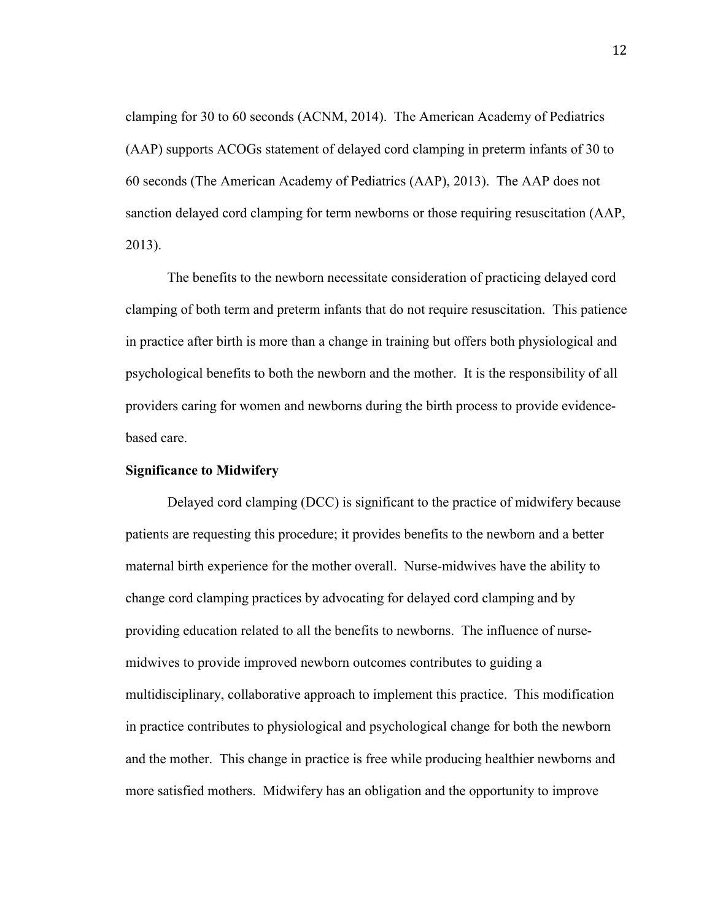clamping for 30 to 60 seconds (ACNM, 2014). The American Academy of Pediatrics (AAP) supports ACOGs statement of delayed cord clamping in preterm infants of 30 to 60 seconds (The American Academy of Pediatrics (AAP), 2013). The AAP does not sanction delayed cord clamping for term newborns or those requiring resuscitation (AAP, 2013).

The benefits to the newborn necessitate consideration of practicing delayed cord clamping of both term and preterm infants that do not require resuscitation. This patience in practice after birth is more than a change in training but offers both physiological and psychological benefits to both the newborn and the mother. It is the responsibility of all providers caring for women and newborns during the birth process to provide evidencebased care.

#### **Significance to Midwifery**

Delayed cord clamping (DCC) is significant to the practice of midwifery because patients are requesting this procedure; it provides benefits to the newborn and a better maternal birth experience for the mother overall. Nurse-midwives have the ability to change cord clamping practices by advocating for delayed cord clamping and by providing education related to all the benefits to newborns. The influence of nursemidwives to provide improved newborn outcomes contributes to guiding a multidisciplinary, collaborative approach to implement this practice. This modification in practice contributes to physiological and psychological change for both the newborn and the mother. This change in practice is free while producing healthier newborns and more satisfied mothers. Midwifery has an obligation and the opportunity to improve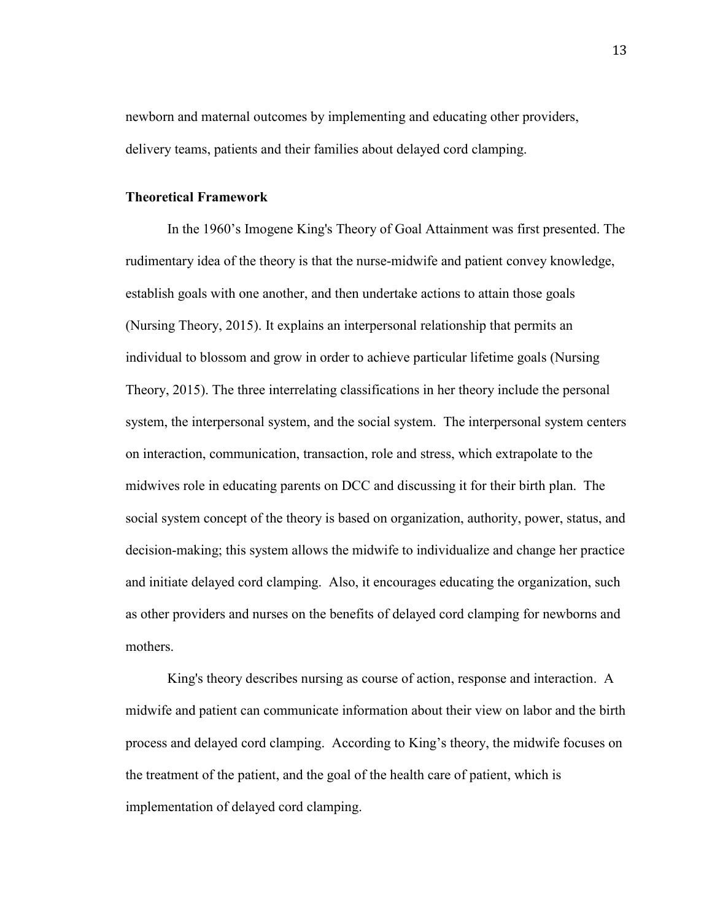newborn and maternal outcomes by implementing and educating other providers, delivery teams, patients and their families about delayed cord clamping.

#### **Theoretical Framework**

 In the 1960's Imogene King's Theory of Goal Attainment was first presented. The rudimentary idea of the theory is that the nurse-midwife and patient convey knowledge, establish goals with one another, and then undertake actions to attain those goals (Nursing Theory, 2015). It explains an interpersonal relationship that permits an individual to blossom and grow in order to achieve particular lifetime goals (Nursing Theory, 2015). The three interrelating classifications in her theory include the personal system, the interpersonal system, and the social system. The interpersonal system centers on interaction, communication, transaction, role and stress, which extrapolate to the midwives role in educating parents on DCC and discussing it for their birth plan. The social system concept of the theory is based on organization, authority, power, status, and decision-making; this system allows the midwife to individualize and change her practice and initiate delayed cord clamping. Also, it encourages educating the organization, such as other providers and nurses on the benefits of delayed cord clamping for newborns and mothers.

 King's theory describes nursing as course of action, response and interaction. A midwife and patient can communicate information about their view on labor and the birth process and delayed cord clamping. According to King's theory, the midwife focuses on the treatment of the patient, and the goal of the health care of patient, which is implementation of delayed cord clamping.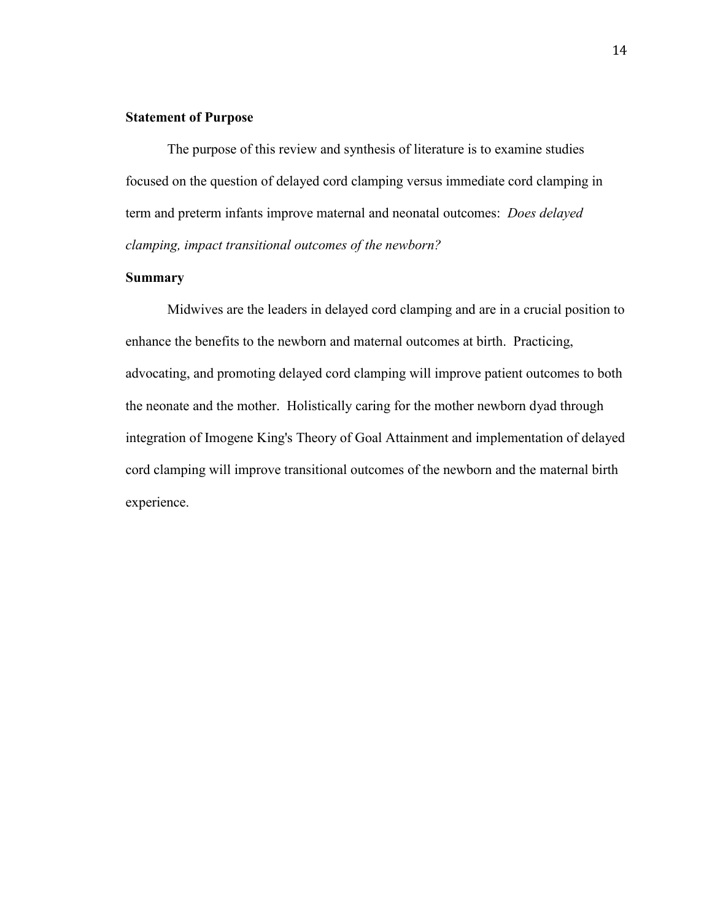#### **Statement of Purpose**

 The purpose of this review and synthesis of literature is to examine studies focused on the question of delayed cord clamping versus immediate cord clamping in term and preterm infants improve maternal and neonatal outcomes: *Does delayed clamping, impact transitional outcomes of the newborn?*

#### **Summary**

Midwives are the leaders in delayed cord clamping and are in a crucial position to enhance the benefits to the newborn and maternal outcomes at birth. Practicing, advocating, and promoting delayed cord clamping will improve patient outcomes to both the neonate and the mother. Holistically caring for the mother newborn dyad through integration of Imogene King's Theory of Goal Attainment and implementation of delayed cord clamping will improve transitional outcomes of the newborn and the maternal birth experience.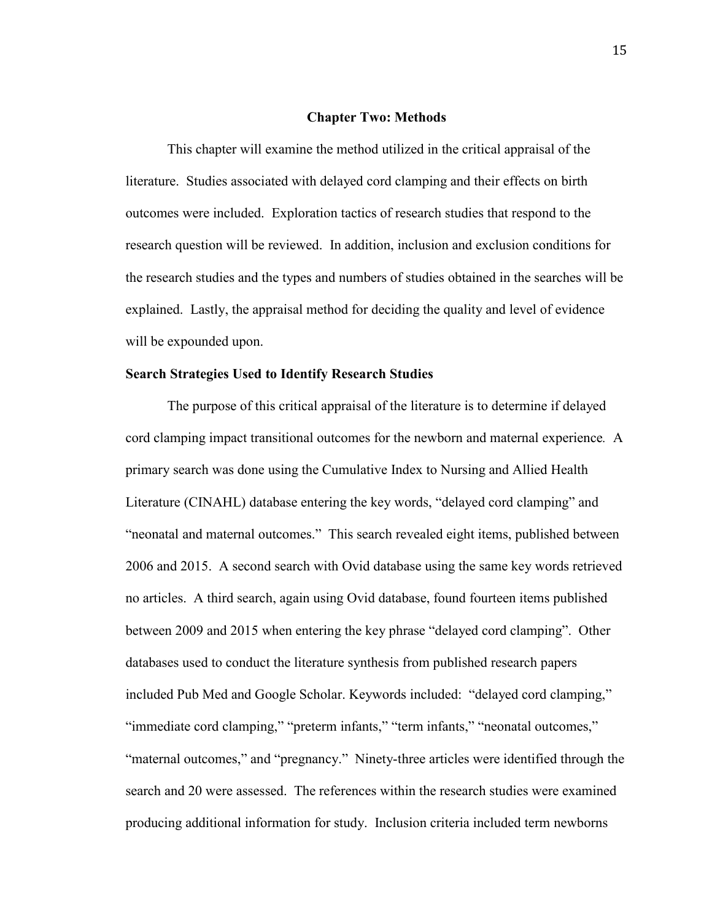#### **Chapter Two: Methods**

This chapter will examine the method utilized in the critical appraisal of the literature. Studies associated with delayed cord clamping and their effects on birth outcomes were included. Exploration tactics of research studies that respond to the research question will be reviewed. In addition, inclusion and exclusion conditions for the research studies and the types and numbers of studies obtained in the searches will be explained. Lastly, the appraisal method for deciding the quality and level of evidence will be expounded upon.

#### **Search Strategies Used to Identify Research Studies**

The purpose of this critical appraisal of the literature is to determine if delayed cord clamping impact transitional outcomes for the newborn and maternal experience*.* A primary search was done using the Cumulative Index to Nursing and Allied Health Literature (CINAHL) database entering the key words, "delayed cord clamping" and "neonatal and maternal outcomes." This search revealed eight items, published between 2006 and 2015. A second search with Ovid database using the same key words retrieved no articles. A third search, again using Ovid database, found fourteen items published between 2009 and 2015 when entering the key phrase "delayed cord clamping". Other databases used to conduct the literature synthesis from published research papers included Pub Med and Google Scholar. Keywords included: "delayed cord clamping," "immediate cord clamping," "preterm infants," "term infants," "neonatal outcomes," "maternal outcomes," and "pregnancy." Ninety-three articles were identified through the search and 20 were assessed. The references within the research studies were examined producing additional information for study. Inclusion criteria included term newborns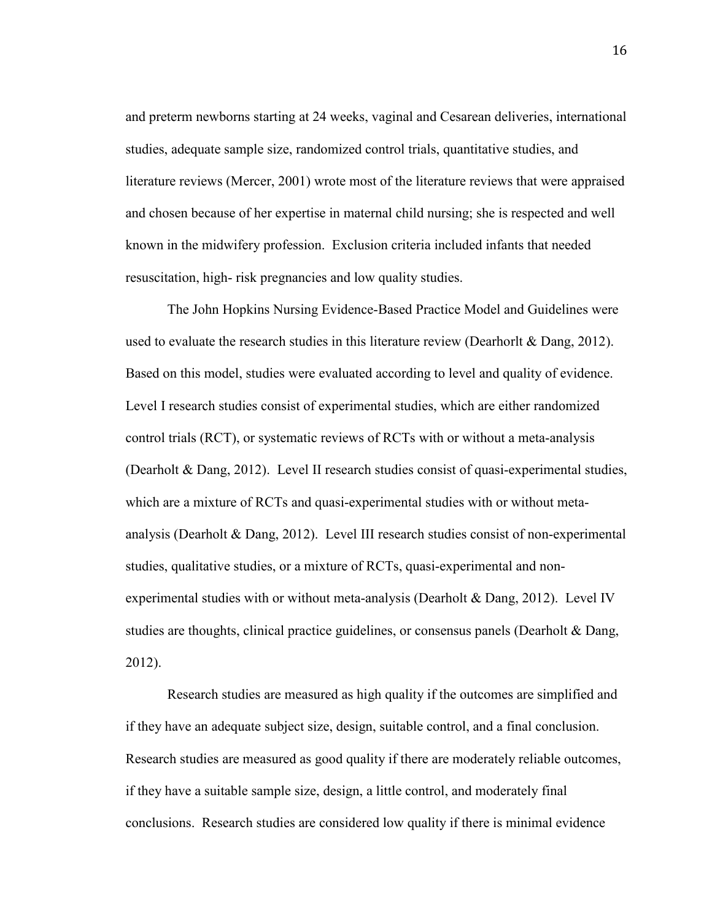and preterm newborns starting at 24 weeks, vaginal and Cesarean deliveries, international studies, adequate sample size, randomized control trials, quantitative studies, and literature reviews (Mercer, 2001) wrote most of the literature reviews that were appraised and chosen because of her expertise in maternal child nursing; she is respected and well known in the midwifery profession. Exclusion criteria included infants that needed resuscitation, high- risk pregnancies and low quality studies.

 The John Hopkins Nursing Evidence-Based Practice Model and Guidelines were used to evaluate the research studies in this literature review (Dearhorlt & Dang, 2012). Based on this model, studies were evaluated according to level and quality of evidence. Level I research studies consist of experimental studies, which are either randomized control trials (RCT), or systematic reviews of RCTs with or without a meta-analysis (Dearholt & Dang, 2012). Level II research studies consist of quasi-experimental studies, which are a mixture of RCTs and quasi-experimental studies with or without metaanalysis (Dearholt & Dang, 2012). Level III research studies consist of non-experimental studies, qualitative studies, or a mixture of RCTs, quasi-experimental and nonexperimental studies with or without meta-analysis (Dearholt & Dang, 2012). Level IV studies are thoughts, clinical practice guidelines, or consensus panels (Dearholt & Dang, 2012).

Research studies are measured as high quality if the outcomes are simplified and if they have an adequate subject size, design, suitable control, and a final conclusion. Research studies are measured as good quality if there are moderately reliable outcomes, if they have a suitable sample size, design, a little control, and moderately final conclusions. Research studies are considered low quality if there is minimal evidence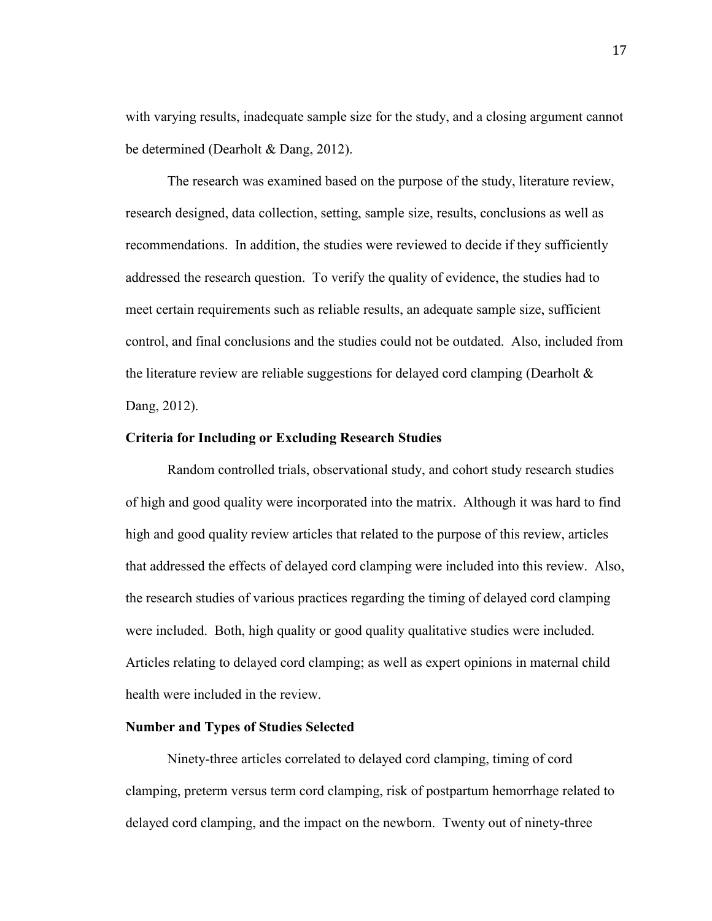with varying results, inadequate sample size for the study, and a closing argument cannot be determined (Dearholt & Dang, 2012).

The research was examined based on the purpose of the study, literature review, research designed, data collection, setting, sample size, results, conclusions as well as recommendations. In addition, the studies were reviewed to decide if they sufficiently addressed the research question. To verify the quality of evidence, the studies had to meet certain requirements such as reliable results, an adequate sample size, sufficient control, and final conclusions and the studies could not be outdated. Also, included from the literature review are reliable suggestions for delayed cord clamping (Dearholt  $\&$ Dang, 2012).

#### **Criteria for Including or Excluding Research Studies**

Random controlled trials, observational study, and cohort study research studies of high and good quality were incorporated into the matrix. Although it was hard to find high and good quality review articles that related to the purpose of this review, articles that addressed the effects of delayed cord clamping were included into this review. Also, the research studies of various practices regarding the timing of delayed cord clamping were included. Both, high quality or good quality qualitative studies were included. Articles relating to delayed cord clamping; as well as expert opinions in maternal child health were included in the review.

#### **Number and Types of Studies Selected**

Ninety-three articles correlated to delayed cord clamping, timing of cord clamping, preterm versus term cord clamping, risk of postpartum hemorrhage related to delayed cord clamping, and the impact on the newborn. Twenty out of ninety-three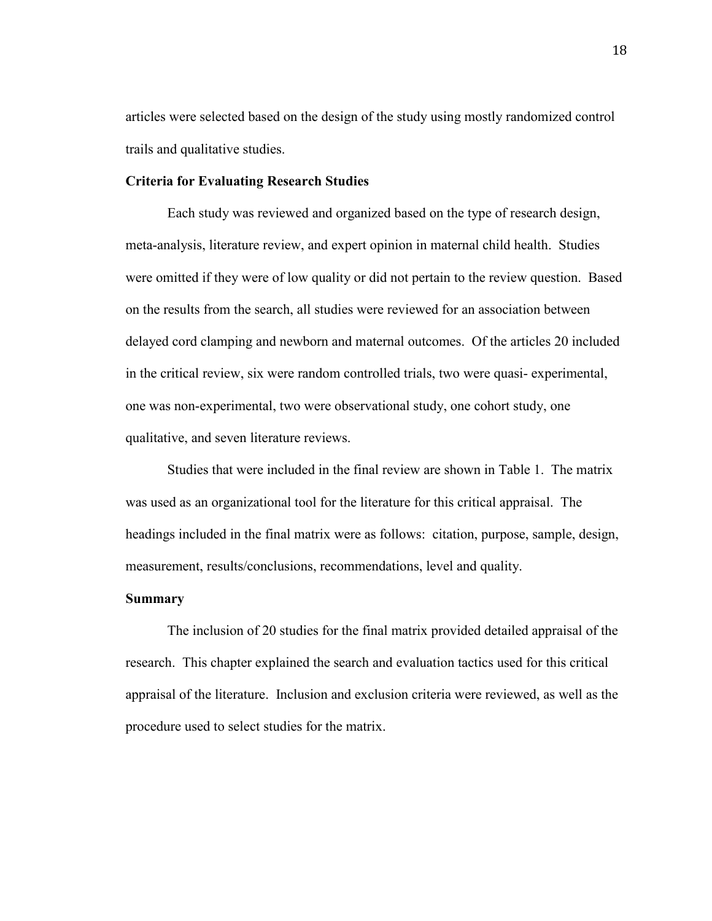articles were selected based on the design of the study using mostly randomized control trails and qualitative studies.

#### **Criteria for Evaluating Research Studies**

Each study was reviewed and organized based on the type of research design, meta-analysis, literature review, and expert opinion in maternal child health. Studies were omitted if they were of low quality or did not pertain to the review question. Based on the results from the search, all studies were reviewed for an association between delayed cord clamping and newborn and maternal outcomes. Of the articles 20 included in the critical review, six were random controlled trials, two were quasi- experimental, one was non-experimental, two were observational study, one cohort study, one qualitative, and seven literature reviews.

 Studies that were included in the final review are shown in Table 1. The matrix was used as an organizational tool for the literature for this critical appraisal. The headings included in the final matrix were as follows: citation, purpose, sample, design, measurement, results/conclusions, recommendations, level and quality.

#### **Summary**

The inclusion of 20 studies for the final matrix provided detailed appraisal of the research. This chapter explained the search and evaluation tactics used for this critical appraisal of the literature. Inclusion and exclusion criteria were reviewed, as well as the procedure used to select studies for the matrix.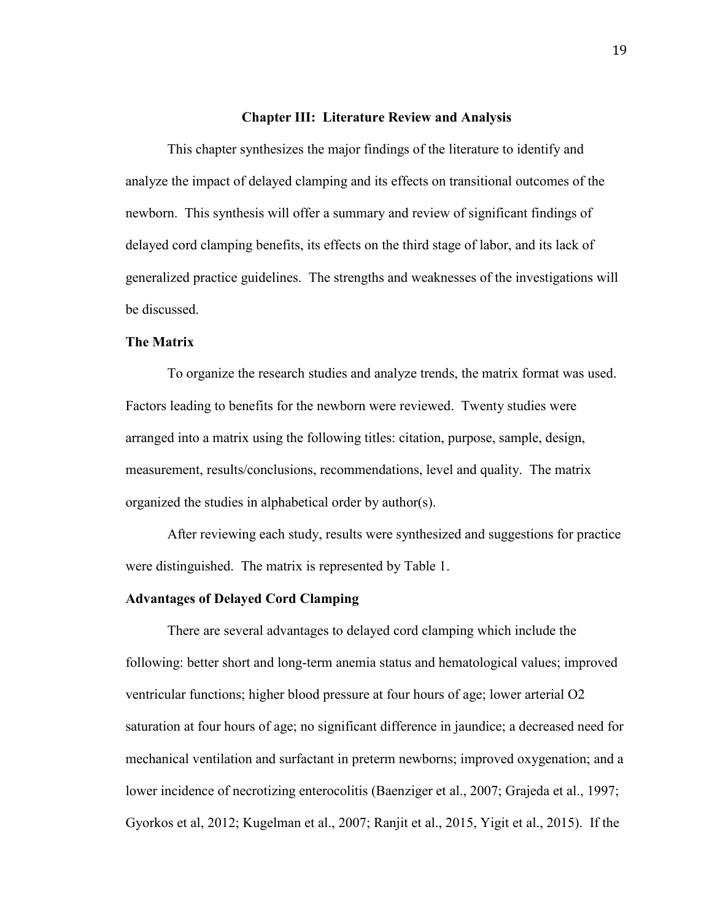#### **Chapter III: Literature Review and Analysis**

This chapter synthesizes the major findings of the literature to identify and analyze the impact of delayed clamping and its effects on transitional outcomes of the newborn. This synthesis will offer a summary and review of significant findings of delayed cord clamping benefits, its effects on the third stage of labor, and its lack of generalized practice guidelines. The strengths and weaknesses of the investigations will be discussed.

#### **The Matrix**

To organize the research studies and analyze trends, the matrix format was used. Factors leading to benefits for the newborn were reviewed. Twenty studies were arranged into a matrix using the following titles: citation, purpose, sample, design, measurement, results/conclusions, recommendations, level and quality. The matrix organized the studies in alphabetical order by author(s).

After reviewing each study, results were synthesized and suggestions for practice were distinguished. The matrix is represented by Table 1.

#### **Advantages of Delayed Cord Clamping**

There are several advantages to delayed cord clamping which include the following: better short and long-term anemia status and hematological values; improved ventricular functions; higher blood pressure at four hours of age; lower arterial O2 saturation at four hours of age; no significant difference in jaundice; a decreased need for mechanical ventilation and surfactant in preterm newborns; improved oxygenation; and a lower incidence of necrotizing enterocolitis (Baenziger et al., 2007; Grajeda et al., 1997; Gyorkos et al, 2012; Kugelman et al., 2007; Ranjit et al., 2015, Yigit et al., 2015). If the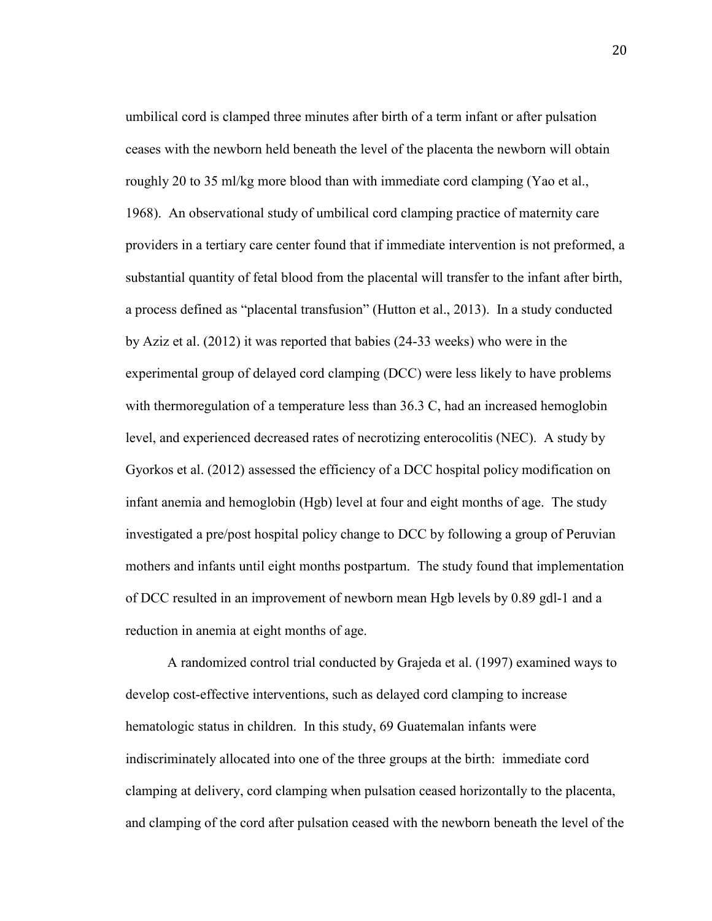umbilical cord is clamped three minutes after birth of a term infant or after pulsation ceases with the newborn held beneath the level of the placenta the newborn will obtain roughly 20 to 35 ml/kg more blood than with immediate cord clamping (Yao et al., 1968). An observational study of umbilical cord clamping practice of maternity care providers in a tertiary care center found that if immediate intervention is not preformed, a substantial quantity of fetal blood from the placental will transfer to the infant after birth, a process defined as "placental transfusion" (Hutton et al., 2013). In a study conducted by Aziz et al. (2012) it was reported that babies (24-33 weeks) who were in the experimental group of delayed cord clamping (DCC) were less likely to have problems with thermoregulation of a temperature less than 36.3 C, had an increased hemoglobin level, and experienced decreased rates of necrotizing enterocolitis (NEC). A study by Gyorkos et al. (2012) assessed the efficiency of a DCC hospital policy modification on infant anemia and hemoglobin (Hgb) level at four and eight months of age. The study investigated a pre/post hospital policy change to DCC by following a group of Peruvian mothers and infants until eight months postpartum. The study found that implementation of DCC resulted in an improvement of newborn mean Hgb levels by 0.89 gdl-1 and a reduction in anemia at eight months of age.

 A randomized control trial conducted by Grajeda et al. (1997) examined ways to develop cost-effective interventions, such as delayed cord clamping to increase hematologic status in children. In this study, 69 Guatemalan infants were indiscriminately allocated into one of the three groups at the birth: immediate cord clamping at delivery, cord clamping when pulsation ceased horizontally to the placenta, and clamping of the cord after pulsation ceased with the newborn beneath the level of the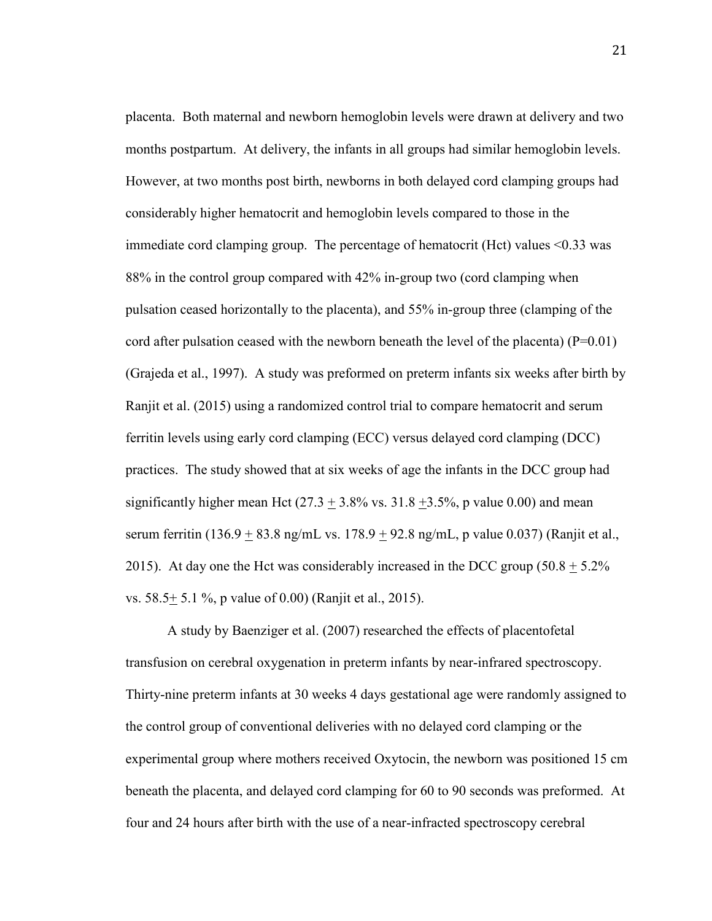placenta. Both maternal and newborn hemoglobin levels were drawn at delivery and two months postpartum. At delivery, the infants in all groups had similar hemoglobin levels. However, at two months post birth, newborns in both delayed cord clamping groups had considerably higher hematocrit and hemoglobin levels compared to those in the immediate cord clamping group. The percentage of hematocrit (Hct) values <0.33 was 88% in the control group compared with 42% in-group two (cord clamping when pulsation ceased horizontally to the placenta), and 55% in-group three (clamping of the cord after pulsation ceased with the newborn beneath the level of the placenta)  $(P=0.01)$ (Grajeda et al., 1997). A study was preformed on preterm infants six weeks after birth by Ranjit et al. (2015) using a randomized control trial to compare hematocrit and serum ferritin levels using early cord clamping (ECC) versus delayed cord clamping (DCC) practices. The study showed that at six weeks of age the infants in the DCC group had significantly higher mean Hct  $(27.3 + 3.8\% \text{ vs. } 31.8 + 3.5\% \text{, p} \text{ value } 0.00)$  and mean serum ferritin (136.9 + 83.8 ng/mL vs. 178.9 + 92.8 ng/mL, p value 0.037) (Ranjit et al., 2015). At day one the Hct was considerably increased in the DCC group  $(50.8 + 5.2\%)$ vs. 58.5+ 5.1 %, p value of 0.00) (Ranjit et al., 2015).

 A study by Baenziger et al. (2007) researched the effects of placentofetal transfusion on cerebral oxygenation in preterm infants by near-infrared spectroscopy. Thirty-nine preterm infants at 30 weeks 4 days gestational age were randomly assigned to the control group of conventional deliveries with no delayed cord clamping or the experimental group where mothers received Oxytocin, the newborn was positioned 15 cm beneath the placenta, and delayed cord clamping for 60 to 90 seconds was preformed. At four and 24 hours after birth with the use of a near-infracted spectroscopy cerebral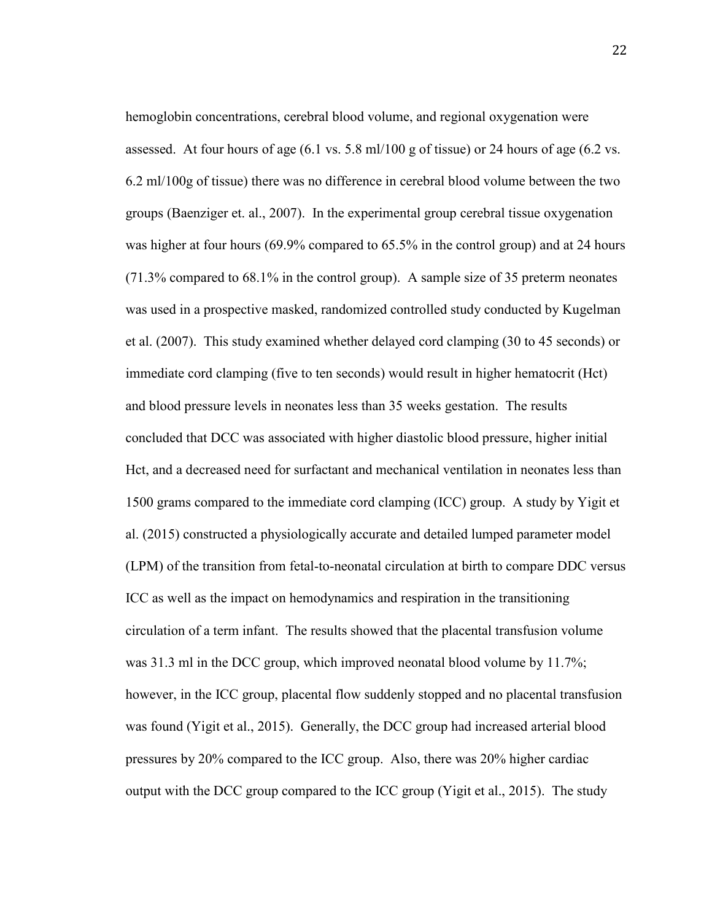hemoglobin concentrations, cerebral blood volume, and regional oxygenation were assessed. At four hours of age  $(6.1 \text{ vs. } 5.8 \text{ ml}/100 \text{ g of tissue})$  or 24 hours of age  $(6.2 \text{ vs. } 1.8 \text{ ml})$ 6.2 ml/100g of tissue) there was no difference in cerebral blood volume between the two groups (Baenziger et. al., 2007). In the experimental group cerebral tissue oxygenation was higher at four hours (69.9% compared to 65.5% in the control group) and at 24 hours (71.3% compared to 68.1% in the control group). A sample size of 35 preterm neonates was used in a prospective masked, randomized controlled study conducted by Kugelman et al. (2007). This study examined whether delayed cord clamping (30 to 45 seconds) or immediate cord clamping (five to ten seconds) would result in higher hematocrit (Hct) and blood pressure levels in neonates less than 35 weeks gestation. The results concluded that DCC was associated with higher diastolic blood pressure, higher initial Hct, and a decreased need for surfactant and mechanical ventilation in neonates less than 1500 grams compared to the immediate cord clamping (ICC) group. A study by Yigit et al. (2015) constructed a physiologically accurate and detailed lumped parameter model (LPM) of the transition from fetal-to-neonatal circulation at birth to compare DDC versus ICC as well as the impact on hemodynamics and respiration in the transitioning circulation of a term infant. The results showed that the placental transfusion volume was 31.3 ml in the DCC group, which improved neonatal blood volume by 11.7%; however, in the ICC group, placental flow suddenly stopped and no placental transfusion was found (Yigit et al., 2015). Generally, the DCC group had increased arterial blood pressures by 20% compared to the ICC group. Also, there was 20% higher cardiac output with the DCC group compared to the ICC group (Yigit et al., 2015). The study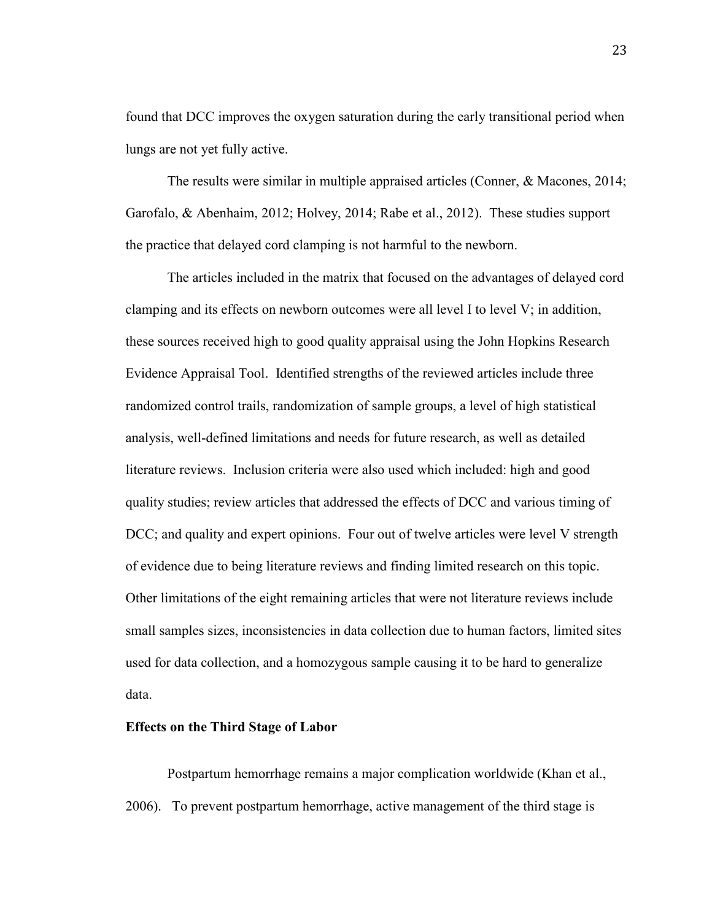found that DCC improves the oxygen saturation during the early transitional period when lungs are not yet fully active.

The results were similar in multiple appraised articles (Conner, & Macones, 2014; Garofalo, & Abenhaim, 2012; Holvey, 2014; Rabe et al., 2012). These studies support the practice that delayed cord clamping is not harmful to the newborn.

The articles included in the matrix that focused on the advantages of delayed cord clamping and its effects on newborn outcomes were all level I to level V; in addition, these sources received high to good quality appraisal using the John Hopkins Research Evidence Appraisal Tool. Identified strengths of the reviewed articles include three randomized control trails, randomization of sample groups, a level of high statistical analysis, well-defined limitations and needs for future research, as well as detailed literature reviews. Inclusion criteria were also used which included: high and good quality studies; review articles that addressed the effects of DCC and various timing of DCC; and quality and expert opinions. Four out of twelve articles were level V strength of evidence due to being literature reviews and finding limited research on this topic. Other limitations of the eight remaining articles that were not literature reviews include small samples sizes, inconsistencies in data collection due to human factors, limited sites used for data collection, and a homozygous sample causing it to be hard to generalize data.

#### **Effects on the Third Stage of Labor**

 Postpartum hemorrhage remains a major complication worldwide (Khan et al., 2006). To prevent postpartum hemorrhage, active management of the third stage is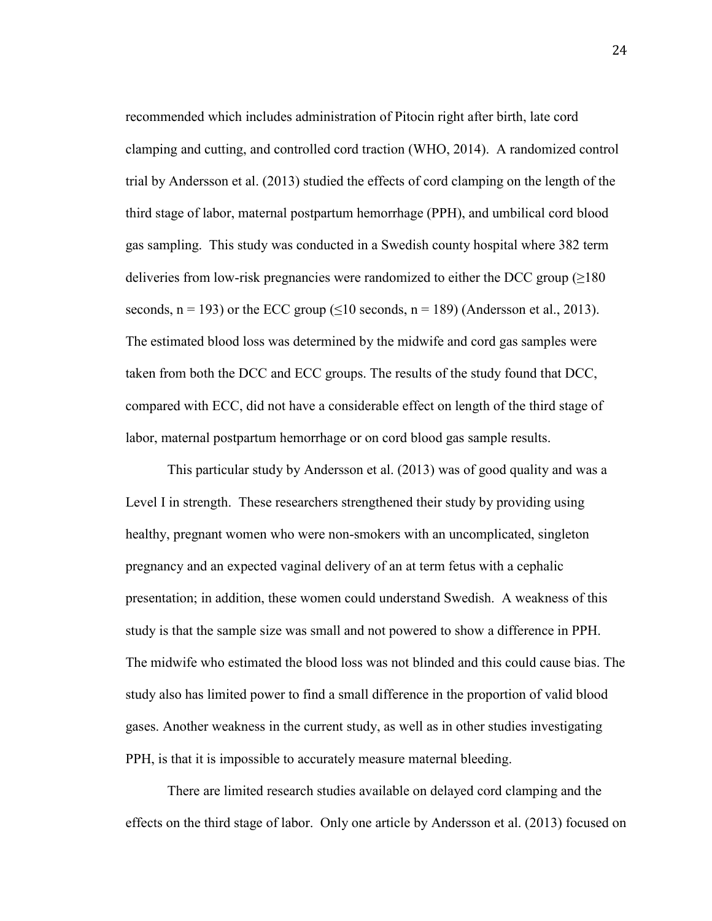recommended which includes administration of Pitocin right after birth, late cord clamping and cutting, and controlled cord traction (WHO, 2014). A randomized control trial by Andersson et al. (2013) studied the effects of cord clamping on the length of the third stage of labor, maternal postpartum hemorrhage (PPH), and umbilical cord blood gas sampling. This study was conducted in a Swedish county hospital where 382 term deliveries from low-risk pregnancies were randomized to either the DCC group  $(\geq 180$ seconds,  $n = 193$ ) or the ECC group ( $\leq 10$  seconds,  $n = 189$ ) (Andersson et al., 2013). The estimated blood loss was determined by the midwife and cord gas samples were taken from both the DCC and ECC groups. The results of the study found that DCC, compared with ECC, did not have a considerable effect on length of the third stage of labor, maternal postpartum hemorrhage or on cord blood gas sample results.

This particular study by Andersson et al. (2013) was of good quality and was a Level I in strength. These researchers strengthened their study by providing using healthy, pregnant women who were non-smokers with an uncomplicated, singleton pregnancy and an expected vaginal delivery of an at term fetus with a cephalic presentation; in addition, these women could understand Swedish. A weakness of this study is that the sample size was small and not powered to show a difference in PPH. The midwife who estimated the blood loss was not blinded and this could cause bias. The study also has limited power to find a small difference in the proportion of valid blood gases. Another weakness in the current study, as well as in other studies investigating PPH, is that it is impossible to accurately measure maternal bleeding.

There are limited research studies available on delayed cord clamping and the effects on the third stage of labor. Only one article by Andersson et al. (2013) focused on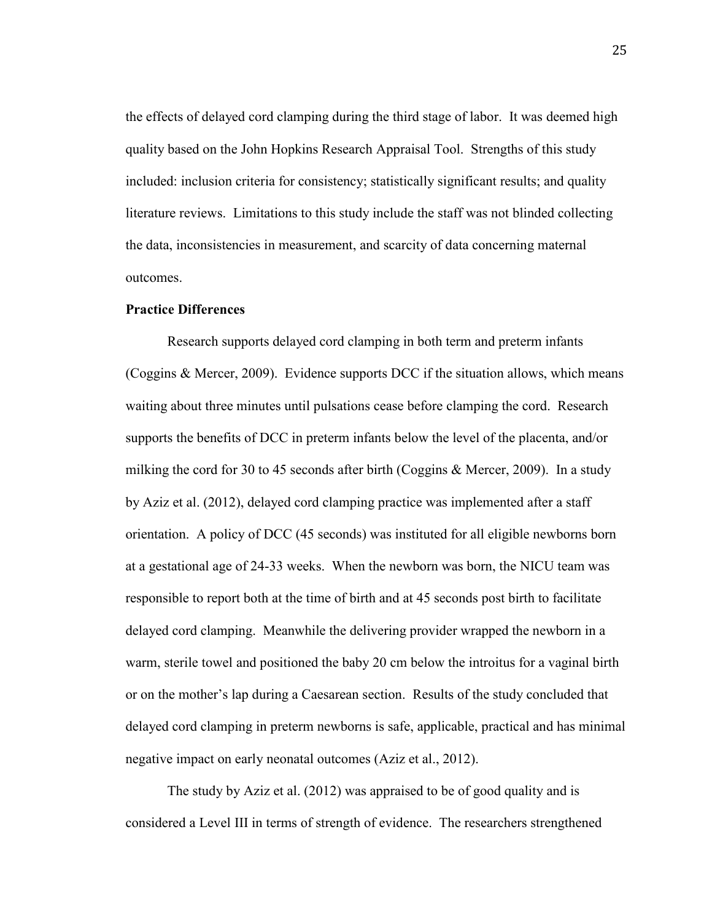the effects of delayed cord clamping during the third stage of labor. It was deemed high quality based on the John Hopkins Research Appraisal Tool. Strengths of this study included: inclusion criteria for consistency; statistically significant results; and quality literature reviews. Limitations to this study include the staff was not blinded collecting the data, inconsistencies in measurement, and scarcity of data concerning maternal outcomes.

#### **Practice Differences**

 Research supports delayed cord clamping in both term and preterm infants (Coggins & Mercer, 2009). Evidence supports DCC if the situation allows, which means waiting about three minutes until pulsations cease before clamping the cord. Research supports the benefits of DCC in preterm infants below the level of the placenta, and/or milking the cord for 30 to 45 seconds after birth (Coggins & Mercer, 2009). In a study by Aziz et al. (2012), delayed cord clamping practice was implemented after a staff orientation. A policy of DCC (45 seconds) was instituted for all eligible newborns born at a gestational age of 24-33 weeks. When the newborn was born, the NICU team was responsible to report both at the time of birth and at 45 seconds post birth to facilitate delayed cord clamping. Meanwhile the delivering provider wrapped the newborn in a warm, sterile towel and positioned the baby 20 cm below the introitus for a vaginal birth or on the mother's lap during a Caesarean section. Results of the study concluded that delayed cord clamping in preterm newborns is safe, applicable, practical and has minimal negative impact on early neonatal outcomes (Aziz et al., 2012).

The study by Aziz et al. (2012) was appraised to be of good quality and is considered a Level III in terms of strength of evidence. The researchers strengthened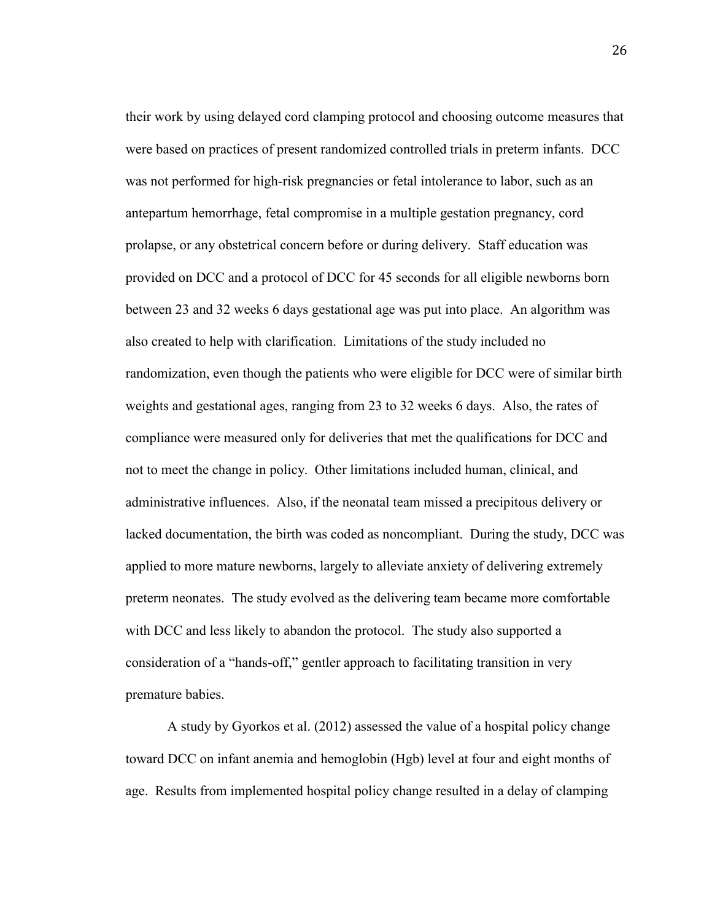their work by using delayed cord clamping protocol and choosing outcome measures that were based on practices of present randomized controlled trials in preterm infants. DCC was not performed for high-risk pregnancies or fetal intolerance to labor, such as an antepartum hemorrhage, fetal compromise in a multiple gestation pregnancy, cord prolapse, or any obstetrical concern before or during delivery. Staff education was provided on DCC and a protocol of DCC for 45 seconds for all eligible newborns born between 23 and 32 weeks 6 days gestational age was put into place. An algorithm was also created to help with clarification. Limitations of the study included no randomization, even though the patients who were eligible for DCC were of similar birth weights and gestational ages, ranging from 23 to 32 weeks 6 days. Also, the rates of compliance were measured only for deliveries that met the qualifications for DCC and not to meet the change in policy. Other limitations included human, clinical, and administrative influences. Also, if the neonatal team missed a precipitous delivery or lacked documentation, the birth was coded as noncompliant. During the study, DCC was applied to more mature newborns, largely to alleviate anxiety of delivering extremely preterm neonates. The study evolved as the delivering team became more comfortable with DCC and less likely to abandon the protocol. The study also supported a consideration of a "hands-off," gentler approach to facilitating transition in very premature babies.

A study by Gyorkos et al. (2012) assessed the value of a hospital policy change toward DCC on infant anemia and hemoglobin (Hgb) level at four and eight months of age. Results from implemented hospital policy change resulted in a delay of clamping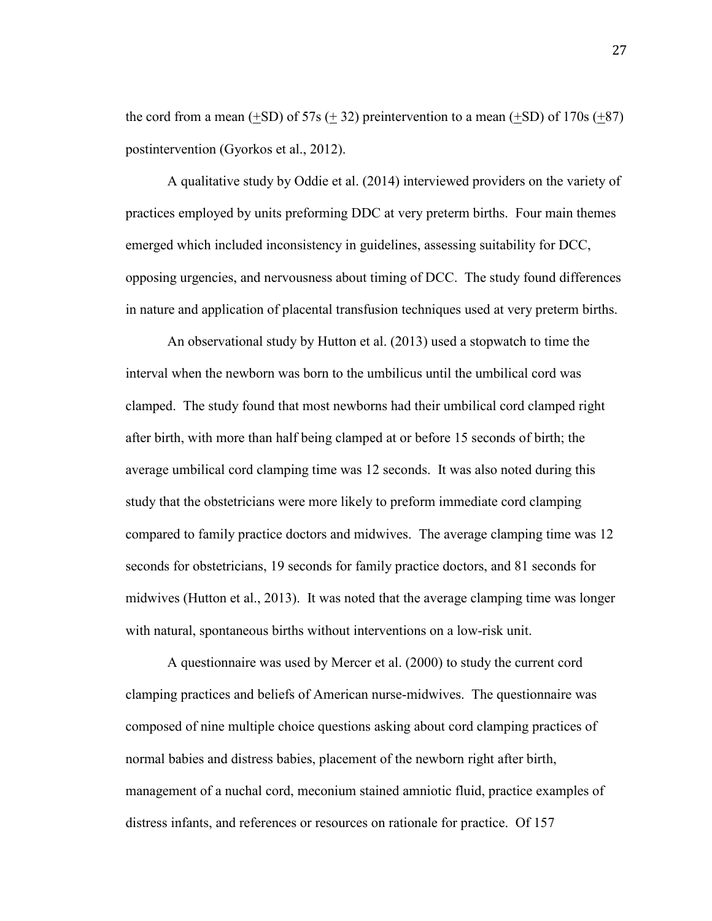the cord from a mean  $(+SD)$  of 57s  $(+32)$  preintervention to a mean  $(+SD)$  of 170s  $(+87)$ postintervention (Gyorkos et al., 2012).

 A qualitative study by Oddie et al. (2014) interviewed providers on the variety of practices employed by units preforming DDC at very preterm births. Four main themes emerged which included inconsistency in guidelines, assessing suitability for DCC, opposing urgencies, and nervousness about timing of DCC. The study found differences in nature and application of placental transfusion techniques used at very preterm births.

 An observational study by Hutton et al. (2013) used a stopwatch to time the interval when the newborn was born to the umbilicus until the umbilical cord was clamped. The study found that most newborns had their umbilical cord clamped right after birth, with more than half being clamped at or before 15 seconds of birth; the average umbilical cord clamping time was 12 seconds. It was also noted during this study that the obstetricians were more likely to preform immediate cord clamping compared to family practice doctors and midwives. The average clamping time was 12 seconds for obstetricians, 19 seconds for family practice doctors, and 81 seconds for midwives (Hutton et al., 2013). It was noted that the average clamping time was longer with natural, spontaneous births without interventions on a low-risk unit.

 A questionnaire was used by Mercer et al. (2000) to study the current cord clamping practices and beliefs of American nurse-midwives. The questionnaire was composed of nine multiple choice questions asking about cord clamping practices of normal babies and distress babies, placement of the newborn right after birth, management of a nuchal cord, meconium stained amniotic fluid, practice examples of distress infants, and references or resources on rationale for practice. Of 157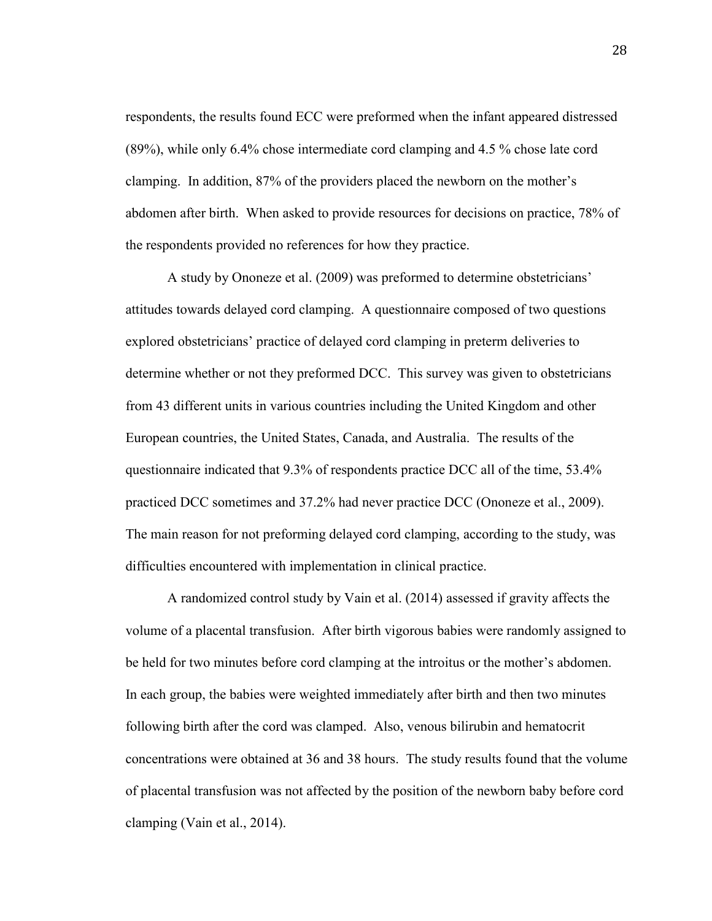respondents, the results found ECC were preformed when the infant appeared distressed (89%), while only 6.4% chose intermediate cord clamping and 4.5 % chose late cord clamping. In addition, 87% of the providers placed the newborn on the mother's abdomen after birth. When asked to provide resources for decisions on practice, 78% of the respondents provided no references for how they practice.

 A study by Ononeze et al. (2009) was preformed to determine obstetricians' attitudes towards delayed cord clamping. A questionnaire composed of two questions explored obstetricians' practice of delayed cord clamping in preterm deliveries to determine whether or not they preformed DCC. This survey was given to obstetricians from 43 different units in various countries including the United Kingdom and other European countries, the United States, Canada, and Australia. The results of the questionnaire indicated that 9.3% of respondents practice DCC all of the time, 53.4% practiced DCC sometimes and 37.2% had never practice DCC (Ononeze et al., 2009). The main reason for not preforming delayed cord clamping, according to the study, was difficulties encountered with implementation in clinical practice.

 A randomized control study by Vain et al. (2014) assessed if gravity affects the volume of a placental transfusion. After birth vigorous babies were randomly assigned to be held for two minutes before cord clamping at the introitus or the mother's abdomen. In each group, the babies were weighted immediately after birth and then two minutes following birth after the cord was clamped. Also, venous bilirubin and hematocrit concentrations were obtained at 36 and 38 hours. The study results found that the volume of placental transfusion was not affected by the position of the newborn baby before cord clamping (Vain et al., 2014).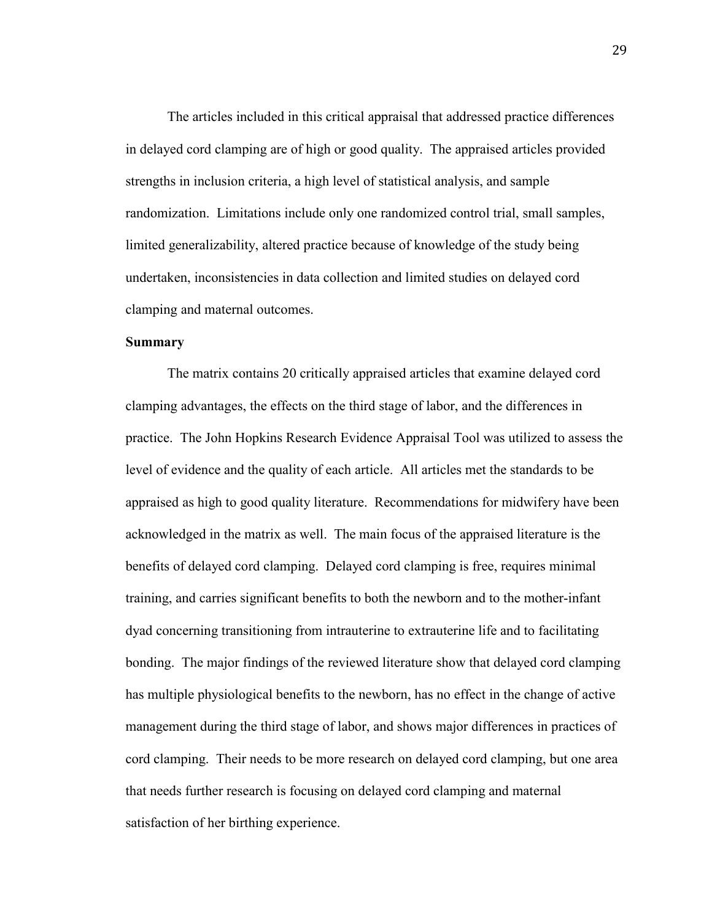The articles included in this critical appraisal that addressed practice differences in delayed cord clamping are of high or good quality. The appraised articles provided strengths in inclusion criteria, a high level of statistical analysis, and sample randomization. Limitations include only one randomized control trial, small samples, limited generalizability, altered practice because of knowledge of the study being undertaken, inconsistencies in data collection and limited studies on delayed cord clamping and maternal outcomes.

#### **Summary**

The matrix contains 20 critically appraised articles that examine delayed cord clamping advantages, the effects on the third stage of labor, and the differences in practice. The John Hopkins Research Evidence Appraisal Tool was utilized to assess the level of evidence and the quality of each article. All articles met the standards to be appraised as high to good quality literature. Recommendations for midwifery have been acknowledged in the matrix as well. The main focus of the appraised literature is the benefits of delayed cord clamping. Delayed cord clamping is free, requires minimal training, and carries significant benefits to both the newborn and to the mother-infant dyad concerning transitioning from intrauterine to extrauterine life and to facilitating bonding. The major findings of the reviewed literature show that delayed cord clamping has multiple physiological benefits to the newborn, has no effect in the change of active management during the third stage of labor, and shows major differences in practices of cord clamping. Their needs to be more research on delayed cord clamping, but one area that needs further research is focusing on delayed cord clamping and maternal satisfaction of her birthing experience.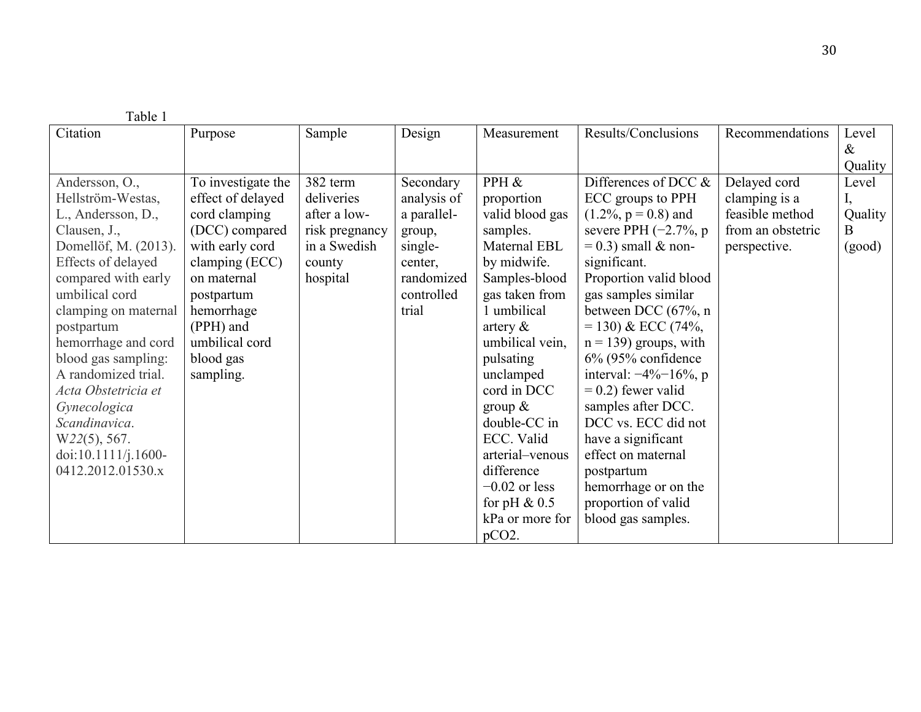| Table 1              |                    |                |             |                 |                             |                   |         |
|----------------------|--------------------|----------------|-------------|-----------------|-----------------------------|-------------------|---------|
| Citation             | Purpose            | Sample         | Design      | Measurement     | Results/Conclusions         | Recommendations   | Level   |
|                      |                    |                |             |                 |                             |                   | $\&$    |
|                      |                    |                |             |                 |                             |                   | Quality |
| Andersson, O.,       | To investigate the | 382 term       | Secondary   | PPH &           | Differences of DCC &        | Delayed cord      | Level   |
| Hellström-Westas,    | effect of delayed  | deliveries     | analysis of | proportion      | ECC groups to PPH           | clamping is a     |         |
| L., Andersson, D.,   | cord clamping      | after a low-   | a parallel- | valid blood gas | $(1.2\%, p = 0.8)$ and      | feasible method   | Quality |
| Clausen, J.,         | (DCC) compared     | risk pregnancy | group,      | samples.        | severe PPH $(-2.7\% , p$    | from an obstetric | B.      |
| Domellöf, M. (2013). | with early cord    | in a Swedish   | single-     | Maternal EBL    | $= 0.3$ ) small & non-      | perspective.      | (good)  |
| Effects of delayed   | clamping (ECC)     | county         | center,     | by midwife.     | significant.                |                   |         |
| compared with early  | on maternal        | hospital       | randomized  | Samples-blood   | Proportion valid blood      |                   |         |
| umbilical cord       | postpartum         |                | controlled  | gas taken from  | gas samples similar         |                   |         |
| clamping on maternal | hemorrhage         |                | trial       | 1 umbilical     | between DCC (67%, n         |                   |         |
| postpartum           | (PPH) and          |                |             | artery $\&$     | $= 130$ ) & ECC (74%,       |                   |         |
| hemorrhage and cord  | umbilical cord     |                |             | umbilical vein, | $n = 139$ ) groups, with    |                   |         |
| blood gas sampling:  | blood gas          |                |             | pulsating       | $6\%$ (95% confidence       |                   |         |
| A randomized trial.  | sampling.          |                |             | unclamped       | interval: $-4\% - 16\%$ , p |                   |         |
| Acta Obstetricia et  |                    |                |             | cord in DCC     | $= 0.2$ ) fewer valid       |                   |         |
| Gynecologica         |                    |                |             | group $\&$      | samples after DCC.          |                   |         |
| Scandinavica.        |                    |                |             | double-CC in    | DCC vs. ECC did not         |                   |         |
| $W22(5)$ , 567.      |                    |                |             | ECC. Valid      | have a significant          |                   |         |
| doi:10.1111/j.1600-  |                    |                |             | arterial-venous | effect on maternal          |                   |         |
| 0412.2012.01530.x    |                    |                |             | difference      | postpartum                  |                   |         |
|                      |                    |                |             | $-0.02$ or less | hemorrhage or on the        |                   |         |
|                      |                    |                |             | for pH $\&$ 0.5 | proportion of valid         |                   |         |
|                      |                    |                |             | kPa or more for | blood gas samples.          |                   |         |
|                      |                    |                |             | $pCO2$ .        |                             |                   |         |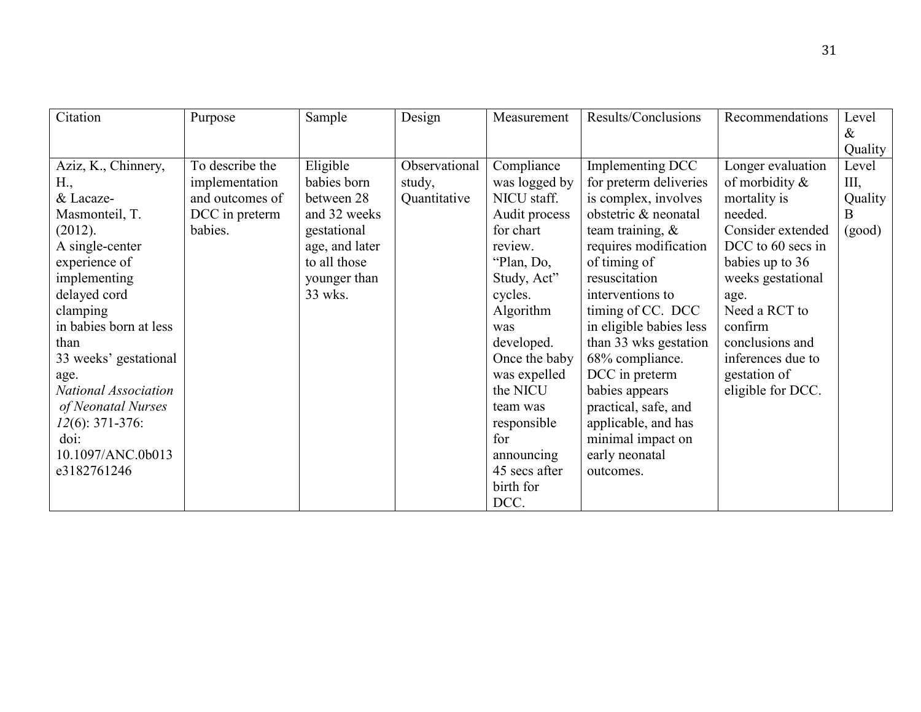| Citation               | Purpose         | Sample         | Design        | Measurement   | Results/Conclusions     | Recommendations   | Level   |
|------------------------|-----------------|----------------|---------------|---------------|-------------------------|-------------------|---------|
|                        |                 |                |               |               |                         |                   | $\&$    |
|                        |                 |                |               |               |                         |                   | Quality |
| Aziz, K., Chinnery,    | To describe the | Eligible       | Observational | Compliance    | Implementing DCC        | Longer evaluation | Level   |
| H.,                    | implementation  | babies born    | study,        | was logged by | for preterm deliveries  | of morbidity $\&$ | Ш,      |
| & Lacaze-              | and outcomes of | between 28     | Quantitative  | NICU staff.   | is complex, involves    | mortality is      | Quality |
| Masmonteil, T.         | DCC in preterm  | and 32 weeks   |               | Audit process | obstetric & neonatal    | needed.           | B       |
| (2012).                | babies.         | gestational    |               | for chart     | team training, $\&$     | Consider extended | (good)  |
| A single-center        |                 | age, and later |               | review.       | requires modification   | DCC to 60 secs in |         |
| experience of          |                 | to all those   |               | "Plan, Do,    | of timing of            | babies up to 36   |         |
| implementing           |                 | younger than   |               | Study, Act"   | resuscitation           | weeks gestational |         |
| delayed cord           |                 | 33 wks.        |               | cycles.       | interventions to        | age.              |         |
| clamping               |                 |                |               | Algorithm     | timing of CC. DCC       | Need a RCT to     |         |
| in babies born at less |                 |                |               | was           | in eligible babies less | confirm           |         |
| than                   |                 |                |               | developed.    | than 33 wks gestation   | conclusions and   |         |
| 33 weeks' gestational  |                 |                |               | Once the baby | 68% compliance.         | inferences due to |         |
| age.                   |                 |                |               | was expelled  | DCC in preterm          | gestation of      |         |
| National Association   |                 |                |               | the NICU      | babies appears          | eligible for DCC. |         |
| of Neonatal Nurses     |                 |                |               | team was      | practical, safe, and    |                   |         |
| $12(6)$ : 371-376:     |                 |                |               | responsible   | applicable, and has     |                   |         |
| $\dot{\text{doi:}}$    |                 |                |               | for           | minimal impact on       |                   |         |
| 10.1097/ANC.0b013      |                 |                |               | announcing    | early neonatal          |                   |         |
| e3182761246            |                 |                |               | 45 secs after | outcomes.               |                   |         |
|                        |                 |                |               | birth for     |                         |                   |         |
|                        |                 |                |               | DCC.          |                         |                   |         |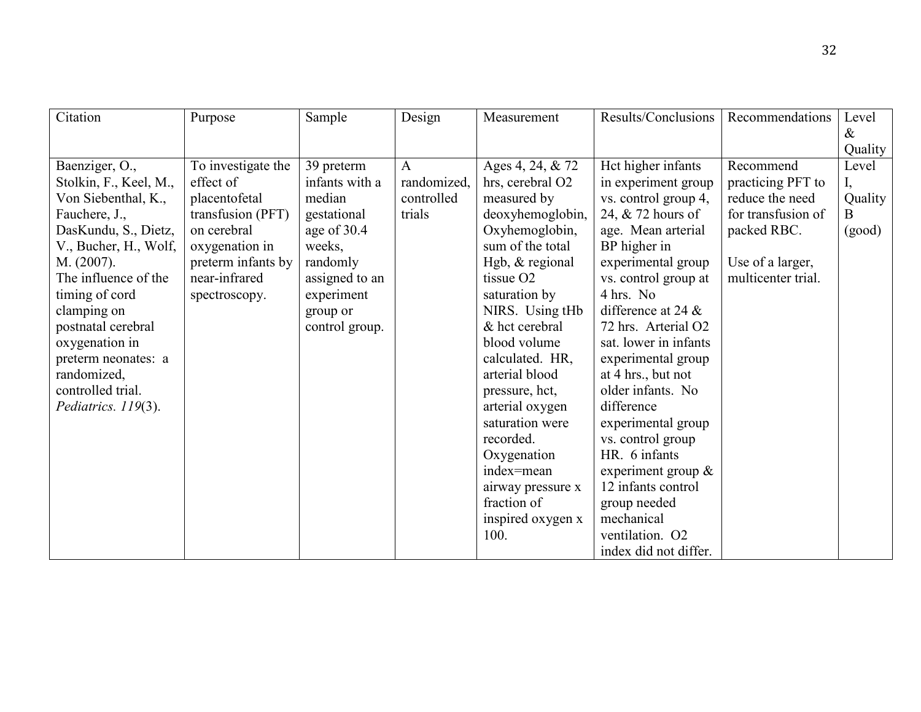| Citation               | Purpose            | Sample         | Design       | Measurement           | Results/Conclusions   | Recommendations    | Level                     |
|------------------------|--------------------|----------------|--------------|-----------------------|-----------------------|--------------------|---------------------------|
|                        |                    |                |              |                       |                       |                    | $\&$                      |
|                        |                    |                |              |                       |                       |                    | Quality                   |
| Baenziger, O.,         | To investigate the | 39 preterm     | $\mathbf{A}$ | Ages 4, 24, & 72      | Hct higher infants    | Recommend          | Level                     |
| Stolkin, F., Keel, M., | effect of          | infants with a | randomized,  | hrs, cerebral O2      | in experiment group   | practicing PFT to  | $\mathbf{I}_{\mathbf{z}}$ |
| Von Siebenthal, K.,    | placentofetal      | median         | controlled   | measured by           | vs. control group 4,  | reduce the need    | Quality                   |
| Fauchere, J.,          | transfusion (PFT)  | gestational    | trials       | deoxyhemoglobin,      | 24, & 72 hours of     | for transfusion of | B                         |
| DasKundu, S., Dietz,   | on cerebral        | age of 30.4    |              | Oxyhemoglobin,        | age. Mean arterial    | packed RBC.        | (good)                    |
| V., Bucher, H., Wolf,  | oxygenation in     | weeks,         |              | sum of the total      | BP higher in          |                    |                           |
| M. (2007).             | preterm infants by | randomly       |              | Hgb, & regional       | experimental group    | Use of a larger,   |                           |
| The influence of the   | near-infrared      | assigned to an |              | tissue O <sub>2</sub> | vs. control group at  | multicenter trial. |                           |
| timing of cord         | spectroscopy.      | experiment     |              | saturation by         | 4 hrs. No             |                    |                           |
| clamping on            |                    | group or       |              | NIRS. Using tHb       | difference at 24 $\&$ |                    |                           |
| postnatal cerebral     |                    | control group. |              | & hct cerebral        | 72 hrs. Arterial O2   |                    |                           |
| oxygenation in         |                    |                |              | blood volume          | sat. lower in infants |                    |                           |
| preterm neonates: a    |                    |                |              | calculated. HR,       | experimental group    |                    |                           |
| randomized,            |                    |                |              | arterial blood        | at 4 hrs., but not    |                    |                           |
| controlled trial.      |                    |                |              | pressure, hct,        | older infants. No     |                    |                           |
| Pediatrics. 119(3).    |                    |                |              | arterial oxygen       | difference            |                    |                           |
|                        |                    |                |              | saturation were       | experimental group    |                    |                           |
|                        |                    |                |              | recorded.             | vs. control group     |                    |                           |
|                        |                    |                |              | Oxygenation           | HR. 6 infants         |                    |                           |
|                        |                    |                |              | index=mean            | experiment group &    |                    |                           |
|                        |                    |                |              | airway pressure x     | 12 infants control    |                    |                           |
|                        |                    |                |              | fraction of           | group needed          |                    |                           |
|                        |                    |                |              | inspired oxygen x     | mechanical            |                    |                           |
|                        |                    |                |              | 100.                  | ventilation. O2       |                    |                           |
|                        |                    |                |              |                       | index did not differ. |                    |                           |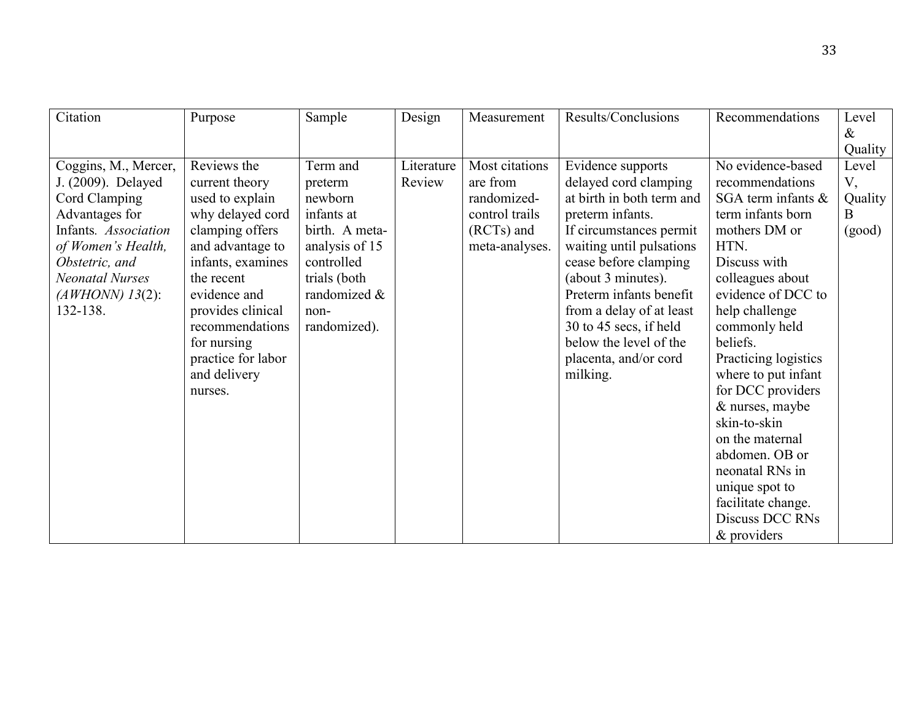| Citation                                                                                                                                                                                                 | Purpose                                                                                                                                                                                                                                                                | Sample                                                                                                                                                 | Design               | Measurement                                                                                 | Results/Conclusions                                                                                                                                                                                                                                                                                                                               | Recommendations                                                                                                                                                                                                                                                                                                                                                                                                                                               | Level<br>$\&$                                    |
|----------------------------------------------------------------------------------------------------------------------------------------------------------------------------------------------------------|------------------------------------------------------------------------------------------------------------------------------------------------------------------------------------------------------------------------------------------------------------------------|--------------------------------------------------------------------------------------------------------------------------------------------------------|----------------------|---------------------------------------------------------------------------------------------|---------------------------------------------------------------------------------------------------------------------------------------------------------------------------------------------------------------------------------------------------------------------------------------------------------------------------------------------------|---------------------------------------------------------------------------------------------------------------------------------------------------------------------------------------------------------------------------------------------------------------------------------------------------------------------------------------------------------------------------------------------------------------------------------------------------------------|--------------------------------------------------|
| Coggins, M., Mercer,<br>J. (2009). Delayed<br>Cord Clamping<br>Advantages for<br>Infants. Association<br>of Women's Health,<br>Obstetric, and<br><b>Neonatal Nurses</b><br>$(AWHONN)$ 13(2):<br>132-138. | Reviews the<br>current theory<br>used to explain<br>why delayed cord<br>clamping offers<br>and advantage to<br>infants, examines<br>the recent<br>evidence and<br>provides clinical<br>recommendations<br>for nursing<br>practice for labor<br>and delivery<br>nurses. | Term and<br>preterm<br>newborn<br>infants at<br>birth. A meta-<br>analysis of 15<br>controlled<br>trials (both<br>randomized &<br>non-<br>randomized). | Literature<br>Review | Most citations<br>are from<br>randomized-<br>control trails<br>(RCTs) and<br>meta-analyses. | Evidence supports<br>delayed cord clamping<br>at birth in both term and<br>preterm infants.<br>If circumstances permit<br>waiting until pulsations<br>cease before clamping<br>(about 3 minutes).<br>Preterm infants benefit<br>from a delay of at least<br>30 to 45 secs, if held<br>below the level of the<br>placenta, and/or cord<br>milking. | No evidence-based<br>recommendations<br>SGA term infants $\&$<br>term infants born<br>mothers DM or<br>HTN.<br>Discuss with<br>colleagues about<br>evidence of DCC to<br>help challenge<br>commonly held<br>beliefs.<br>Practicing logistics<br>where to put infant<br>for DCC providers<br>& nurses, maybe<br>skin-to-skin<br>on the maternal<br>abdomen. OB or<br>neonatal RNs in<br>unique spot to<br>facilitate change.<br>Discuss DCC RNs<br>& providers | Quality<br>Level<br>V,<br>Quality<br>B<br>(good) |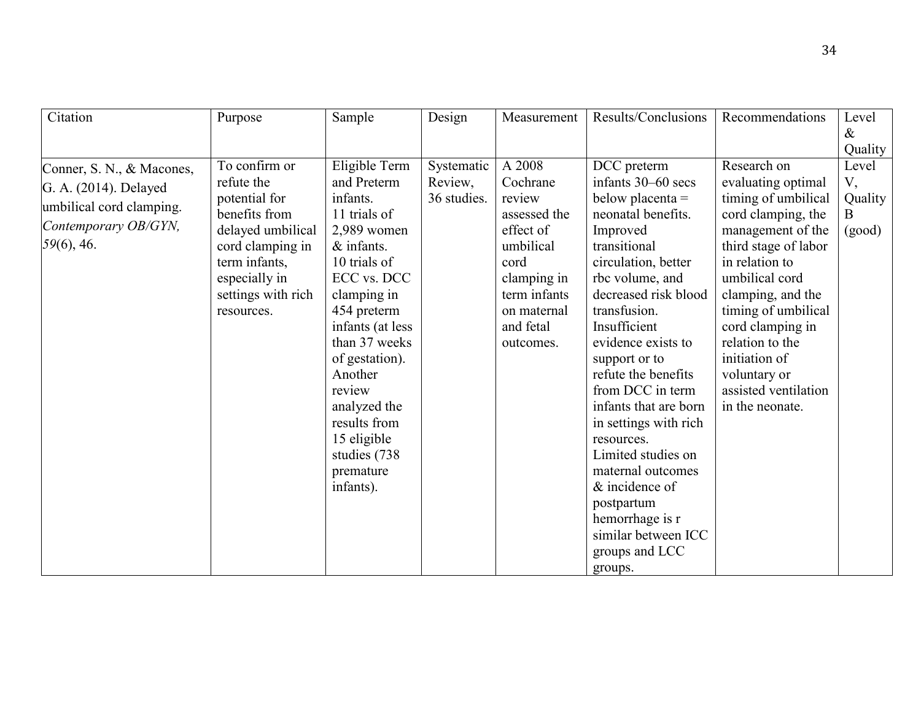| Citation                  | Purpose            | Sample           | Design      | Measurement  | Results/Conclusions   | Recommendations      | Level   |
|---------------------------|--------------------|------------------|-------------|--------------|-----------------------|----------------------|---------|
|                           |                    |                  |             |              |                       |                      | $\&$    |
|                           |                    |                  |             |              |                       |                      | Quality |
| Conner, S. N., & Macones, | To confirm or      | Eligible Term    | Systematic  | A 2008       | DCC preterm           | Research on          | Level   |
| G. A. (2014). Delayed     | refute the         | and Preterm      | Review,     | Cochrane     | infants 30–60 secs    | evaluating optimal   | V,      |
| umbilical cord clamping.  | potential for      | infants.         | 36 studies. | review       | below placenta $=$    | timing of umbilical  | Quality |
|                           | benefits from      | 11 trials of     |             | assessed the | neonatal benefits.    | cord clamping, the   | B.      |
| Contemporary OB/GYN,      | delayed umbilical  | $2,989$ women    |             | effect of    | Improved              | management of the    | (good)  |
| 59(6), 46.                | cord clamping in   | $&$ infants.     |             | umbilical    | transitional          | third stage of labor |         |
|                           | term infants,      | 10 trials of     |             | cord         | circulation, better   | in relation to       |         |
|                           | especially in      | ECC vs. DCC      |             | clamping in  | rbc volume, and       | umbilical cord       |         |
|                           | settings with rich | clamping in      |             | term infants | decreased risk blood  | clamping, and the    |         |
|                           | resources.         | 454 preterm      |             | on maternal  | transfusion.          | timing of umbilical  |         |
|                           |                    | infants (at less |             | and fetal    | Insufficient          | cord clamping in     |         |
|                           |                    | than 37 weeks    |             | outcomes.    | evidence exists to    | relation to the      |         |
|                           |                    | of gestation).   |             |              | support or to         | initiation of        |         |
|                           |                    | Another          |             |              | refute the benefits   | voluntary or         |         |
|                           |                    | review           |             |              | from DCC in term      | assisted ventilation |         |
|                           |                    | analyzed the     |             |              | infants that are born | in the neonate.      |         |
|                           |                    | results from     |             |              | in settings with rich |                      |         |
|                           |                    | 15 eligible      |             |              | resources.            |                      |         |
|                           |                    | studies (738)    |             |              | Limited studies on    |                      |         |
|                           |                    | premature        |             |              | maternal outcomes     |                      |         |
|                           |                    | infants).        |             |              | & incidence of        |                      |         |
|                           |                    |                  |             |              | postpartum            |                      |         |
|                           |                    |                  |             |              | hemorrhage is r       |                      |         |
|                           |                    |                  |             |              | similar between ICC   |                      |         |
|                           |                    |                  |             |              | groups and LCC        |                      |         |
|                           |                    |                  |             |              | groups.               |                      |         |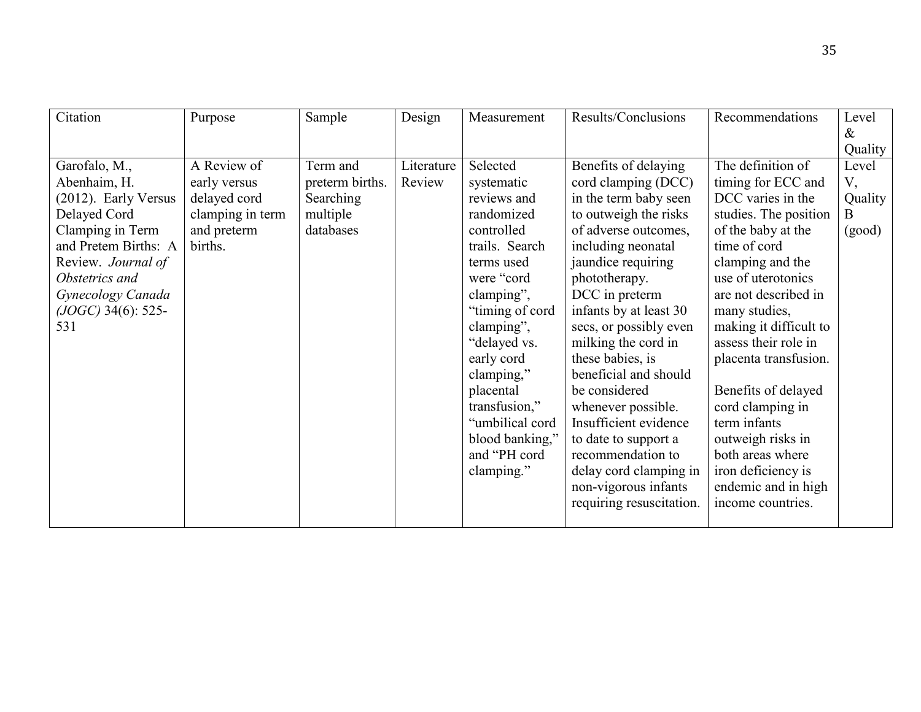| Citation                                                                                                                                                                                                      | Purpose                                                                                   | Sample                                                            | Design               | Measurement                                                                                                                                                                                                                                                                                                   | Results/Conclusions                                                                                                                                                                                                                                                                                                                                                                                                                                                                         | Recommendations                                                                                                                                                                                                                                                                                                                                                                                                                            | Level                                                     |
|---------------------------------------------------------------------------------------------------------------------------------------------------------------------------------------------------------------|-------------------------------------------------------------------------------------------|-------------------------------------------------------------------|----------------------|---------------------------------------------------------------------------------------------------------------------------------------------------------------------------------------------------------------------------------------------------------------------------------------------------------------|---------------------------------------------------------------------------------------------------------------------------------------------------------------------------------------------------------------------------------------------------------------------------------------------------------------------------------------------------------------------------------------------------------------------------------------------------------------------------------------------|--------------------------------------------------------------------------------------------------------------------------------------------------------------------------------------------------------------------------------------------------------------------------------------------------------------------------------------------------------------------------------------------------------------------------------------------|-----------------------------------------------------------|
|                                                                                                                                                                                                               |                                                                                           |                                                                   |                      |                                                                                                                                                                                                                                                                                                               |                                                                                                                                                                                                                                                                                                                                                                                                                                                                                             |                                                                                                                                                                                                                                                                                                                                                                                                                                            |                                                           |
| Garofalo, M.,<br>Abenhaim, H.<br>(2012). Early Versus<br>Delayed Cord<br>Clamping in Term<br>and Pretem Births: A<br>Review. Journal of<br>Obstetrics and<br>Gynecology Canada<br>$(JOGC)$ 34(6): 525-<br>531 | A Review of<br>early versus<br>delayed cord<br>clamping in term<br>and preterm<br>births. | Term and<br>preterm births.<br>Searching<br>multiple<br>databases | Literature<br>Review | Selected<br>systematic<br>reviews and<br>randomized<br>controlled<br>trails. Search<br>terms used<br>were "cord<br>clamping",<br>"timing of cord"<br>clamping",<br>"delayed vs.<br>early cord<br>clamping,"<br>placental<br>transfusion,"<br>"umbilical cord<br>blood banking,"<br>and "PH cord<br>clamping." | Benefits of delaying<br>cord clamping (DCC)<br>in the term baby seen<br>to outweigh the risks<br>of adverse outcomes,<br>including neonatal<br>jaundice requiring<br>phototherapy.<br>DCC in preterm<br>infants by at least 30<br>secs, or possibly even<br>milking the cord in<br>these babies, is<br>beneficial and should<br>be considered<br>whenever possible.<br>Insufficient evidence<br>to date to support a<br>recommendation to<br>delay cord clamping in<br>non-vigorous infants | The definition of<br>timing for ECC and<br>DCC varies in the<br>studies. The position<br>of the baby at the<br>time of cord<br>clamping and the<br>use of uterotonics<br>are not described in<br>many studies,<br>making it difficult to<br>assess their role in<br>placenta transfusion.<br>Benefits of delayed<br>cord clamping in<br>term infants<br>outweigh risks in<br>both areas where<br>iron deficiency is<br>endemic and in high | $\&$<br>Quality<br>Level<br>V,<br>Quality<br>B.<br>(good) |
|                                                                                                                                                                                                               |                                                                                           |                                                                   |                      |                                                                                                                                                                                                                                                                                                               | requiring resuscitation.                                                                                                                                                                                                                                                                                                                                                                                                                                                                    | income countries.                                                                                                                                                                                                                                                                                                                                                                                                                          |                                                           |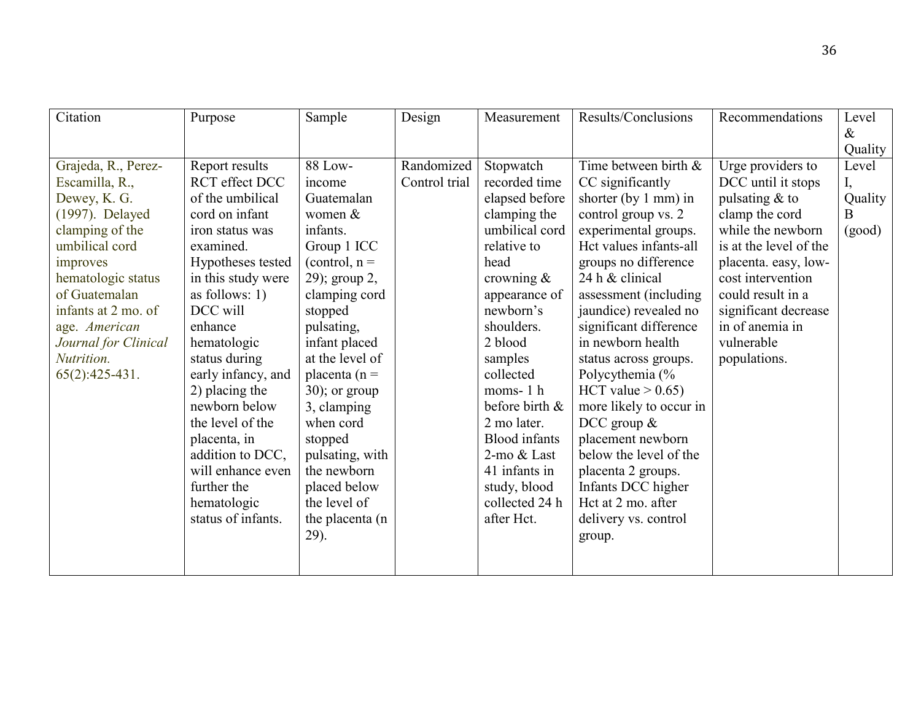| Citation             | Purpose               | Sample           | Design        | Measurement          | Results/Conclusions             | Recommendations        | Level            |
|----------------------|-----------------------|------------------|---------------|----------------------|---------------------------------|------------------------|------------------|
|                      |                       |                  |               |                      |                                 |                        | $\&$             |
| Grajeda, R., Perez-  | Report results        | 88 Low-          | Randomized    | Stopwatch            | Time between birth &            | Urge providers to      | Quality<br>Level |
| Escamilla, R.,       | <b>RCT</b> effect DCC | income           | Control trial | recorded time        | CC significantly                | DCC until it stops     |                  |
| Dewey, K. G.         | of the umbilical      | Guatemalan       |               | elapsed before       | shorter (by $1 \text{ mm}$ ) in | pulsating $&$ to       | Quality          |
| (1997). Delayed      | cord on infant        | women $&$        |               | clamping the         | control group vs. 2             | clamp the cord         | B                |
| clamping of the      | iron status was       | infants.         |               | umbilical cord       | experimental groups.            | while the newborn      | (good)           |
| umbilical cord       | examined.             | Group 1 ICC      |               | relative to          | Hct values infants-all          | is at the level of the |                  |
| improves             | Hypotheses tested     | (control, $n =$  |               | head                 | groups no difference            | placenta. easy, low-   |                  |
| hematologic status   | in this study were    | 29); group 2,    |               | crowning $\&$        | 24 h & clinical                 | cost intervention      |                  |
| of Guatemalan        | as follows: $1)$      | clamping cord    |               | appearance of        | assessment (including           | could result in a      |                  |
| infants at 2 mo. of  | DCC will              | stopped          |               | newborn's            | jaundice) revealed no           | significant decrease   |                  |
| age. American        | enhance               | pulsating,       |               | shoulders.           | significant difference          | in of anemia in        |                  |
| Journal for Clinical | hematologic           | infant placed    |               | 2 blood              | in newborn health               | vulnerable             |                  |
| Nutrition.           | status during         | at the level of  |               | samples              | status across groups.           | populations.           |                  |
| $65(2):425-431.$     | early infancy, and    | placenta ( $n =$ |               | collected            | Polycythemia (%                 |                        |                  |
|                      | 2) placing the        | $30$ ; or group  |               | moms- $1h$           | HCT value $> 0.65$ )            |                        |                  |
|                      | newborn below         | 3, clamping      |               | before birth &       | more likely to occur in         |                        |                  |
|                      | the level of the      | when cord        |               | 2 mo later.          | DCC group $\&$                  |                        |                  |
|                      | placenta, in          | stopped          |               | <b>Blood</b> infants | placement newborn               |                        |                  |
|                      | addition to DCC,      | pulsating, with  |               | 2-mo & Last          | below the level of the          |                        |                  |
|                      | will enhance even     | the newborn      |               | 41 infants in        | placenta 2 groups.              |                        |                  |
|                      | further the           | placed below     |               | study, blood         | Infants DCC higher              |                        |                  |
|                      | hematologic           | the level of     |               | collected 24 h       | Hct at 2 mo. after              |                        |                  |
|                      | status of infants.    | the placenta (n  |               | after Hct.           | delivery vs. control            |                        |                  |
|                      |                       | 29).             |               |                      | group.                          |                        |                  |
|                      |                       |                  |               |                      |                                 |                        |                  |
|                      |                       |                  |               |                      |                                 |                        |                  |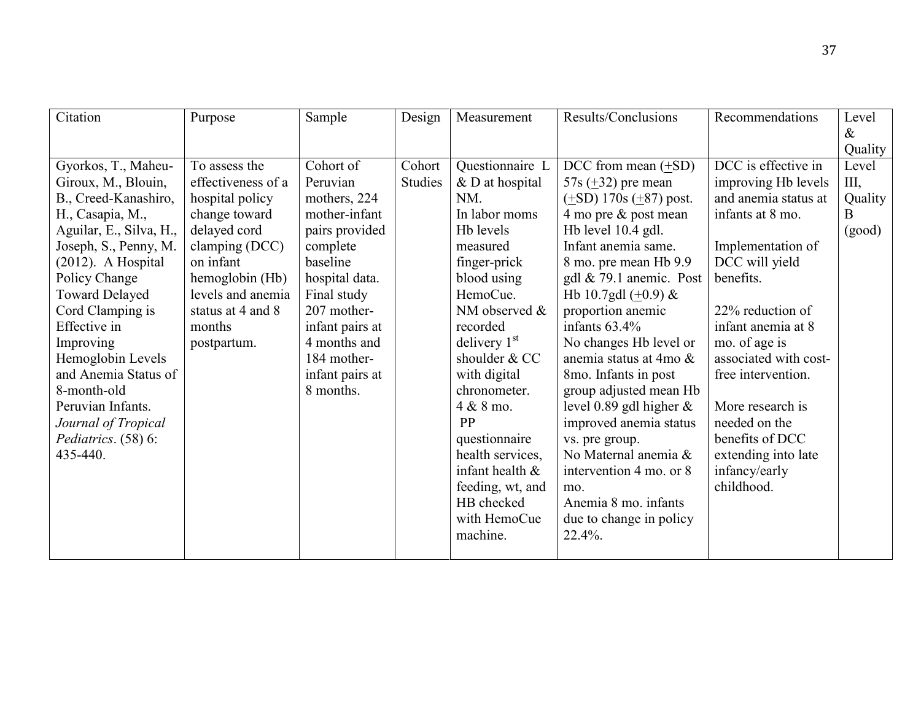| Citation                | Purpose            | Sample          | Design         | Measurement        | Results/Conclusions              | Recommendations       | Level   |
|-------------------------|--------------------|-----------------|----------------|--------------------|----------------------------------|-----------------------|---------|
|                         |                    |                 |                |                    |                                  |                       | $\&$    |
|                         |                    |                 |                |                    |                                  |                       | Quality |
| Gyorkos, T., Maheu-     | To assess the      | Cohort of       | Cohort         | Questionnaire L    | DCC from mean $(\pm SD)$         | DCC is effective in   | Level   |
| Giroux, M., Blouin,     | effectiveness of a | Peruvian        | <b>Studies</b> | $&D$ at hospital   | 57s $(\pm 32)$ pre mean          | improving Hb levels   | Ш.      |
| B., Creed-Kanashiro,    | hospital policy    | mothers, 224    |                | NM.                | $(\pm SD)$ 170s $(\pm 87)$ post. | and anemia status at  | Quality |
| H., Casapia, M.,        | change toward      | mother-infant   |                | In labor moms      | 4 mo pre & post mean             | infants at 8 mo.      | B       |
| Aguilar, E., Silva, H., | delayed cord       | pairs provided  |                | Hb levels          | Hb level 10.4 gdl.               |                       | (good)  |
| Joseph, S., Penny, M.   | clamping (DCC)     | complete        |                | measured           | Infant anemia same.              | Implementation of     |         |
| $(2012)$ . A Hospital   | on infant          | baseline        |                | finger-prick       | 8 mo. pre mean Hb 9.9            | DCC will yield        |         |
| Policy Change           | hemoglobin (Hb)    | hospital data.  |                | blood using        | gdl $& 79.1$ anemic. Post        | benefits.             |         |
| <b>Toward Delayed</b>   | levels and anemia  | Final study     |                | HemoCue.           | Hb 10.7gdl $(+0.9)$ &            |                       |         |
| Cord Clamping is        | status at 4 and 8  | 207 mother-     |                | NM observed &      | proportion anemic                | 22% reduction of      |         |
| Effective in            | months             | infant pairs at |                | recorded           | infants $63.4\%$                 | infant anemia at 8    |         |
| Improving               | postpartum.        | 4 months and    |                | delivery $1st$     | No changes Hb level or           | mo. of age is         |         |
| Hemoglobin Levels       |                    | 184 mother-     |                | shoulder & CC      | anemia status at 4mo &           | associated with cost- |         |
| and Anemia Status of    |                    | infant pairs at |                | with digital       | 8mo. Infants in post             | free intervention.    |         |
| 8-month-old             |                    | 8 months.       |                | chronometer.       | group adjusted mean Hb           |                       |         |
| Peruvian Infants.       |                    |                 |                | 4 & 8 mo.          | level 0.89 gdl higher $\&$       | More research is      |         |
| Journal of Tropical     |                    |                 |                | PP                 | improved anemia status           | needed on the         |         |
| Pediatrics. (58) 6:     |                    |                 |                | questionnaire      | vs. pre group.                   | benefits of DCC       |         |
| 435-440.                |                    |                 |                | health services,   | No Maternal anemia &             | extending into late   |         |
|                         |                    |                 |                | infant health $\&$ | intervention 4 mo. or 8          | infancy/early         |         |
|                         |                    |                 |                | feeding, wt, and   | mo.                              | childhood.            |         |
|                         |                    |                 |                | HB checked         | Anemia 8 mo. infants             |                       |         |
|                         |                    |                 |                | with HemoCue       | due to change in policy          |                       |         |
|                         |                    |                 |                | machine.           | $22.4\%$ .                       |                       |         |
|                         |                    |                 |                |                    |                                  |                       |         |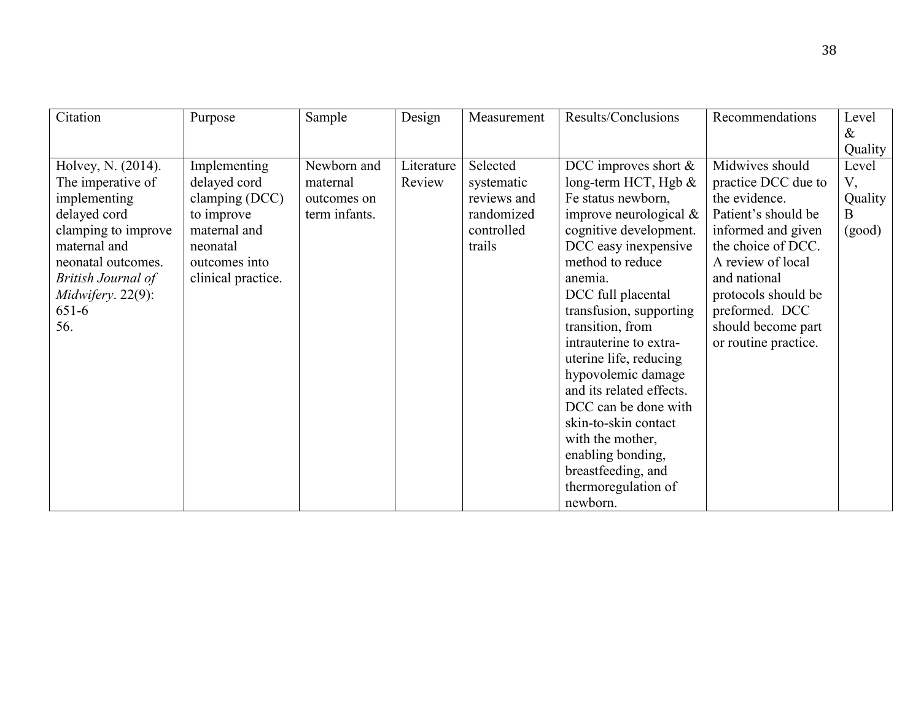| Citation             | Purpose            | Sample        | Design     | Measurement | Results/Conclusions       | Recommendations      | Level   |
|----------------------|--------------------|---------------|------------|-------------|---------------------------|----------------------|---------|
|                      |                    |               |            |             |                           |                      | $\&$    |
|                      |                    |               |            |             |                           |                      | Quality |
| Holvey, N. (2014).   | Implementing       | Newborn and   | Literature | Selected    | DCC improves short $\&$   | Midwives should      | Level   |
| The imperative of    | delayed cord       | maternal      | Review     | systematic  | long-term HCT, Hgb $&$    | practice DCC due to  | V,      |
| implementing         | clamping (DCC)     | outcomes on   |            | reviews and | Fe status newborn,        | the evidence.        | Quality |
| delayed cord         | to improve         | term infants. |            | randomized  | improve neurological $\&$ | Patient's should be  | B       |
| clamping to improve  | maternal and       |               |            | controlled  | cognitive development.    | informed and given   | (good)  |
| maternal and         | neonatal           |               |            | trails      | DCC easy inexpensive      | the choice of DCC.   |         |
| neonatal outcomes.   | outcomes into      |               |            |             | method to reduce          | A review of local    |         |
| British Journal of   | clinical practice. |               |            |             | anemia.                   | and national         |         |
| $Midwifery. 22(9)$ : |                    |               |            |             | DCC full placental        | protocols should be  |         |
| $651 - 6$            |                    |               |            |             | transfusion, supporting   | preformed. DCC       |         |
| 56.                  |                    |               |            |             | transition, from          | should become part   |         |
|                      |                    |               |            |             | intrauterine to extra-    | or routine practice. |         |
|                      |                    |               |            |             | uterine life, reducing    |                      |         |
|                      |                    |               |            |             | hypovolemic damage        |                      |         |
|                      |                    |               |            |             | and its related effects.  |                      |         |
|                      |                    |               |            |             | DCC can be done with      |                      |         |
|                      |                    |               |            |             | skin-to-skin contact      |                      |         |
|                      |                    |               |            |             | with the mother,          |                      |         |
|                      |                    |               |            |             | enabling bonding,         |                      |         |
|                      |                    |               |            |             | breastfeeding, and        |                      |         |
|                      |                    |               |            |             | thermoregulation of       |                      |         |
|                      |                    |               |            |             | newborn.                  |                      |         |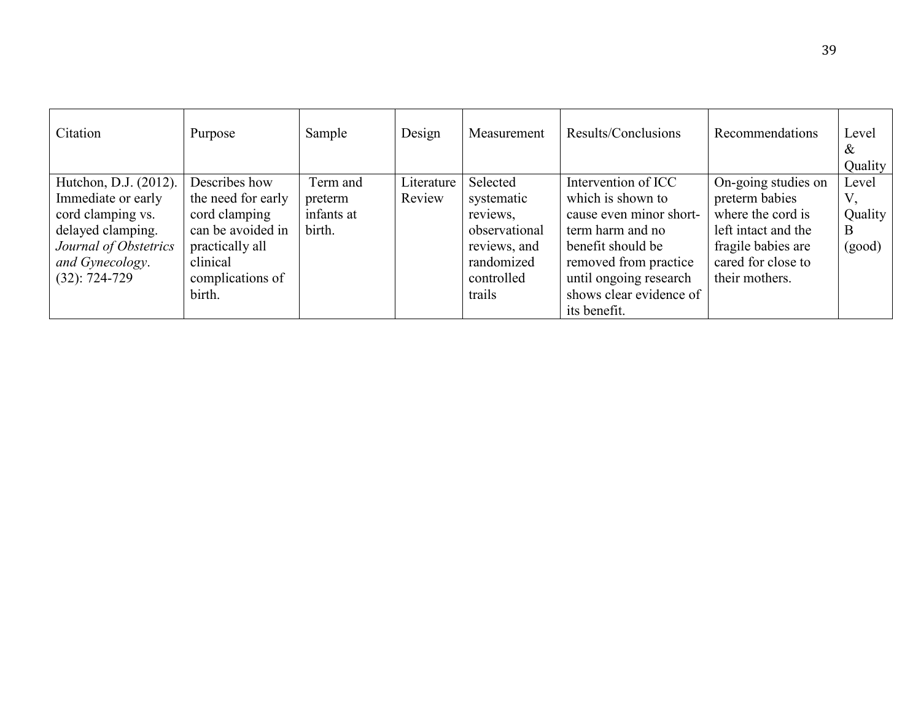| Citation                                                                                                                                             | Purpose                                                                                                                                | Sample                                      | Design               | Measurement                                                                                               | Results/Conclusions                                                                                                                                                                                        | Recommendations                                                                                                                                 | Level<br>&<br>Quality           |
|------------------------------------------------------------------------------------------------------------------------------------------------------|----------------------------------------------------------------------------------------------------------------------------------------|---------------------------------------------|----------------------|-----------------------------------------------------------------------------------------------------------|------------------------------------------------------------------------------------------------------------------------------------------------------------------------------------------------------------|-------------------------------------------------------------------------------------------------------------------------------------------------|---------------------------------|
| Hutchon, D.J. (2012).<br>Immediate or early<br>cord clamping vs.<br>delayed clamping.<br>Journal of Obstetrics<br>and Gynecology.<br>$(32): 724-729$ | Describes how<br>the need for early<br>cord clamping<br>can be avoided in<br>practically all<br>clinical<br>complications of<br>birth. | Term and<br>preterm<br>infants at<br>birth. | Literature<br>Review | Selected<br>systematic<br>reviews,<br>observational<br>reviews, and<br>randomized<br>controlled<br>trails | Intervention of ICC<br>which is shown to<br>cause even minor short-<br>term harm and no<br>benefit should be<br>removed from practice<br>until ongoing research<br>shows clear evidence of<br>its benefit. | On-going studies on<br>preterm babies<br>where the cord is<br>left intact and the<br>fragile babies are<br>cared for close to<br>their mothers. | Level<br>Quality<br>B<br>(good) |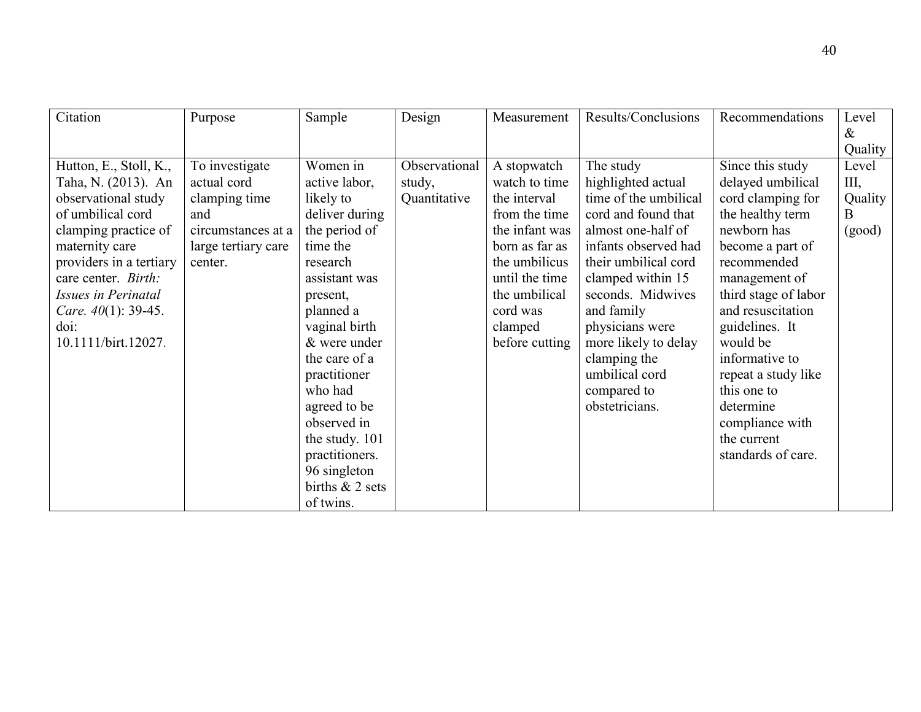| Citation                      | Purpose             | Sample            | Design        | Measurement    | Results/Conclusions   | Recommendations      | Level   |
|-------------------------------|---------------------|-------------------|---------------|----------------|-----------------------|----------------------|---------|
|                               |                     |                   |               |                |                       |                      | $\&$    |
|                               |                     |                   |               |                |                       |                      | Quality |
| Hutton, E., Stoll, K.,        | To investigate      | Women in          | Observational | A stopwatch    | The study             | Since this study     | Level   |
| Taha, N. (2013). An           | actual cord         | active labor,     | study,        | watch to time  | highlighted actual    | delayed umbilical    | Ш,      |
| observational study           | clamping time       | likely to         | Quantitative  | the interval   | time of the umbilical | cord clamping for    | Quality |
| of umbilical cord             | and                 | deliver during    |               | from the time  | cord and found that   | the healthy term     | B       |
| clamping practice of          | circumstances at a  | the period of     |               | the infant was | almost one-half of    | newborn has          | (good)  |
| maternity care                | large tertiary care | time the          |               | born as far as | infants observed had  | become a part of     |         |
| providers in a tertiary       | center.             | research          |               | the umbilicus  | their umbilical cord  | recommended          |         |
| care center. Birth:           |                     | assistant was     |               | until the time | clamped within 15     | management of        |         |
| <b>Issues in Perinatal</b>    |                     | present,          |               | the umbilical  | seconds. Midwives     | third stage of labor |         |
| <i>Care.</i> $40(1)$ : 39-45. |                     | planned a         |               | cord was       | and family            | and resuscitation    |         |
| $\dot{\text{doi:}}$           |                     | vaginal birth     |               | clamped        | physicians were       | guidelines. It       |         |
| 10.1111/birt.12027.           |                     | & were under      |               | before cutting | more likely to delay  | would be             |         |
|                               |                     | the care of a     |               |                | clamping the          | informative to       |         |
|                               |                     | practitioner      |               |                | umbilical cord        | repeat a study like  |         |
|                               |                     | who had           |               |                | compared to           | this one to          |         |
|                               |                     | agreed to be      |               |                | obstetricians.        | determine            |         |
|                               |                     | observed in       |               |                |                       | compliance with      |         |
|                               |                     | the study. 101    |               |                |                       | the current          |         |
|                               |                     | practitioners.    |               |                |                       | standards of care.   |         |
|                               |                     | 96 singleton      |               |                |                       |                      |         |
|                               |                     | births $& 2$ sets |               |                |                       |                      |         |
|                               |                     | of twins.         |               |                |                       |                      |         |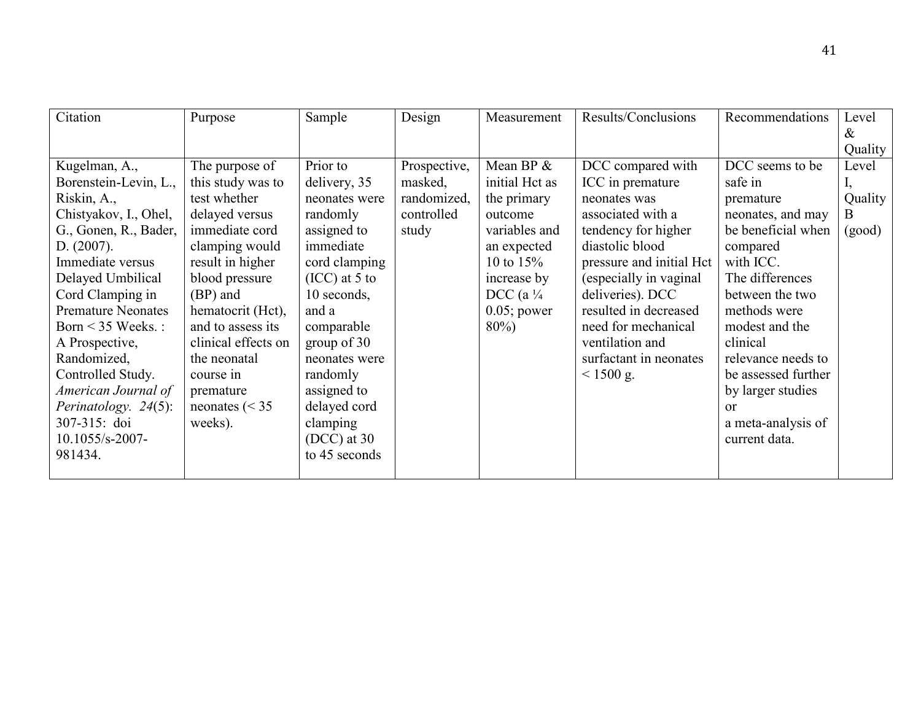| Citation                  | Purpose             | Sample          | Design       | Measurement          | Results/Conclusions      | Recommendations     | Level   |
|---------------------------|---------------------|-----------------|--------------|----------------------|--------------------------|---------------------|---------|
|                           |                     |                 |              |                      |                          |                     | &       |
|                           |                     |                 |              |                      |                          |                     | Quality |
| Kugelman, A.,             | The purpose of      | Prior to        | Prospective, | Mean BP $\&$         | DCC compared with        | DCC seems to be     | Level   |
| Borenstein-Levin, L.,     | this study was to   | delivery, 35    | masked,      | initial Hct as       | ICC in premature         | safe in             |         |
| Riskin, A.,               | test whether        | neonates were   | randomized,  | the primary          | neonates was             | premature           | Quality |
| Chistyakov, I., Ohel,     | delayed versus      | randomly        | controlled   | outcome              | associated with a        | neonates, and may   | B.      |
| G., Gonen, R., Bader,     | immediate cord      | assigned to     | study        | variables and        | tendency for higher      | be beneficial when  | (good)  |
| D. (2007).                | clamping would      | immediate       |              | an expected          | diastolic blood          | compared            |         |
| Immediate versus          | result in higher    | cord clamping   |              | 10 to $15%$          | pressure and initial Hct | with ICC.           |         |
| Delayed Umbilical         | blood pressure      | $(ICC)$ at 5 to |              | increase by          | (especially in vaginal   | The differences     |         |
| Cord Clamping in          | (BP) and            | 10 seconds,     |              | DCC (a $\frac{1}{4}$ | deliveries). DCC         | between the two     |         |
| <b>Premature Neonates</b> | hematocrit (Hct),   | and a           |              | $0.05$ ; power       | resulted in decreased    | methods were        |         |
| Born $\leq$ 35 Weeks. :   | and to assess its   | comparable      |              | $80\%$               | need for mechanical      | modest and the      |         |
| A Prospective,            | clinical effects on | group of $30$   |              |                      | ventilation and          | clinical            |         |
| Randomized,               | the neonatal        | neonates were   |              |                      | surfactant in neonates   | relevance needs to  |         |
| Controlled Study.         | course in           | randomly        |              |                      | $< 1500$ g.              | be assessed further |         |
| American Journal of       | premature           | assigned to     |              |                      |                          | by larger studies   |         |
| Perinatology. 24(5):      | neonates ( $\le$ 35 | delayed cord    |              |                      |                          | $\alpha$            |         |
| 307-315: doi              | weeks).             | clamping        |              |                      |                          | a meta-analysis of  |         |
| 10.1055/s-2007-           |                     | $(DCC)$ at 30   |              |                      |                          | current data.       |         |
| 981434.                   |                     | to 45 seconds   |              |                      |                          |                     |         |
|                           |                     |                 |              |                      |                          |                     |         |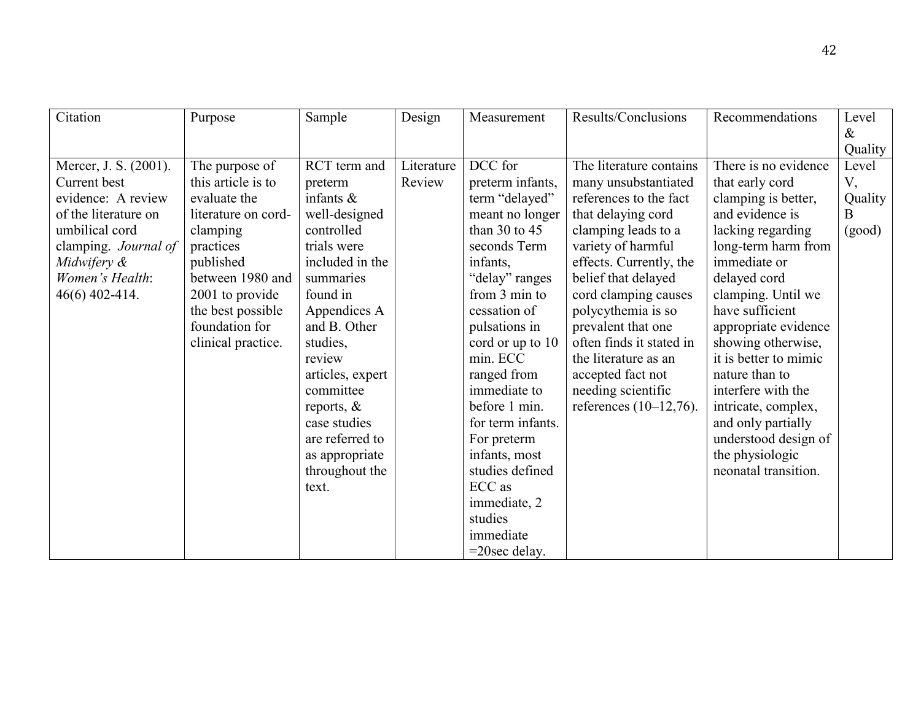| Citation              | Purpose             | Sample           | Design     | Measurement       | Results/Conclusions       | Recommendations       | Level   |
|-----------------------|---------------------|------------------|------------|-------------------|---------------------------|-----------------------|---------|
|                       |                     |                  |            |                   |                           |                       | $\&$    |
|                       |                     |                  |            |                   |                           |                       | Quality |
| Mercer, J. S. (2001). | The purpose of      | RCT term and     | Literature | DCC for           | The literature contains   | There is no evidence  | Level   |
| Current best          | this article is to  | preterm          | Review     | preterm infants,  | many unsubstantiated      | that early cord       | V,      |
| evidence: A review    | evaluate the        | infants $\&$     |            | term "delayed"    | references to the fact    | clamping is better,   | Quality |
| of the literature on  | literature on cord- | well-designed    |            | meant no longer   | that delaying cord        | and evidence is       | Β       |
| umbilical cord        | clamping            | controlled       |            | than 30 to $45$   | clamping leads to a       | lacking regarding     | (good)  |
| clamping. Journal of  | practices           | trials were      |            | seconds Term      | variety of harmful        | long-term harm from   |         |
| Midwifery &           | published           | included in the  |            | infants,          | effects. Currently, the   | immediate or          |         |
| Women's Health:       | between 1980 and    | summaries        |            | "delay" ranges    | belief that delayed       | delayed cord          |         |
| 46(6) 402-414.        | 2001 to provide     | found in         |            | from 3 min to     | cord clamping causes      | clamping. Until we    |         |
|                       | the best possible   | Appendices A     |            | cessation of      | polycythemia is so        | have sufficient       |         |
|                       | foundation for      | and B. Other     |            | pulsations in     | prevalent that one        | appropriate evidence  |         |
|                       | clinical practice.  | studies,         |            | cord or up to 10  | often finds it stated in  | showing otherwise,    |         |
|                       |                     | review           |            | min. ECC          | the literature as an      | it is better to mimic |         |
|                       |                     | articles, expert |            | ranged from       | accepted fact not         | nature than to        |         |
|                       |                     | committee        |            | immediate to      | needing scientific        | interfere with the    |         |
|                       |                     | reports, $\&$    |            | before 1 min.     | references $(10-12,76)$ . | intricate, complex,   |         |
|                       |                     | case studies     |            | for term infants. |                           | and only partially    |         |
|                       |                     | are referred to  |            | For preterm       |                           | understood design of  |         |
|                       |                     | as appropriate   |            | infants, most     |                           | the physiologic       |         |
|                       |                     | throughout the   |            | studies defined   |                           | neonatal transition.  |         |
|                       |                     | text.            |            | ECC as            |                           |                       |         |
|                       |                     |                  |            | immediate, 2      |                           |                       |         |
|                       |                     |                  |            | studies           |                           |                       |         |
|                       |                     |                  |            | immediate         |                           |                       |         |
|                       |                     |                  |            | $=20$ sec delay.  |                           |                       |         |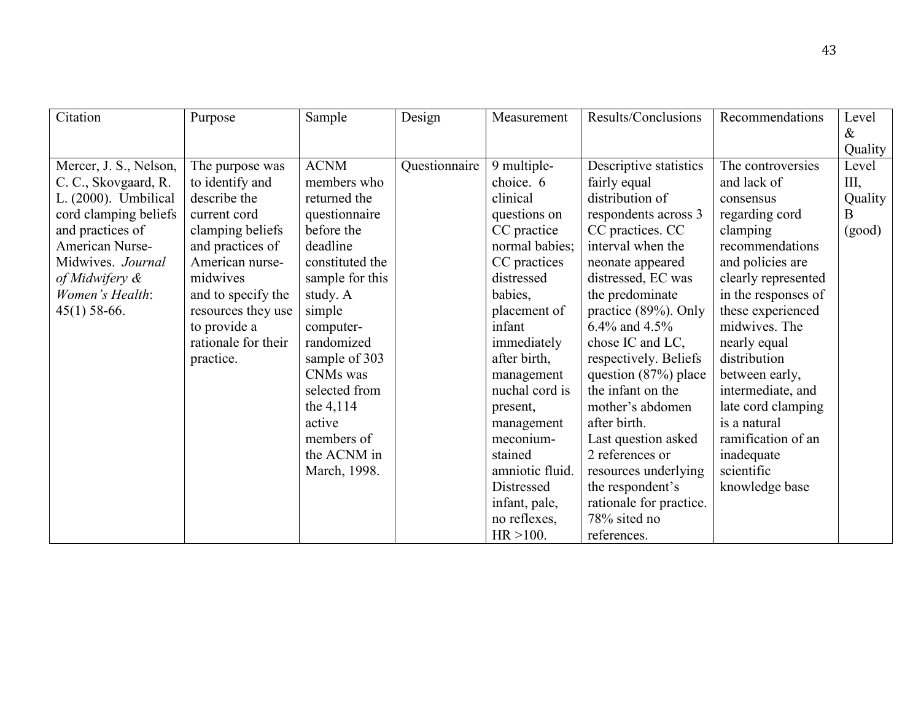| Citation               | Purpose             | Sample          | Design        | Measurement     | Results/Conclusions     | Recommendations     | Level   |
|------------------------|---------------------|-----------------|---------------|-----------------|-------------------------|---------------------|---------|
|                        |                     |                 |               |                 |                         |                     | $\&$    |
|                        |                     |                 |               |                 |                         |                     | Quality |
| Mercer, J. S., Nelson, | The purpose was     | <b>ACNM</b>     | Questionnaire | 9 multiple-     | Descriptive statistics  | The controversies   | Level   |
| C. C., Skovgaard, R.   | to identify and     | members who     |               | choice. 6       | fairly equal            | and lack of         | Ш,      |
| L. (2000). Umbilical   | describe the        | returned the    |               | clinical        | distribution of         | consensus           | Quality |
| cord clamping beliefs  | current cord        | questionnaire   |               | questions on    | respondents across 3    | regarding cord      | B       |
| and practices of       | clamping beliefs    | before the      |               | CC practice     | CC practices. CC        | clamping            | (good)  |
| American Nurse-        | and practices of    | deadline        |               | normal babies;  | interval when the       | recommendations     |         |
| Midwives. Journal      | American nurse-     | constituted the |               | CC practices    | neonate appeared        | and policies are    |         |
| of Midwifery $\&$      | midwives            | sample for this |               | distressed      | distressed, EC was      | clearly represented |         |
| Women's Health:        | and to specify the  | study. A        |               | babies,         | the predominate         | in the responses of |         |
| $45(1)$ 58-66.         | resources they use  | simple          |               | placement of    | practice (89%). Only    | these experienced   |         |
|                        | to provide a        | computer-       |               | infant          | 6.4% and 4.5%           | midwives. The       |         |
|                        | rationale for their | randomized      |               | immediately     | chose IC and LC,        | nearly equal        |         |
|                        | practice.           | sample of 303   |               | after birth,    | respectively. Beliefs   | distribution        |         |
|                        |                     | CNMs was        |               | management      | question $(87%)$ place  | between early,      |         |
|                        |                     | selected from   |               | nuchal cord is  | the infant on the       | intermediate, and   |         |
|                        |                     | the 4,114       |               | present,        | mother's abdomen        | late cord clamping  |         |
|                        |                     | active          |               | management      | after birth.            | is a natural        |         |
|                        |                     | members of      |               | meconium-       | Last question asked     | ramification of an  |         |
|                        |                     | the ACNM in     |               | stained         | 2 references or         | inadequate          |         |
|                        |                     | March, 1998.    |               | amniotic fluid. | resources underlying    | scientific          |         |
|                        |                     |                 |               | Distressed      | the respondent's        | knowledge base      |         |
|                        |                     |                 |               | infant, pale,   | rationale for practice. |                     |         |
|                        |                     |                 |               | no reflexes,    | 78% sited no            |                     |         |
|                        |                     |                 |               | $HR > 100$ .    | references.             |                     |         |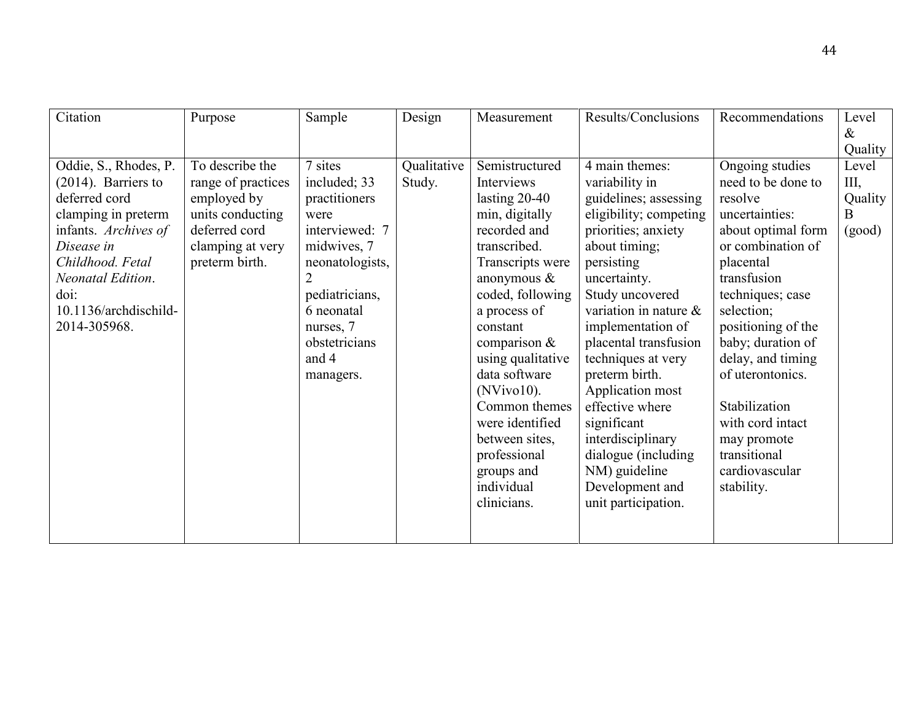| Citation               | Purpose            | Sample          | Design      | Measurement                                                                                  | Results/Conclusions                                                                                                | Recommendations                                                                 | Level            |
|------------------------|--------------------|-----------------|-------------|----------------------------------------------------------------------------------------------|--------------------------------------------------------------------------------------------------------------------|---------------------------------------------------------------------------------|------------------|
|                        |                    |                 |             |                                                                                              |                                                                                                                    |                                                                                 | $\&$             |
|                        | To describe the    | 7 sites         |             |                                                                                              | 4 main themes:                                                                                                     |                                                                                 | Quality<br>Level |
| Oddie, S., Rhodes, P.  |                    |                 | Qualitative | Semistructured                                                                               |                                                                                                                    | Ongoing studies                                                                 |                  |
| $(2014)$ . Barriers to | range of practices | included; 33    | Study.      | Interviews                                                                                   | variability in                                                                                                     | need to be done to                                                              | III,             |
| deferred cord          | employed by        | practitioners   |             | lasting $20-40$                                                                              | guidelines; assessing                                                                                              | resolve                                                                         | Quality          |
| clamping in preterm    | units conducting   | were            |             | min, digitally                                                                               | eligibility; competing                                                                                             | uncertainties:                                                                  | B                |
| infants. Archives of   | deferred cord      | interviewed: 7  |             | recorded and                                                                                 | priorities; anxiety                                                                                                | about optimal form                                                              | (good)           |
| Disease in             | clamping at very   | midwives, 7     |             | transcribed.                                                                                 | about timing;                                                                                                      | or combination of                                                               |                  |
| Childhood. Fetal       | preterm birth.     | neonatologists, |             | Transcripts were                                                                             | persisting                                                                                                         | placental                                                                       |                  |
| Neonatal Edition.      |                    |                 |             | anonymous $\&$                                                                               | uncertainty.                                                                                                       | transfusion                                                                     |                  |
| doi:                   |                    | pediatricians,  |             | coded, following                                                                             | Study uncovered                                                                                                    | techniques; case                                                                |                  |
| 10.1136/archdischild-  |                    | 6 neonatal      |             | a process of                                                                                 | variation in nature &                                                                                              | selection;                                                                      |                  |
| 2014-305968.           |                    | nurses, 7       |             | constant                                                                                     | implementation of                                                                                                  | positioning of the                                                              |                  |
|                        |                    | obstetricians   |             | comparison $&$                                                                               | placental transfusion                                                                                              | baby; duration of                                                               |                  |
|                        |                    | and 4           |             | using qualitative                                                                            | techniques at very                                                                                                 | delay, and timing                                                               |                  |
|                        |                    | managers.       |             | data software                                                                                | preterm birth.                                                                                                     | of uterontonics.                                                                |                  |
|                        |                    |                 |             | $(NVivo10)$ .                                                                                | Application most                                                                                                   |                                                                                 |                  |
|                        |                    |                 |             | Common themes                                                                                | effective where                                                                                                    | Stabilization                                                                   |                  |
|                        |                    |                 |             |                                                                                              |                                                                                                                    |                                                                                 |                  |
|                        |                    |                 |             |                                                                                              |                                                                                                                    |                                                                                 |                  |
|                        |                    |                 |             |                                                                                              |                                                                                                                    |                                                                                 |                  |
|                        |                    |                 |             |                                                                                              |                                                                                                                    |                                                                                 |                  |
|                        |                    |                 |             |                                                                                              |                                                                                                                    |                                                                                 |                  |
|                        |                    |                 |             |                                                                                              |                                                                                                                    |                                                                                 |                  |
|                        |                    |                 |             |                                                                                              |                                                                                                                    |                                                                                 |                  |
|                        |                    |                 |             |                                                                                              |                                                                                                                    |                                                                                 |                  |
|                        |                    |                 |             | were identified<br>between sites,<br>professional<br>groups and<br>individual<br>clinicians. | significant<br>interdisciplinary<br>dialogue (including<br>NM) guideline<br>Development and<br>unit participation. | with cord intact<br>may promote<br>transitional<br>cardiovascular<br>stability. |                  |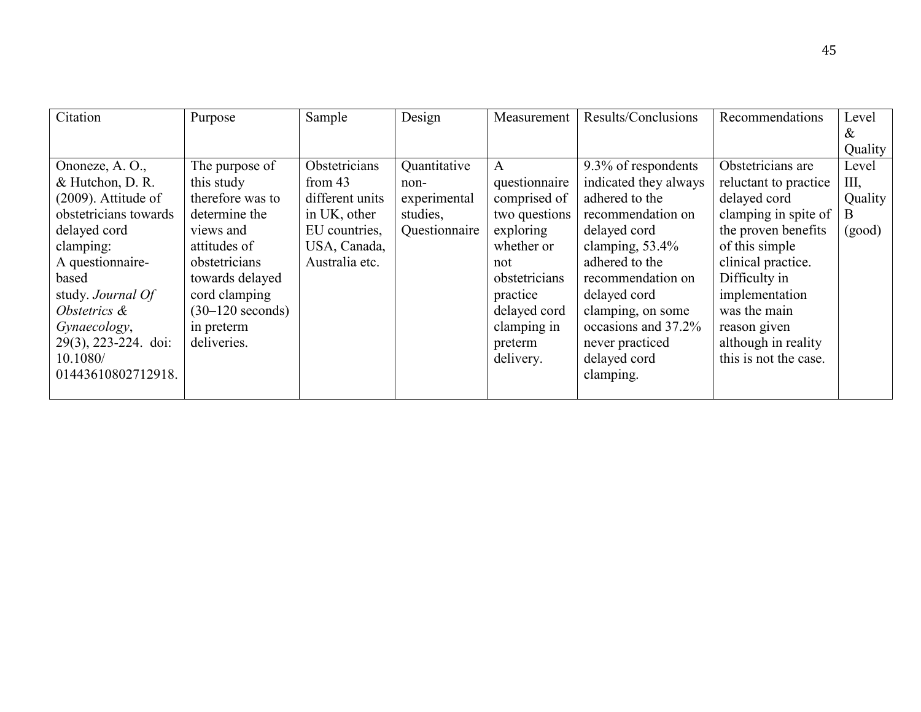| Citation               | Purpose            | Sample          | Design        | Measurement   | Results/Conclusions   | Recommendations       | Level   |
|------------------------|--------------------|-----------------|---------------|---------------|-----------------------|-----------------------|---------|
|                        |                    |                 |               |               |                       |                       | &       |
|                        |                    |                 |               |               |                       |                       | Quality |
| Ononeze, A. O.,        | The purpose of     | Obstetricians   | Quantitative  | A             | 9.3% of respondents   | Obstetricians are     | Level   |
| & Hutchon, D. R.       | this study         | from $43$       | non-          | questionnaire | indicated they always | reluctant to practice | Ш,      |
| $(2009)$ . Attitude of | therefore was to   | different units | experimental  | comprised of  | adhered to the        | delayed cord          | Quality |
| obstetricians towards  | determine the      | in UK, other    | studies,      | two questions | recommendation on     | clamping in spite of  | B       |
| delayed cord           | views and          | EU countries,   | Questionnaire | exploring     | delayed cord          | the proven benefits   | (good)  |
| clamping:              | attitudes of       | USA, Canada,    |               | whether or    | clamping, $53.4\%$    | of this simple        |         |
| A questionnaire-       | obstetricians      | Australia etc.  |               | not           | adhered to the        | clinical practice.    |         |
| based                  | towards delayed    |                 |               | obstetricians | recommendation on     | Difficulty in         |         |
| study. Journal Of      | cord clamping      |                 |               | practice      | delayed cord          | implementation        |         |
| Obstetrics &           | $(30-120$ seconds) |                 |               | delayed cord  | clamping, on some     | was the main          |         |
| Gynaecology,           | in preterm         |                 |               | clamping in   | occasions and 37.2%   | reason given          |         |
| 29(3), 223-224. doi:   | deliveries.        |                 |               | preterm       | never practiced       | although in reality   |         |
| 10.1080/               |                    |                 |               | delivery.     | delayed cord          | this is not the case. |         |
| 01443610802712918.     |                    |                 |               |               | clamping.             |                       |         |
|                        |                    |                 |               |               |                       |                       |         |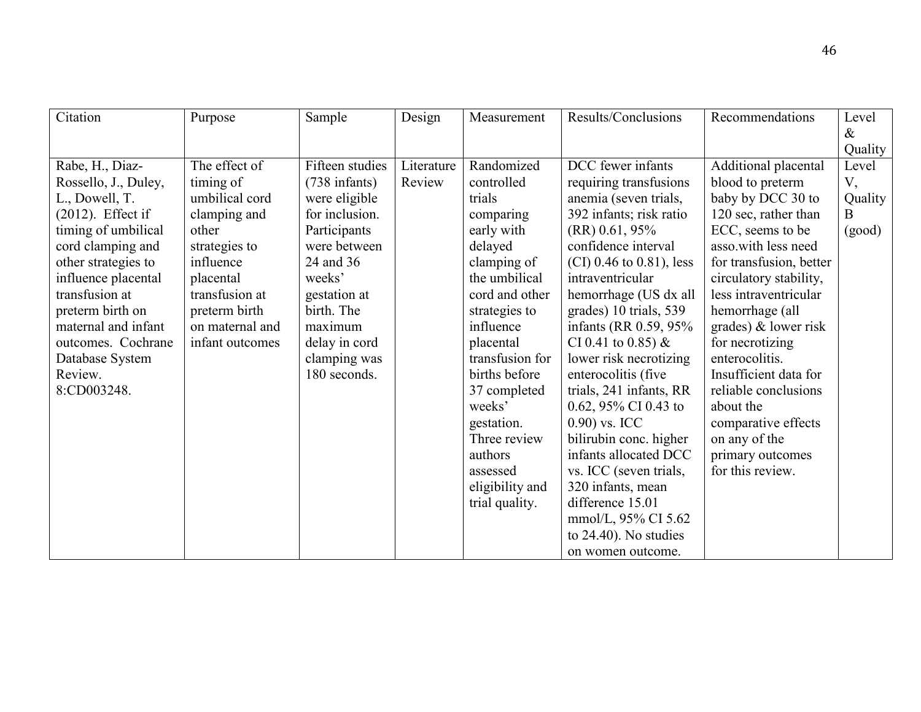| Citation             | Purpose         | Sample                  | Design     | Measurement     | Results/Conclusions        | Recommendations         | Level   |
|----------------------|-----------------|-------------------------|------------|-----------------|----------------------------|-------------------------|---------|
|                      |                 |                         |            |                 |                            |                         | $\&$    |
|                      |                 |                         |            |                 |                            |                         | Quality |
| Rabe, H., Diaz-      | The effect of   | Fifteen studies         | Literature | Randomized      | DCC fewer infants          | Additional placental    | Level   |
| Rossello, J., Duley, | timing of       | $(738 \text{ infants})$ | Review     | controlled      | requiring transfusions     | blood to preterm        | V,      |
| L., Dowell, T.       | umbilical cord  | were eligible           |            | trials          | anemia (seven trials,      | baby by DCC 30 to       | Quality |
| $(2012)$ . Effect if | clamping and    | for inclusion.          |            | comparing       | 392 infants; risk ratio    | 120 sec, rather than    | B       |
| timing of umbilical  | other           | Participants            |            | early with      | $(RR)$ 0.61, 95%           | ECC, seems to be        | (good)  |
| cord clamping and    | strategies to   | were between            |            | delayed         | confidence interval        | asso.with less need     |         |
| other strategies to  | influence       | 24 and 36               |            | clamping of     | $(CI)$ 0.46 to 0.81), less | for transfusion, better |         |
| influence placental  | placental       | weeks'                  |            | the umbilical   | intraventricular           | circulatory stability,  |         |
| transfusion at       | transfusion at  | gestation at            |            | cord and other  | hemorrhage (US dx all      | less intraventricular   |         |
| preterm birth on     | preterm birth   | birth. The              |            | strategies to   | grades) 10 trials, 539     | hemorrhage (all         |         |
| maternal and infant  | on maternal and | maximum                 |            | influence       | infants (RR 0.59, 95%      | grades) $&$ lower risk  |         |
| outcomes. Cochrane   | infant outcomes | delay in cord           |            | placental       | CI 0.41 to 0.85) $&$       | for necrotizing         |         |
| Database System      |                 | clamping was            |            | transfusion for | lower risk necrotizing     | enterocolitis.          |         |
| Review.              |                 | 180 seconds.            |            | births before   | enterocolitis (five        | Insufficient data for   |         |
| 8:CD003248.          |                 |                         |            | 37 completed    | trials, 241 infants, RR    | reliable conclusions    |         |
|                      |                 |                         |            | weeks'          | 0.62, 95% CI 0.43 to       | about the               |         |
|                      |                 |                         |            | gestation.      | $0.90$ ) vs. ICC           | comparative effects     |         |
|                      |                 |                         |            | Three review    | bilirubin conc. higher     | on any of the           |         |
|                      |                 |                         |            | authors         | infants allocated DCC      | primary outcomes        |         |
|                      |                 |                         |            | assessed        | vs. ICC (seven trials,     | for this review.        |         |
|                      |                 |                         |            | eligibility and | 320 infants, mean          |                         |         |
|                      |                 |                         |            | trial quality.  | difference 15.01           |                         |         |
|                      |                 |                         |            |                 | mmol/L, 95% CI 5.62        |                         |         |
|                      |                 |                         |            |                 | to $24.40$ ). No studies   |                         |         |
|                      |                 |                         |            |                 | on women outcome.          |                         |         |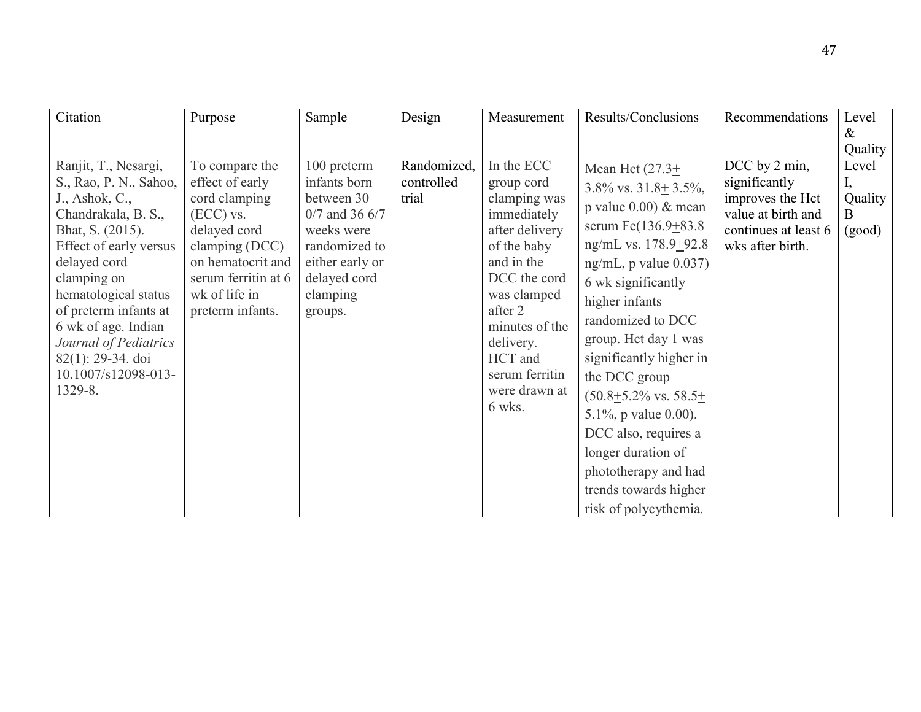| Citation                                                                                                                                                                                                                                                                                                                        | Purpose                                                                                                                                                                              | Sample                                                                                                                                                 | Design                             | Measurement                                                                                                                                                                                                                             | Results/Conclusions                                                                                                                                                                                                                                                                                                                                                                                                                                                                                       | Recommendations                                                                                                      | Level                                      |
|---------------------------------------------------------------------------------------------------------------------------------------------------------------------------------------------------------------------------------------------------------------------------------------------------------------------------------|--------------------------------------------------------------------------------------------------------------------------------------------------------------------------------------|--------------------------------------------------------------------------------------------------------------------------------------------------------|------------------------------------|-----------------------------------------------------------------------------------------------------------------------------------------------------------------------------------------------------------------------------------------|-----------------------------------------------------------------------------------------------------------------------------------------------------------------------------------------------------------------------------------------------------------------------------------------------------------------------------------------------------------------------------------------------------------------------------------------------------------------------------------------------------------|----------------------------------------------------------------------------------------------------------------------|--------------------------------------------|
|                                                                                                                                                                                                                                                                                                                                 |                                                                                                                                                                                      |                                                                                                                                                        |                                    |                                                                                                                                                                                                                                         |                                                                                                                                                                                                                                                                                                                                                                                                                                                                                                           |                                                                                                                      | $\&$                                       |
| Ranjit, T., Nesargi,<br>S., Rao, P. N., Sahoo,<br>J., Ashok, C.,<br>Chandrakala, B. S.,<br>Bhat, S. (2015).<br>Effect of early versus<br>delayed cord<br>clamping on<br>hematological status<br>of preterm infants at<br>6 wk of age. Indian<br>Journal of Pediatrics<br>$82(1)$ : 29-34. doi<br>10.1007/s12098-013-<br>1329-8. | To compare the<br>effect of early<br>cord clamping<br>$(ECC)$ vs.<br>delayed cord<br>clamping (DCC)<br>on hematocrit and<br>serum ferritin at 6<br>wk of life in<br>preterm infants. | 100 preterm<br>infants born<br>between 30<br>$0/7$ and 36 6/7<br>weeks were<br>randomized to<br>either early or<br>delayed cord<br>clamping<br>groups. | Randomized,<br>controlled<br>trial | In the ECC<br>group cord<br>clamping was<br>immediately<br>after delivery<br>of the baby<br>and in the<br>DCC the cord<br>was clamped<br>after 2<br>minutes of the<br>delivery.<br>HCT and<br>serum ferritin<br>were drawn at<br>6 wks. | Mean Hct $(27.3+)$<br>3.8% vs. $31.8 \pm 3.5\%$ ,<br>p value $0.00$ ) & mean<br>serum Fe $(136.9 + 83.8)$<br>ng/mL vs. $178.9 + 92.8$<br>$ng/mL$ , p value $0.037$ )<br>6 wk significantly<br>higher infants<br>randomized to DCC<br>group. Het day 1 was<br>significantly higher in<br>the DCC group<br>$(50.8 \pm 5.2\% \text{ vs. } 58.5 \pm 1.01)$<br>5.1%, p value $0.00$ ).<br>DCC also, requires a<br>longer duration of<br>phototherapy and had<br>trends towards higher<br>risk of polycythemia. | DCC by 2 min,<br>significantly<br>improves the Hct<br>value at birth and<br>continues at least 6<br>wks after birth. | Quality<br>Level<br>Quality<br>B<br>(good) |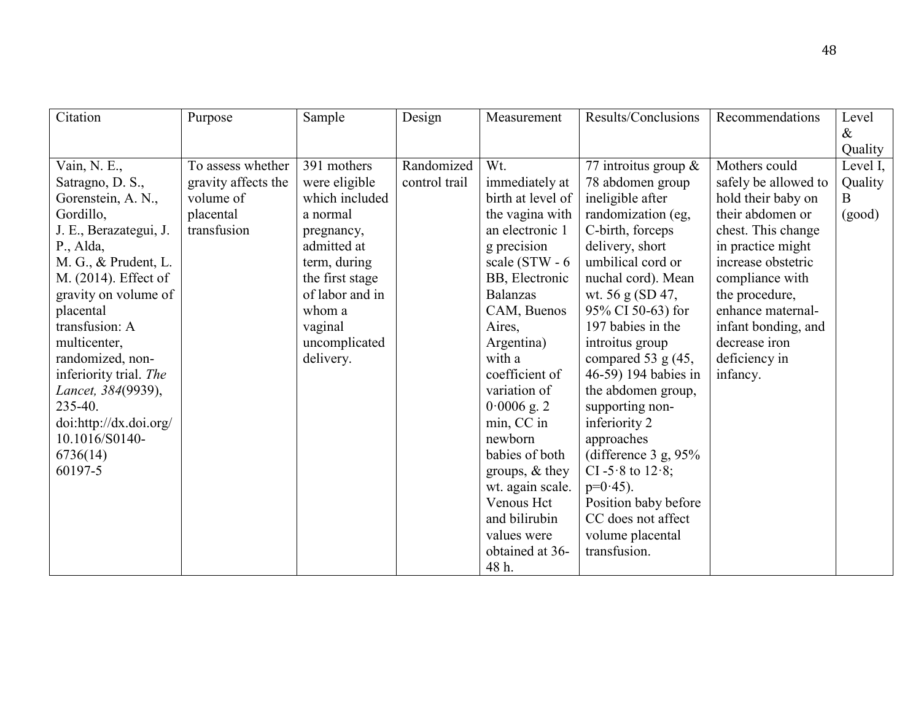| Citation               | Purpose             | Sample          | Design        | Measurement       | Results/Conclusions             | Recommendations      | Level    |
|------------------------|---------------------|-----------------|---------------|-------------------|---------------------------------|----------------------|----------|
|                        |                     |                 |               |                   |                                 |                      | &        |
|                        |                     |                 |               |                   |                                 |                      | Quality  |
| Vain, N. E.,           | To assess whether   | 391 mothers     | Randomized    | Wt.               | 77 introitus group $\&$         | Mothers could        | Level I, |
| Satragno, D. S.,       | gravity affects the | were eligible   | control trail | immediately at    | 78 abdomen group                | safely be allowed to | Quality  |
| Gorenstein, A. N.,     | volume of           | which included  |               | birth at level of | ineligible after                | hold their baby on   | B        |
| Gordillo,              | placental           | a normal        |               | the vagina with   | randomization (eg,              | their abdomen or     | (good)   |
| J. E., Berazategui, J. | transfusion         | pregnancy,      |               | an electronic 1   | C-birth, forceps                | chest. This change   |          |
| P., Alda,              |                     | admitted at     |               | g precision       | delivery, short                 | in practice might    |          |
| M. G., & Prudent, L.   |                     | term, during    |               | scale (STW - 6    | umbilical cord or               | increase obstetric   |          |
| M. (2014). Effect of   |                     | the first stage |               | BB, Electronic    | nuchal cord). Mean              | compliance with      |          |
| gravity on volume of   |                     | of labor and in |               | <b>Balanzas</b>   | wt. 56 g (SD 47,                | the procedure,       |          |
| placental              |                     | whom a          |               | CAM, Buenos       | 95% CI 50-63) for               | enhance maternal-    |          |
| transfusion: A         |                     | vaginal         |               | Aires,            | 197 babies in the               | infant bonding, and  |          |
| multicenter,           |                     | uncomplicated   |               | Argentina)        | introitus group                 | decrease iron        |          |
| randomized, non-       |                     | delivery.       |               | with a            | compared 53 $g$ (45,            | deficiency in        |          |
| inferiority trial. The |                     |                 |               | coefficient of    | 46-59) 194 babies in            | infancy.             |          |
| Lancet, 384(9939),     |                     |                 |               | variation of      | the abdomen group,              |                      |          |
| 235-40.                |                     |                 |               | $0.0006$ g. 2     | supporting non-                 |                      |          |
| doi:http://dx.doi.org/ |                     |                 |               | min, CC in        | inferiority 2                   |                      |          |
| 10.1016/S0140-         |                     |                 |               | newborn           | approaches                      |                      |          |
| 6736(14)               |                     |                 |               | babies of both    | (difference $3 \text{ g}, 95\%$ |                      |          |
| 60197-5                |                     |                 |               | groups, $&$ they  | CI -5.8 to $12.8$ ;             |                      |          |
|                        |                     |                 |               | wt. again scale.  | $p=0.45$ ).                     |                      |          |
|                        |                     |                 |               | Venous Hct        | Position baby before            |                      |          |
|                        |                     |                 |               | and bilirubin     | CC does not affect              |                      |          |
|                        |                     |                 |               | values were       | volume placental                |                      |          |
|                        |                     |                 |               | obtained at 36-   | transfusion.                    |                      |          |
|                        |                     |                 |               | 48 h.             |                                 |                      |          |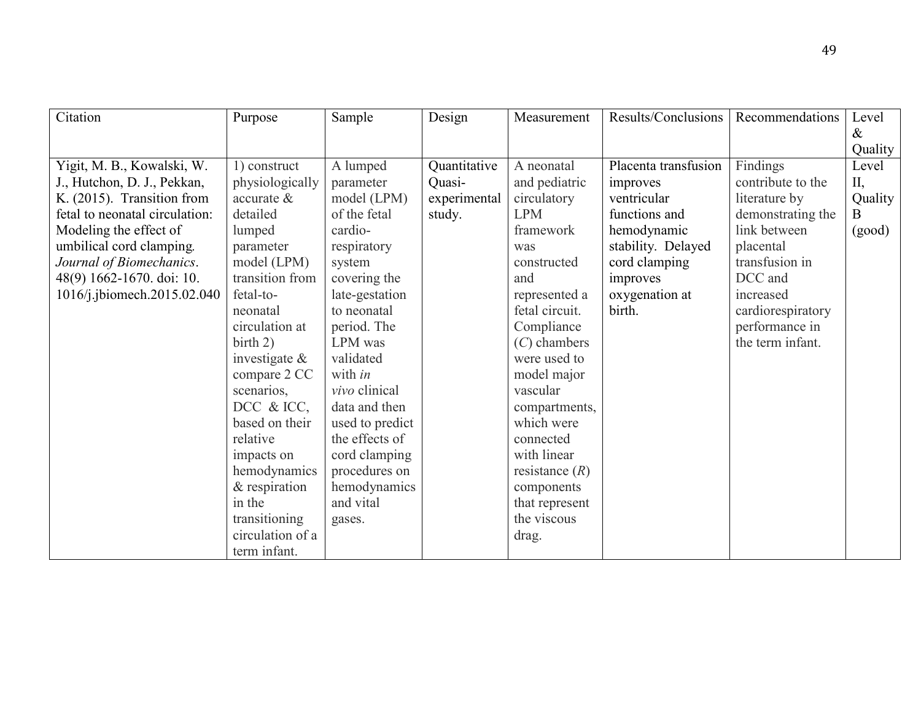| Citation                       | Purpose                    | Sample          | Design       | Measurement      | Results/Conclusions  | Recommendations   | Level   |
|--------------------------------|----------------------------|-----------------|--------------|------------------|----------------------|-------------------|---------|
|                                |                            |                 |              |                  |                      |                   | $\&$    |
|                                |                            |                 |              |                  |                      |                   | Quality |
| Yigit, M. B., Kowalski, W.     | 1) construct               | A lumped        | Quantitative | A neonatal       | Placenta transfusion | Findings          | Level   |
| J., Hutchon, D. J., Pekkan,    | physiologically            | parameter       | Quasi-       | and pediatric    | improves             | contribute to the | $II$ ,  |
| K. (2015). Transition from     | $\alpha$ accurate $\alpha$ | model (LPM)     | experimental | circulatory      | ventricular          | literature by     | Quality |
| fetal to neonatal circulation: | detailed                   | of the fetal    | study.       | <b>LPM</b>       | functions and        | demonstrating the | B       |
| Modeling the effect of         | lumped                     | cardio-         |              | framework        | hemodynamic          | link between      | (good)  |
| umbilical cord clamping.       | parameter                  | respiratory     |              | was              | stability. Delayed   | placental         |         |
| Journal of Biomechanics.       | model (LPM)                | system          |              | constructed      | cord clamping        | transfusion in    |         |
| 48(9) 1662-1670. doi: 10.      | transition from            | covering the    |              | and              | improves             | DCC and           |         |
| 1016/j.jbiomech.2015.02.040    | fetal-to-                  | late-gestation  |              | represented a    | oxygenation at       | increased         |         |
|                                | neonatal                   | to neonatal     |              | fetal circuit.   | birth.               | cardiorespiratory |         |
|                                | circulation at             | period. The     |              | Compliance       |                      | performance in    |         |
|                                | birth 2)                   | LPM was         |              | $(C)$ chambers   |                      | the term infant.  |         |
|                                | investigate $\&$           | validated       |              | were used to     |                      |                   |         |
|                                | compare 2 CC               | with <i>in</i>  |              | model major      |                      |                   |         |
|                                | scenarios,                 | vivo clinical   |              | vascular         |                      |                   |         |
|                                | DCC & ICC,                 | data and then   |              | compartments,    |                      |                   |         |
|                                | based on their             | used to predict |              | which were       |                      |                   |         |
|                                | relative                   | the effects of  |              | connected        |                      |                   |         |
|                                | impacts on                 | cord clamping   |              | with linear      |                      |                   |         |
|                                | hemodynamics               | procedures on   |              | resistance $(R)$ |                      |                   |         |
|                                | & respiration              | hemodynamics    |              | components       |                      |                   |         |
|                                | in the                     | and vital       |              | that represent   |                      |                   |         |
|                                | transitioning              | gases.          |              | the viscous      |                      |                   |         |
|                                | circulation of a           |                 |              | drag.            |                      |                   |         |
|                                | term infant.               |                 |              |                  |                      |                   |         |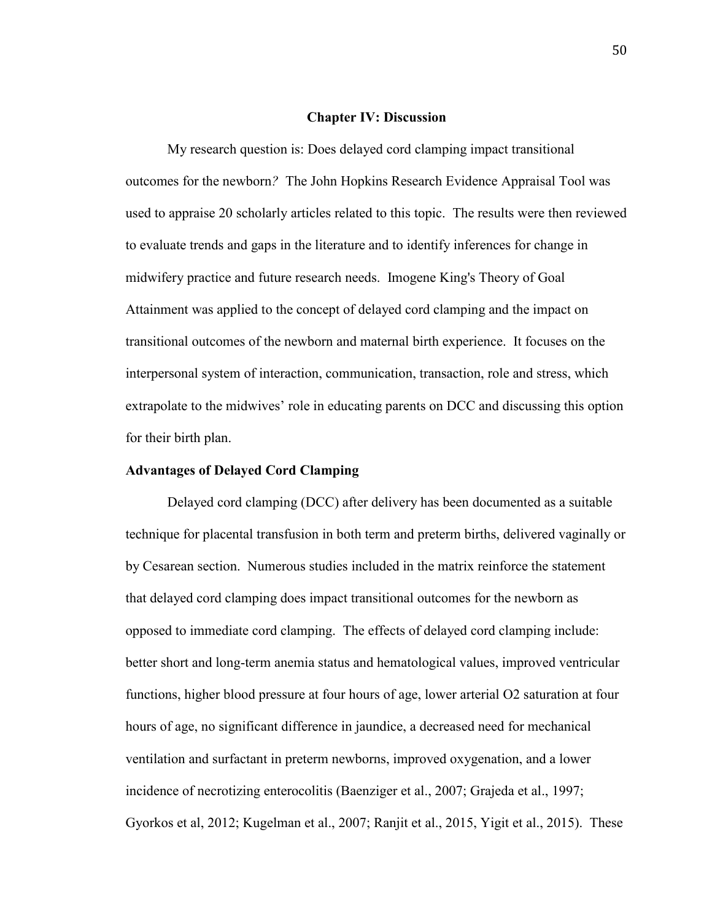#### **Chapter IV: Discussion**

My research question is: Does delayed cord clamping impact transitional outcomes for the newborn*?* The John Hopkins Research Evidence Appraisal Tool was used to appraise 20 scholarly articles related to this topic. The results were then reviewed to evaluate trends and gaps in the literature and to identify inferences for change in midwifery practice and future research needs. Imogene King's Theory of Goal Attainment was applied to the concept of delayed cord clamping and the impact on transitional outcomes of the newborn and maternal birth experience. It focuses on the interpersonal system of interaction, communication, transaction, role and stress, which extrapolate to the midwives' role in educating parents on DCC and discussing this option for their birth plan.

#### **Advantages of Delayed Cord Clamping**

Delayed cord clamping (DCC) after delivery has been documented as a suitable technique for placental transfusion in both term and preterm births, delivered vaginally or by Cesarean section. Numerous studies included in the matrix reinforce the statement that delayed cord clamping does impact transitional outcomes for the newborn as opposed to immediate cord clamping. The effects of delayed cord clamping include: better short and long-term anemia status and hematological values, improved ventricular functions, higher blood pressure at four hours of age, lower arterial O2 saturation at four hours of age, no significant difference in jaundice, a decreased need for mechanical ventilation and surfactant in preterm newborns, improved oxygenation, and a lower incidence of necrotizing enterocolitis (Baenziger et al., 2007; Grajeda et al., 1997; Gyorkos et al, 2012; Kugelman et al., 2007; Ranjit et al., 2015, Yigit et al., 2015). These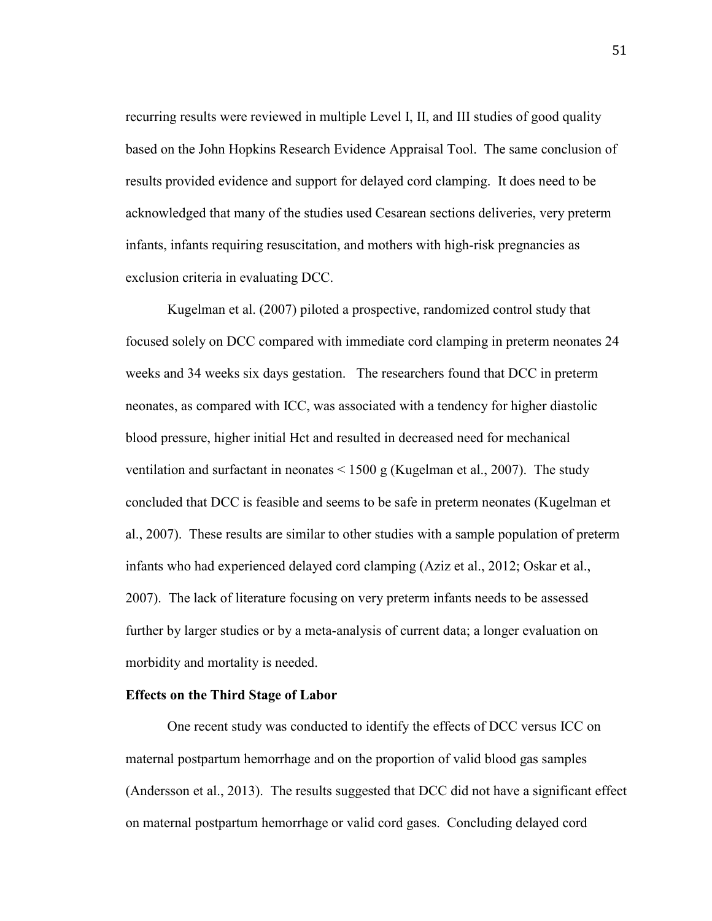recurring results were reviewed in multiple Level I, II, and III studies of good quality based on the John Hopkins Research Evidence Appraisal Tool. The same conclusion of results provided evidence and support for delayed cord clamping. It does need to be acknowledged that many of the studies used Cesarean sections deliveries, very preterm infants, infants requiring resuscitation, and mothers with high-risk pregnancies as exclusion criteria in evaluating DCC.

Kugelman et al. (2007) piloted a prospective, randomized control study that focused solely on DCC compared with immediate cord clamping in preterm neonates 24 weeks and 34 weeks six days gestation. The researchers found that DCC in preterm neonates, as compared with ICC, was associated with a tendency for higher diastolic blood pressure, higher initial Hct and resulted in decreased need for mechanical ventilation and surfactant in neonates < 1500 g (Kugelman et al., 2007). The study concluded that DCC is feasible and seems to be safe in preterm neonates (Kugelman et al., 2007). These results are similar to other studies with a sample population of preterm infants who had experienced delayed cord clamping (Aziz et al., 2012; Oskar et al., 2007). The lack of literature focusing on very preterm infants needs to be assessed further by larger studies or by a meta-analysis of current data; a longer evaluation on morbidity and mortality is needed.

#### **Effects on the Third Stage of Labor**

One recent study was conducted to identify the effects of DCC versus ICC on maternal postpartum hemorrhage and on the proportion of valid blood gas samples (Andersson et al., 2013). The results suggested that DCC did not have a significant effect on maternal postpartum hemorrhage or valid cord gases. Concluding delayed cord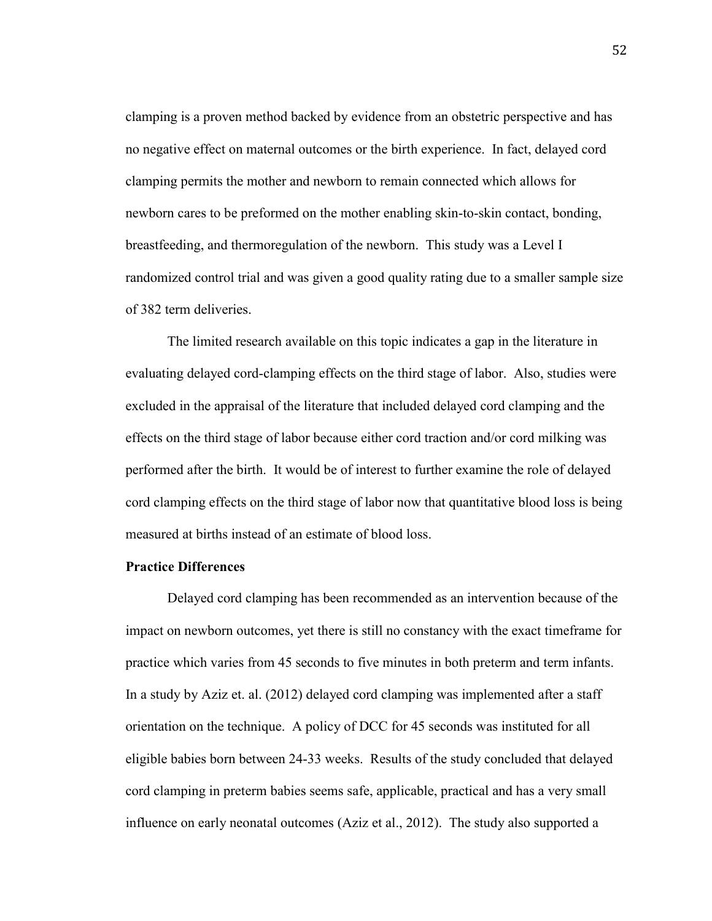clamping is a proven method backed by evidence from an obstetric perspective and has no negative effect on maternal outcomes or the birth experience. In fact, delayed cord clamping permits the mother and newborn to remain connected which allows for newborn cares to be preformed on the mother enabling skin-to-skin contact, bonding, breastfeeding, and thermoregulation of the newborn. This study was a Level I randomized control trial and was given a good quality rating due to a smaller sample size of 382 term deliveries.

The limited research available on this topic indicates a gap in the literature in evaluating delayed cord-clamping effects on the third stage of labor. Also, studies were excluded in the appraisal of the literature that included delayed cord clamping and the effects on the third stage of labor because either cord traction and/or cord milking was performed after the birth. It would be of interest to further examine the role of delayed cord clamping effects on the third stage of labor now that quantitative blood loss is being measured at births instead of an estimate of blood loss.

#### **Practice Differences**

Delayed cord clamping has been recommended as an intervention because of the impact on newborn outcomes, yet there is still no constancy with the exact timeframe for practice which varies from 45 seconds to five minutes in both preterm and term infants. In a study by Aziz et. al. (2012) delayed cord clamping was implemented after a staff orientation on the technique. A policy of DCC for 45 seconds was instituted for all eligible babies born between 24-33 weeks. Results of the study concluded that delayed cord clamping in preterm babies seems safe, applicable, practical and has a very small influence on early neonatal outcomes (Aziz et al., 2012). The study also supported a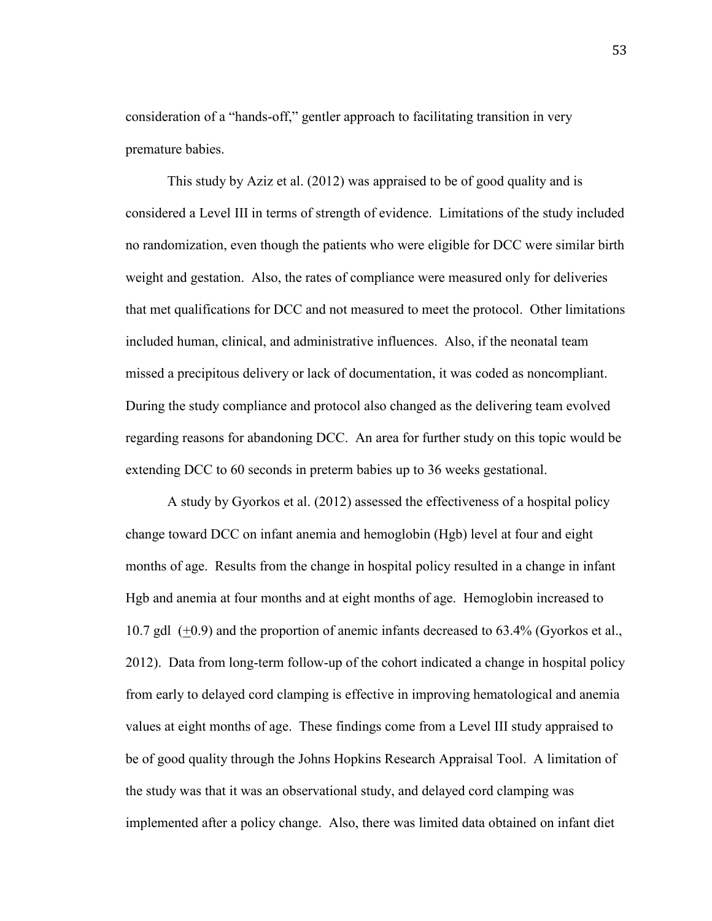consideration of a "hands-off," gentler approach to facilitating transition in very premature babies.

 This study by Aziz et al. (2012) was appraised to be of good quality and is considered a Level III in terms of strength of evidence. Limitations of the study included no randomization, even though the patients who were eligible for DCC were similar birth weight and gestation. Also, the rates of compliance were measured only for deliveries that met qualifications for DCC and not measured to meet the protocol. Other limitations included human, clinical, and administrative influences. Also, if the neonatal team missed a precipitous delivery or lack of documentation, it was coded as noncompliant. During the study compliance and protocol also changed as the delivering team evolved regarding reasons for abandoning DCC. An area for further study on this topic would be extending DCC to 60 seconds in preterm babies up to 36 weeks gestational.

A study by Gyorkos et al. (2012) assessed the effectiveness of a hospital policy change toward DCC on infant anemia and hemoglobin (Hgb) level at four and eight months of age. Results from the change in hospital policy resulted in a change in infant Hgb and anemia at four months and at eight months of age. Hemoglobin increased to 10.7 gdl  $(+0.9)$  and the proportion of anemic infants decreased to 63.4% (Gyorkos et al., 2012). Data from long-term follow-up of the cohort indicated a change in hospital policy from early to delayed cord clamping is effective in improving hematological and anemia values at eight months of age. These findings come from a Level III study appraised to be of good quality through the Johns Hopkins Research Appraisal Tool. A limitation of the study was that it was an observational study, and delayed cord clamping was implemented after a policy change. Also, there was limited data obtained on infant diet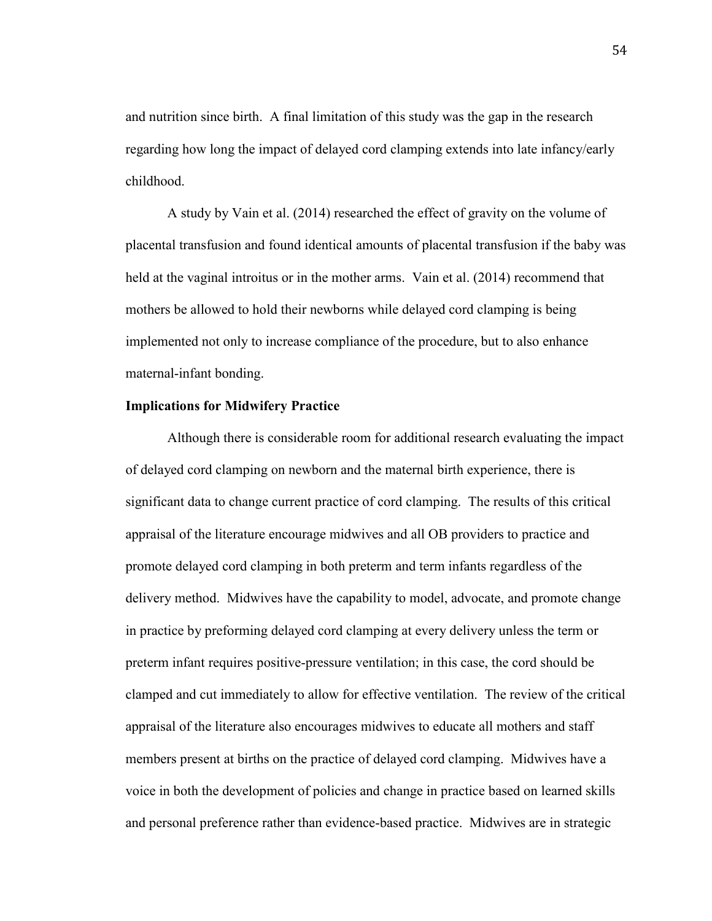and nutrition since birth. A final limitation of this study was the gap in the research regarding how long the impact of delayed cord clamping extends into late infancy/early childhood.

A study by Vain et al. (2014) researched the effect of gravity on the volume of placental transfusion and found identical amounts of placental transfusion if the baby was held at the vaginal introitus or in the mother arms. Vain et al. (2014) recommend that mothers be allowed to hold their newborns while delayed cord clamping is being implemented not only to increase compliance of the procedure, but to also enhance maternal-infant bonding.

#### **Implications for Midwifery Practice**

Although there is considerable room for additional research evaluating the impact of delayed cord clamping on newborn and the maternal birth experience, there is significant data to change current practice of cord clamping. The results of this critical appraisal of the literature encourage midwives and all OB providers to practice and promote delayed cord clamping in both preterm and term infants regardless of the delivery method. Midwives have the capability to model, advocate, and promote change in practice by preforming delayed cord clamping at every delivery unless the term or preterm infant requires positive-pressure ventilation; in this case, the cord should be clamped and cut immediately to allow for effective ventilation. The review of the critical appraisal of the literature also encourages midwives to educate all mothers and staff members present at births on the practice of delayed cord clamping. Midwives have a voice in both the development of policies and change in practice based on learned skills and personal preference rather than evidence-based practice. Midwives are in strategic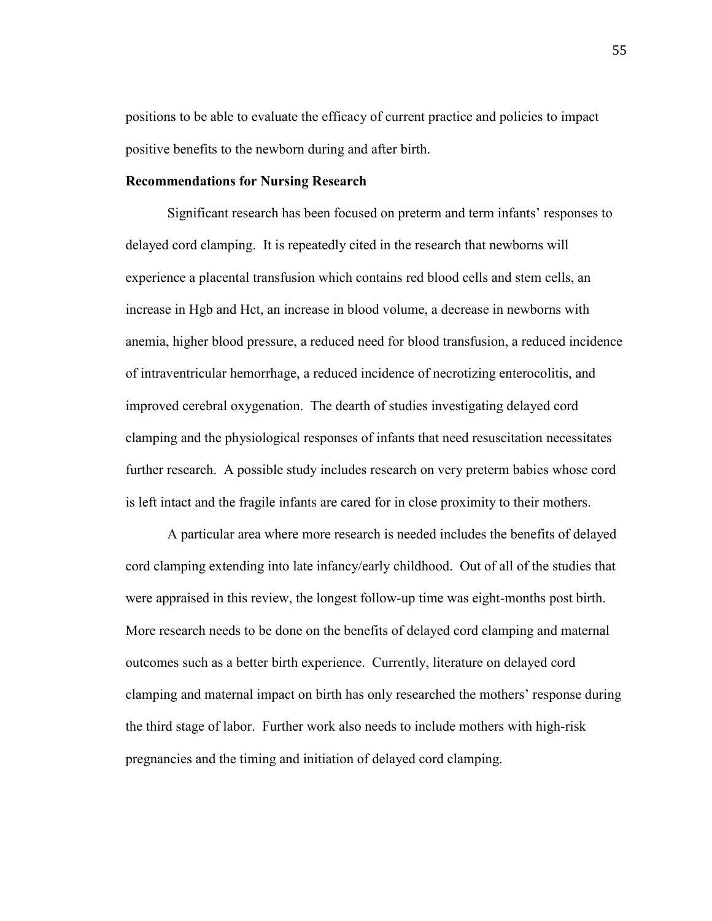positions to be able to evaluate the efficacy of current practice and policies to impact positive benefits to the newborn during and after birth.

#### **Recommendations for Nursing Research**

Significant research has been focused on preterm and term infants' responses to delayed cord clamping. It is repeatedly cited in the research that newborns will experience a placental transfusion which contains red blood cells and stem cells, an increase in Hgb and Hct, an increase in blood volume, a decrease in newborns with anemia, higher blood pressure, a reduced need for blood transfusion, a reduced incidence of intraventricular hemorrhage, a reduced incidence of necrotizing enterocolitis, and improved cerebral oxygenation. The dearth of studies investigating delayed cord clamping and the physiological responses of infants that need resuscitation necessitates further research. A possible study includes research on very preterm babies whose cord is left intact and the fragile infants are cared for in close proximity to their mothers.

A particular area where more research is needed includes the benefits of delayed cord clamping extending into late infancy/early childhood. Out of all of the studies that were appraised in this review, the longest follow-up time was eight-months post birth. More research needs to be done on the benefits of delayed cord clamping and maternal outcomes such as a better birth experience. Currently, literature on delayed cord clamping and maternal impact on birth has only researched the mothers' response during the third stage of labor. Further work also needs to include mothers with high-risk pregnancies and the timing and initiation of delayed cord clamping.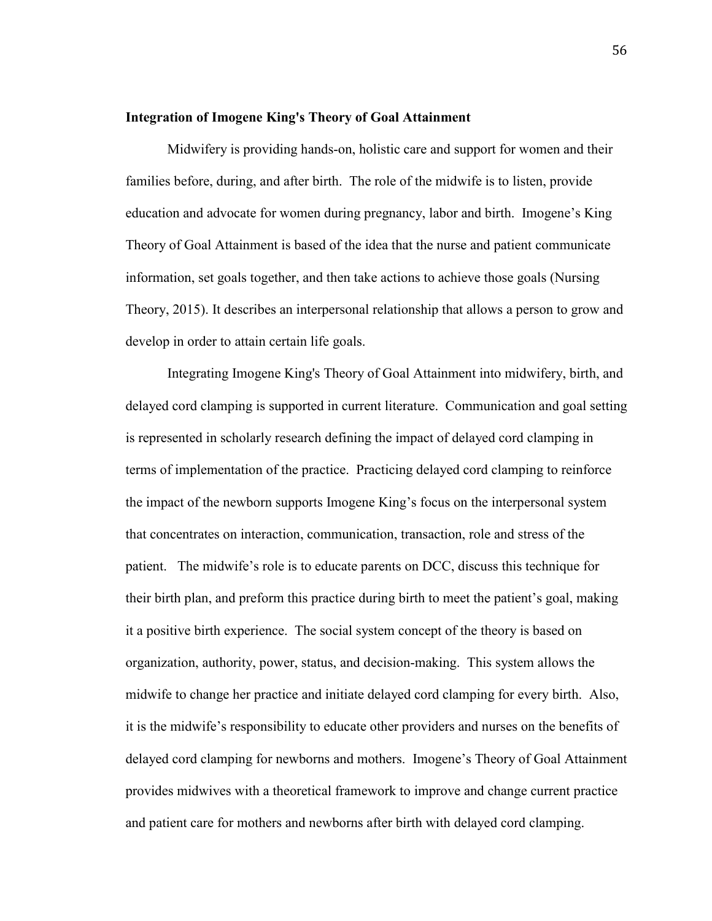#### **Integration of Imogene King's Theory of Goal Attainment**

Midwifery is providing hands-on, holistic care and support for women and their families before, during, and after birth. The role of the midwife is to listen, provide education and advocate for women during pregnancy, labor and birth. Imogene's King Theory of Goal Attainment is based of the idea that the nurse and patient communicate information, set goals together, and then take actions to achieve those goals (Nursing Theory, 2015). It describes an interpersonal relationship that allows a person to grow and develop in order to attain certain life goals.

Integrating Imogene King's Theory of Goal Attainment into midwifery, birth, and delayed cord clamping is supported in current literature. Communication and goal setting is represented in scholarly research defining the impact of delayed cord clamping in terms of implementation of the practice. Practicing delayed cord clamping to reinforce the impact of the newborn supports Imogene King's focus on the interpersonal system that concentrates on interaction, communication, transaction, role and stress of the patient. The midwife's role is to educate parents on DCC, discuss this technique for their birth plan, and preform this practice during birth to meet the patient's goal, making it a positive birth experience. The social system concept of the theory is based on organization, authority, power, status, and decision-making. This system allows the midwife to change her practice and initiate delayed cord clamping for every birth. Also, it is the midwife's responsibility to educate other providers and nurses on the benefits of delayed cord clamping for newborns and mothers. Imogene's Theory of Goal Attainment provides midwives with a theoretical framework to improve and change current practice and patient care for mothers and newborns after birth with delayed cord clamping.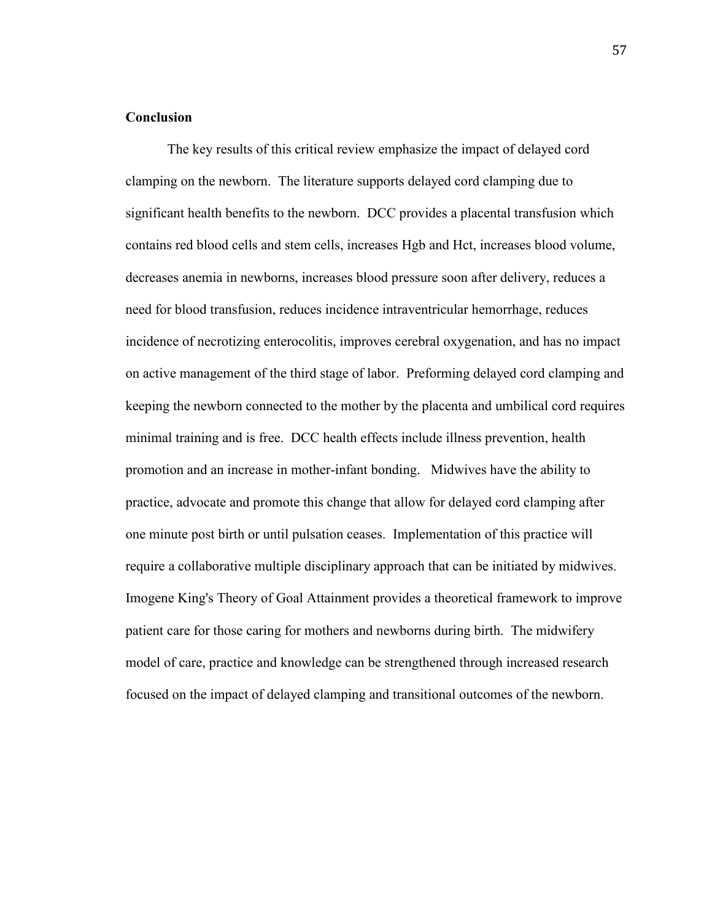#### **Conclusion**

The key results of this critical review emphasize the impact of delayed cord clamping on the newborn. The literature supports delayed cord clamping due to significant health benefits to the newborn. DCC provides a placental transfusion which contains red blood cells and stem cells, increases Hgb and Hct, increases blood volume, decreases anemia in newborns, increases blood pressure soon after delivery, reduces a need for blood transfusion, reduces incidence intraventricular hemorrhage, reduces incidence of necrotizing enterocolitis, improves cerebral oxygenation, and has no impact on active management of the third stage of labor. Preforming delayed cord clamping and keeping the newborn connected to the mother by the placenta and umbilical cord requires minimal training and is free. DCC health effects include illness prevention, health promotion and an increase in mother-infant bonding. Midwives have the ability to practice, advocate and promote this change that allow for delayed cord clamping after one minute post birth or until pulsation ceases. Implementation of this practice will require a collaborative multiple disciplinary approach that can be initiated by midwives. Imogene King's Theory of Goal Attainment provides a theoretical framework to improve patient care for those caring for mothers and newborns during birth. The midwifery model of care, practice and knowledge can be strengthened through increased research focused on the impact of delayed clamping and transitional outcomes of the newborn.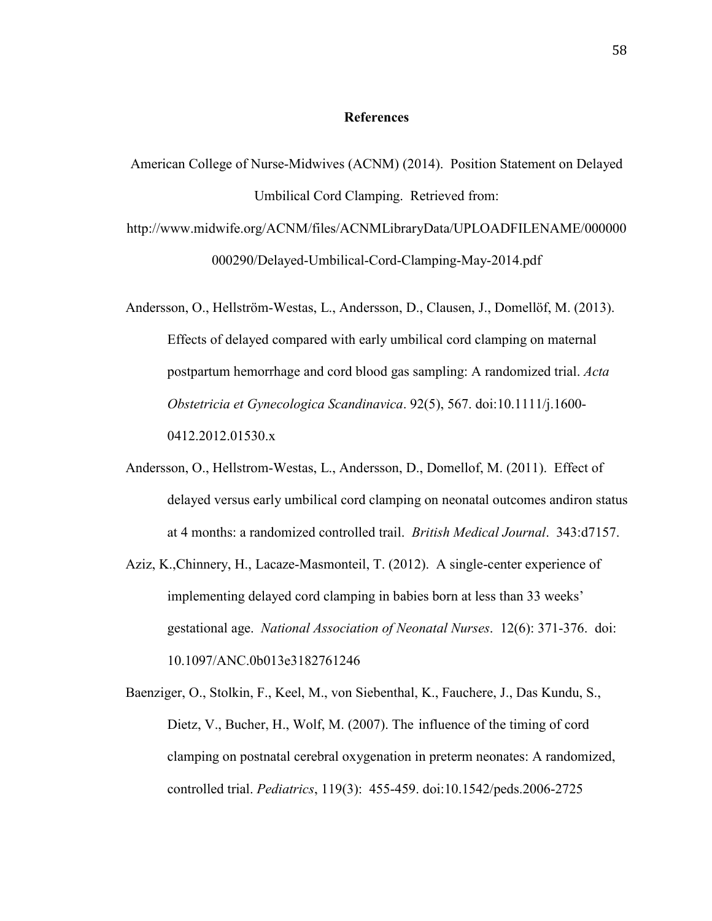#### **References**

- American College of Nurse-Midwives (ACNM) (2014). Position Statement on Delayed Umbilical Cord Clamping. Retrieved from:
- http://www.midwife.org/ACNM/files/ACNMLibraryData/UPLOADFILENAME/000000 000290/Delayed-Umbilical-Cord-Clamping-May-2014.pdf
- Andersson, O., Hellström-Westas, L., Andersson, D., Clausen, J., Domellöf, M. (2013). Effects of delayed compared with early umbilical cord clamping on maternal postpartum hemorrhage and cord blood gas sampling: A randomized trial. *Acta Obstetricia et Gynecologica Scandinavica*. 92(5), 567. doi:10.1111/j.1600- 0412.2012.01530.x
- Andersson, O., Hellstrom-Westas, L., Andersson, D., Domellof, M. (2011). Effect of delayed versus early umbilical cord clamping on neonatal outcomes andiron status at 4 months: a randomized controlled trail. *British Medical Journal*. 343:d7157.
- Aziz, K.,Chinnery, H., Lacaze-Masmonteil, T. (2012). A single-center experience of implementing delayed cord clamping in babies born at less than 33 weeks' gestational age. *National Association of Neonatal Nurses*. 12(6): 371-376. doi: 10.1097/ANC.0b013e3182761246
- Baenziger, O., Stolkin, F., Keel, M., von Siebenthal, K., Fauchere, J., Das Kundu, S., Dietz, V., Bucher, H., Wolf, M. (2007). The influence of the timing of cord clamping on postnatal cerebral oxygenation in preterm neonates: A randomized, controlled trial. *Pediatrics*, 119(3): 455-459. doi:10.1542/peds.2006-2725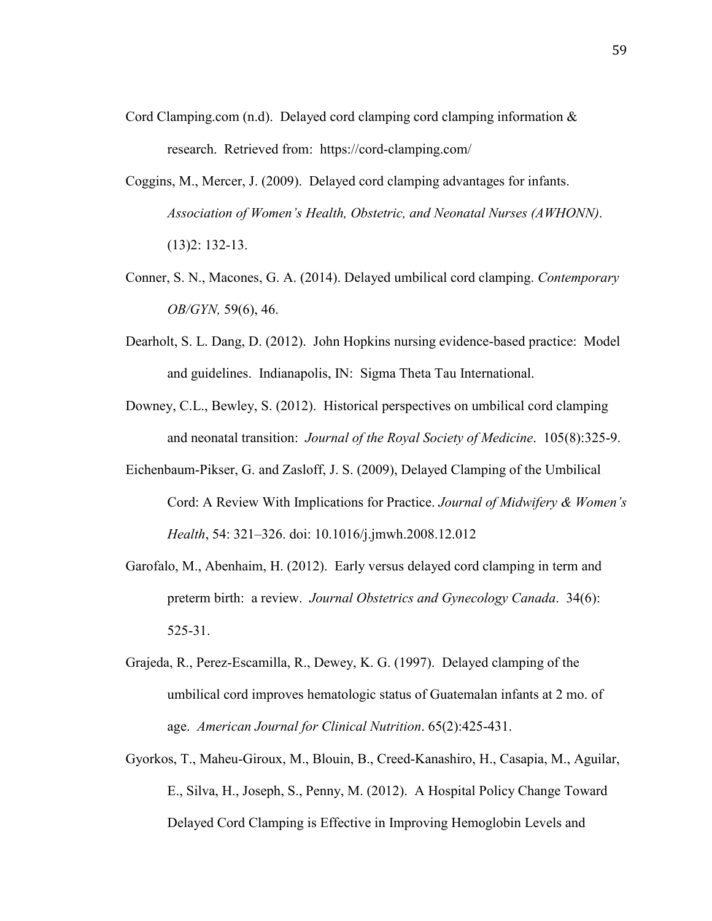- Cord Clamping.com (n.d). Delayed cord clamping cord clamping information  $\&$ research. Retrieved from: https://cord-clamping.com/
- Coggins, M., Mercer, J. (2009). Delayed cord clamping advantages for infants. *Association of Women's Health, Obstetric, and Neonatal Nurses (AWHONN)*. (13)2: 132-13.
- Conner, S. N., Macones, G. A. (2014). Delayed umbilical cord clamping. *Contemporary OB/GYN,* 59(6), 46.
- Dearholt, S. L. Dang, D. (2012). John Hopkins nursing evidence-based practice: Model and guidelines. Indianapolis, IN: Sigma Theta Tau International.
- Downey, C.L., Bewley, S. (2012). Historical perspectives on umbilical cord clamping and neonatal transition: *Journal of the Royal Society of Medicine*. 105(8):325-9.
- Eichenbaum-Pikser, G. and Zasloff, J. S. (2009), Delayed Clamping of the Umbilical Cord: A Review With Implications for Practice. *Journal of Midwifery & Women's Health*, 54: 321–326. doi: 10.1016/j.jmwh.2008.12.012
- Garofalo, M., Abenhaim, H. (2012). Early versus delayed cord clamping in term and preterm birth: a review. *Journal Obstetrics and Gynecology Canada*. 34(6): 525-31.
- Grajeda, R., Perez-Escamilla, R., Dewey, K. G. (1997). Delayed clamping of the umbilical cord improves hematologic status of Guatemalan infants at 2 mo. of age. *American Journal for Clinical Nutrition*. 65(2):425-431.
- Gyorkos, T., Maheu-Giroux, M., Blouin, B., Creed-Kanashiro, H., Casapia, M., Aguilar, E., Silva, H., Joseph, S., Penny, M. (2012). A Hospital Policy Change Toward Delayed Cord Clamping is Effective in Improving Hemoglobin Levels and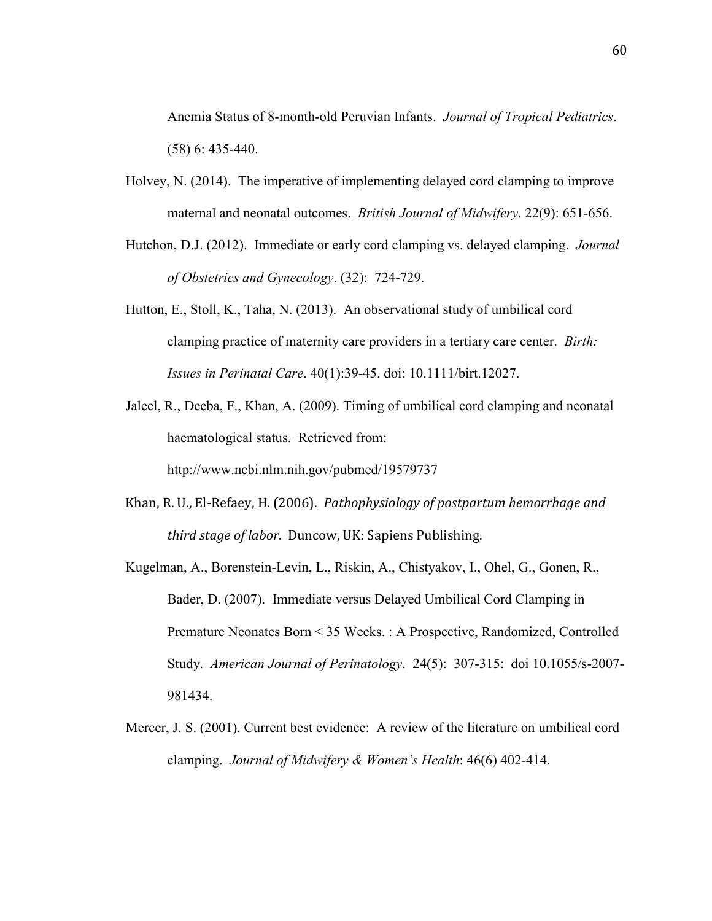Anemia Status of 8-month-old Peruvian Infants. *Journal of Tropical Pediatrics*. (58) 6: 435-440.

- Holvey, N. (2014). The imperative of implementing delayed cord clamping to improve maternal and neonatal outcomes. *British Journal of Midwifery*. 22(9): 651-656.
- Hutchon, D.J. (2012). Immediate or early cord clamping vs. delayed clamping. *Journal of Obstetrics and Gynecology*. (32): 724-729.
- Hutton, E., Stoll, K., Taha, N. (2013). An observational study of umbilical cord clamping practice of maternity care providers in a tertiary care center. *Birth: Issues in Perinatal Care*. 40(1):39-45. doi: 10.1111/birt.12027.
- Jaleel, R., Deeba, F., Khan, A. (2009). Timing of umbilical cord clamping and neonatal haematological status. Retrieved from: <http://www.ncbi.nlm.nih.gov/pubmed/19579737>
- Khan, R. U., El-Refaey, H. (2006). *Pathophysiology of postpartum hemorrhage and third stage of labor*. Duncow, UK: Sapiens Publishing.
- Kugelman, A., Borenstein-Levin, L., Riskin, A., Chistyakov, I., Ohel, G., Gonen, R., Bader, D. (2007). Immediate versus Delayed Umbilical Cord Clamping in Premature Neonates Born < 35 Weeks. : A Prospective, Randomized, Controlled Study. *American Journal of Perinatology*. 24(5): 307-315: doi 10.1055/s-2007- 981434.
- Mercer, J. S. (2001). Current best evidence: A review of the literature on umbilical cord clamping. *Journal of Midwifery & Women's Health*: 46(6) 402-414.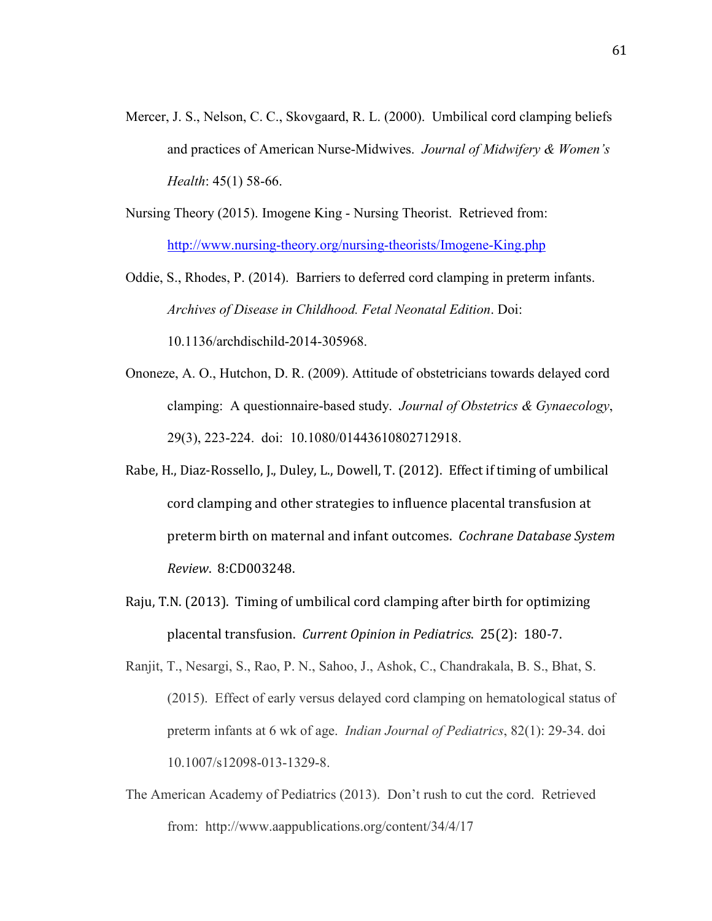Mercer, J. S., Nelson, C. C., Skovgaard, R. L. (2000). Umbilical cord clamping beliefs and practices of American Nurse-Midwives. *Journal of Midwifery & Women's Health*: 45(1) 58-66.

Nursing Theory (2015). Imogene King - Nursing Theorist. Retrieved from: <http://www.nursing-theory.org/nursing-theorists/Imogene-King.php>

Oddie, S., Rhodes, P. (2014). Barriers to deferred cord clamping in preterm infants. *Archives of Disease in Childhood. Fetal Neonatal Edition*. Doi:

10.1136/archdischild-2014-305968.

- Ononeze, A. O., Hutchon, D. R. (2009). Attitude of obstetricians towards delayed cord clamping: A questionnaire-based study. *Journal of Obstetrics & Gynaecology*, 29(3), 223-224. doi: 10.1080/01443610802712918.
- Rabe, H., Diaz-Rossello, J., Duley, L., Dowell, T. (2012). Effect if timing of umbilical cord clamping and other strategies to influence placental transfusion at preterm birth on maternal and infant outcomes. *Cochrane Database System Review*. 8:CD003248.
- Raju, T.N. (2013). Timing of umbilical cord clamping after birth for optimizing placental transfusion. *Current Opinion in Pediatrics*. 25(2): 180-7.

Ranjit, T., Nesargi, S., Rao, P. N., Sahoo, J., Ashok, C., Chandrakala, B. S., Bhat, S. (2015). Effect of early versus delayed cord clamping on hematological status of preterm infants at 6 wk of age. *Indian Journal of Pediatrics*, 82(1): 29-34. doi 10.1007/s12098-013-1329-8.

The American Academy of Pediatrics (2013). Don't rush to cut the cord. Retrieved from: http://www.aappublications.org/content/34/4/17

61